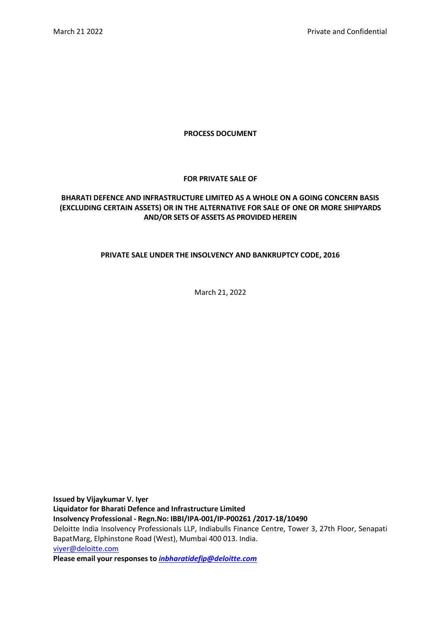## **PROCESS DOCUMENT**

# **FOR PRIVATE SALE OF**

# **BHARATI DEFENCE AND INFRASTRUCTURE LIMITED AS A WHOLE ON A GOING CONCERN BASIS (EXCLUDING CERTAIN ASSETS) OR IN THE ALTERNATIVE FOR SALE OF ONE OR MORE SHIPYARDS AND/OR SETS OF ASSETS AS PROVIDED HEREIN**

# **PRIVATE SALE UNDER THE INSOLVENCY AND BANKRUPTCY CODE, 2016**

March 21, 2022

**Issued by Vijaykumar V. Iyer Liquidator for Bharati Defence and Infrastructure Limited Insolvency Professional - Regn.No: IBBI/IPA-001/IP-P00261 /2017-18/10490** Deloitte India Insolvency Professionals LLP, Indiabulls Finance Centre, Tower 3, 27th Floor, Senapati BapatMarg, Elphinstone Road (West), Mumbai 400 013. India. [viyer@deloitte.com](mailto:viyer@deloitte.com) **Please email your responses to** *[inbharatidefip@deloitte.com](mailto:inbharatidefip@deloitte.com)*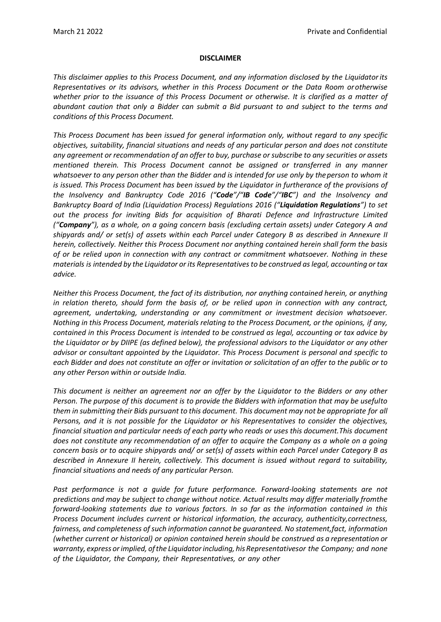#### **DISCLAIMER**

*This disclaimer applies to this Process Document, and any information disclosed by the Liquidator its Representatives or its advisors, whether in this Process Document or the Data Room or otherwise whether prior to the issuance of this Process Document or otherwise. It is clarified as a matter of abundant caution that only a Bidder can submit a Bid pursuant to and subject to the terms and conditions of this Process Document.*

*This Process Document has been issued for general information only, without regard to any specific objectives, suitability, financial situations and needs of any particular person and does not constitute any agreement or recommendation of an offer to buy, purchase or subscribe to any securities or assets mentioned therein. This Process Document cannot be assigned or transferred in any manner* whatsoever to any person other than the Bidder and is intended for use only by the person to whom it *is issued. This Process Document has been issued by the Liquidator in furtherance of the provisions of the Insolvency and Bankruptcy Code 2016 ("Code"/"IB Code"/"IBC") and the Insolvency and Bankruptcy Board of India (Liquidation Process) Regulations 2016 ("Liquidation Regulations") to set out the process for inviting Bids for acquisition of Bharati Defence and Infrastructure Limited ("Company"), as a whole, on a going concern basis (excluding certain assets) under Category A and shipyards and/ or set(s) of assets within each Parcel under Category B as described in Annexure II herein, collectively. Neither this Process Document nor anything contained herein shall form the basis of or be relied upon in connection with any contract or commitment whatsoever. Nothing in these materials is intended by the Liquidator or its Representativesto be construed aslegal, accounting or tax advice.*

*Neither this Process Document, the fact of its distribution, nor anything contained herein, or anything in relation thereto, should form the basis of, or be relied upon in connection with any contract, agreement, undertaking, understanding or any commitment or investment decision whatsoever. Nothing in this Process Document, materials relating to the Process Document, or the opinions, if any, contained in this Process Document is intended to be construed as legal, accounting or tax advice by the Liquidator or by DIIPE (as defined below), the professional advisors to the Liquidator or any other advisor or consultant appointed by the Liquidator. This Process Document is personal and specific to each Bidder and does not constitute an offer or invitation or solicitation of an offer to the public or to any other Person within or outside India.*

*This document is neither an agreement nor an offer by the Liquidator to the Bidders or any other Person. The purpose of this document is to provide the Bidders with information that may be usefulto them in submitting their Bids pursuant to this document. This document may not be appropriate for all Persons, and it is not possible for the Liquidator or his Representatives to consider the objectives, financial situation and particular needs of each party who reads or uses this document.This document does not constitute any recommendation of an offer to acquire the Company as a whole on a going concern basis or to acquire shipyards and/ or set(s) of assets within each Parcel under Category B as described in Annexure II herein, collectively. This document is issued without regard to suitability, financial situations and needs of any particular Person.*

*Past performance is not a guide for future performance. Forward-looking statements are not predictions and may be subject to change without notice. Actual results may differ materially fromthe forward-looking statements due to various factors. In so far as the information contained in this Process Document includes current or historical information, the accuracy, authenticity,correctness, fairness, and completeness of such information cannot be guaranteed. No statement,fact, information (whether current or historical) or opinion contained herein should be construed as a representation or warranty, express orimplied, ofthe Liquidatorincluding, his Representativesor the Company; and none of the Liquidator, the Company, their Representatives, or any other*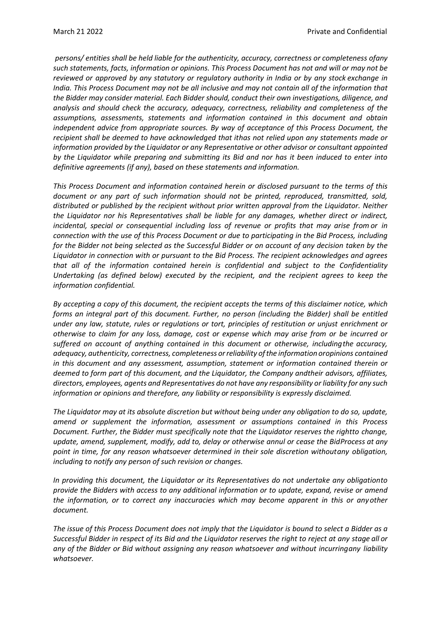*persons/ entities shall be held liable for the authenticity, accuracy, correctness or completeness ofany such statements, facts, information or opinions. This Process Document has not and will or may not be reviewed or approved by any statutory or regulatory authority in India or by any stock exchange in India. This Process Document may not be all inclusive and may not contain all of the information that the Bidder may consider material. Each Bidder should, conduct their own investigations, diligence, and analysis and should check the accuracy, adequacy, correctness, reliability and completeness of the assumptions, assessments, statements and information contained in this document and obtain independent advice from appropriate sources. By way of acceptance of this Process Document, the recipient shall be deemed to have acknowledged that ithas not relied upon any statements made or information provided by the Liquidator or any Representative or other advisor or consultant appointed by the Liquidator while preparing and submitting its Bid and nor has it been induced to enter into definitive agreements (if any), based on these statements and information.*

*This Process Document and information contained herein or disclosed pursuant to the terms of this document or any part of such information should not be printed, reproduced, transmitted, sold, distributed or published by the recipient without prior written approval from the Liquidator. Neither the Liquidator nor his Representatives shall be liable for any damages, whether direct or indirect, incidental, special or consequential including loss of revenue or profits that may arise from or in connection with the use of this Process Document or due to participating in the Bid Process, including for the Bidder not being selected as the Successful Bidder or on account of any decision taken by the Liquidator in connection with or pursuant to the Bid Process. The recipient acknowledges and agrees that all of the information contained herein is confidential and subject to the Confidentiality Undertaking (as defined below) executed by the recipient, and the recipient agrees to keep the information confidential.*

*By accepting a copy of this document, the recipient accepts the terms of this disclaimer notice, which forms an integral part of this document. Further, no person (including the Bidder) shall be entitled under any law, statute, rules or regulations or tort, principles of restitution or unjust enrichment or otherwise to claim for any loss, damage, cost or expense which may arise from or be incurred or suffered on account of anything contained in this document or otherwise, includingthe accuracy, adequacy, authenticity, correctness, completeness orreliability ofthe information oropinions contained in this document and any assessment, assumption, statement or information contained therein or deemed to form part of this document, and the Liquidator, the Company andtheir advisors, affiliates, directors, employees, agents and Representatives do not have any responsibility or liability for any such information or opinions and therefore, any liability or responsibility is expressly disclaimed.*

*The Liquidator may at its absolute discretion but without being under any obligation to do so, update, amend or supplement the information, assessment or assumptions contained in this Process Document. Further, the Bidder must specifically note that the Liquidator reserves the rightto change, update, amend, supplement, modify, add to, delay or otherwise annul or cease the BidProcess at any point in time, for any reason whatsoever determined in their sole discretion withoutany obligation, including to notify any person of such revision or changes.*

*In providing this document, the Liquidator or its Representatives do not undertake any obligationto provide the Bidders with access to any additional information or to update, expand, revise or amend the information, or to correct any inaccuracies which may become apparent in this or anyother document.*

The issue of this Process Document does not imply that the Liquidator is bound to select a Bidder as a *Successful Bidder in respect of its Bid and the Liquidator reserves the right to reject at any stage all or any of the Bidder or Bid without assigning any reason whatsoever and without incurringany liability whatsoever.*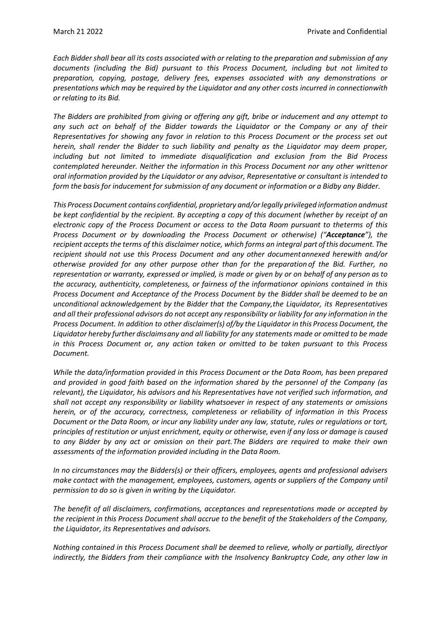*Each Bidder shall bear all its costs associated with or relating to the preparation and submission of any documents (including the Bid) pursuant to this Process Document, including but not limited to preparation, copying, postage, delivery fees, expenses associated with any demonstrations or presentations which may be required by the Liquidator and any other costs incurred in connectionwith or relating to its Bid.*

*The Bidders are prohibited from giving or offering any gift, bribe or inducement and any attempt to any such act on behalf of the Bidder towards the Liquidator or the Company or any of their Representatives for showing any favor in relation to this Process Document or the process set out herein, shall render the Bidder to such liability and penalty as the Liquidator may deem proper, including but not limited to immediate disqualification and exclusion from the Bid Process contemplated hereunder. Neither the information in this Process Document nor any other writtenor oral information provided by the Liquidator or any advisor, Representative or consultant is intended to form the basis for inducement for submission of any document or information or a Bidby any Bidder.*

*This Process Document contains confidential, proprietary and/orlegally privileged information andmust be kept confidential by the recipient. By accepting a copy of this document (whether by receipt of an electronic copy of the Process Document or access to the Data Room pursuant to theterms of this Process Document or by downloading the Process Document or otherwise) ("Acceptance"), the recipient accepts the terms of this disclaimer notice, which forms an integral part ofthis document. The recipient should not use this Process Document and any other documentannexed herewith and/or otherwise provided for any other purpose other than for the preparation of the Bid. Further, no* representation or warranty, expressed or implied, is made or given by or on behalf of any person as to *the accuracy, authenticity, completeness, or fairness of the informationor opinions contained in this Process Document and Acceptance of the Process Document by the Bidder shall be deemed to be an unconditional acknowledgement by the Bidder that the Company,the Liquidator, its Representatives* and all their professional advisors do not accept any responsibility or liability for any information in the *Process Document. In addition to other disclaimer(s) of/by the Liquidator in this Process Document, the Liquidator hereby further disclaims any and all liability for any statements made or omitted to be made in this Process Document or, any action taken or omitted to be taken pursuant to this Process Document.*

*While the data/information provided in this Process Document or the Data Room, has been prepared and provided in good faith based on the information shared by the personnel of the Company (as relevant), the Liquidator, his advisors and his Representatives have not verified such information, and shall not accept any responsibility or liability whatsoever in respect of any statements or omissions herein, or of the accuracy, correctness, completeness or reliability of information in this Process Document or the Data Room, or incur any liability under any law, statute, rules or regulations or tort, principles of restitution or unjust enrichment, equity or otherwise, even if any loss or damage is caused to any Bidder by any act or omission on their part.The Bidders are required to make their own assessments of the information provided including in the Data Room.*

*In no circumstances may the Bidders(s) or their officers, employees, agents and professional advisers make contact with the management, employees, customers, agents or suppliers of the Company until permission to do so is given in writing by the Liquidator.*

*The benefit of all disclaimers, confirmations, acceptances and representations made or accepted by the recipient in this Process Document shall accrue to the benefit of the Stakeholders of the Company, the Liquidator, its Representatives and advisors.*

*Nothing contained in this Process Document shall be deemed to relieve, wholly or partially, directlyor indirectly, the Bidders from their compliance with the Insolvency Bankruptcy Code, any other law in*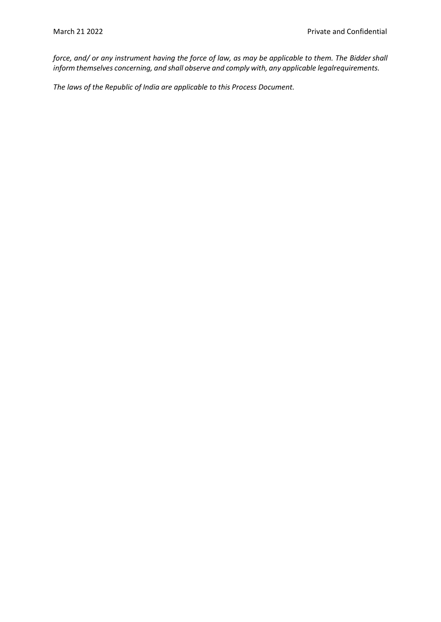*force, and/ or any instrument having the force of law, as may be applicable to them. The Biddershall inform themselves concerning, and shall observe and comply with, any applicable legalrequirements.*

*The laws of the Republic of India are applicable to this Process Document.*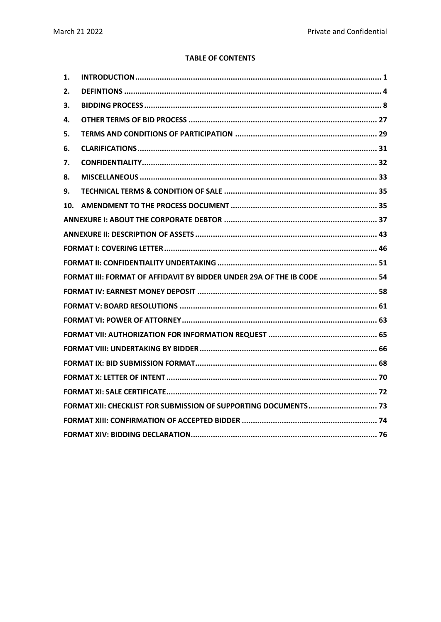# **TABLE OF CONTENTS**

| 1.                                                              |                                                                        |  |
|-----------------------------------------------------------------|------------------------------------------------------------------------|--|
| 2.                                                              |                                                                        |  |
| 3.                                                              |                                                                        |  |
| 4.                                                              |                                                                        |  |
| 5.                                                              |                                                                        |  |
| 6.                                                              |                                                                        |  |
| 7.                                                              |                                                                        |  |
| 8.                                                              |                                                                        |  |
| 9.                                                              |                                                                        |  |
| 10.                                                             |                                                                        |  |
|                                                                 |                                                                        |  |
|                                                                 |                                                                        |  |
|                                                                 |                                                                        |  |
|                                                                 |                                                                        |  |
|                                                                 | FORMAT III: FORMAT OF AFFIDAVIT BY BIDDER UNDER 29A OF THE IB CODE  54 |  |
|                                                                 |                                                                        |  |
|                                                                 |                                                                        |  |
|                                                                 |                                                                        |  |
|                                                                 |                                                                        |  |
|                                                                 |                                                                        |  |
|                                                                 |                                                                        |  |
|                                                                 |                                                                        |  |
|                                                                 |                                                                        |  |
| FORMAT XII: CHECKLIST FOR SUBMISSION OF SUPPORTING DOCUMENTS 73 |                                                                        |  |
|                                                                 |                                                                        |  |
|                                                                 |                                                                        |  |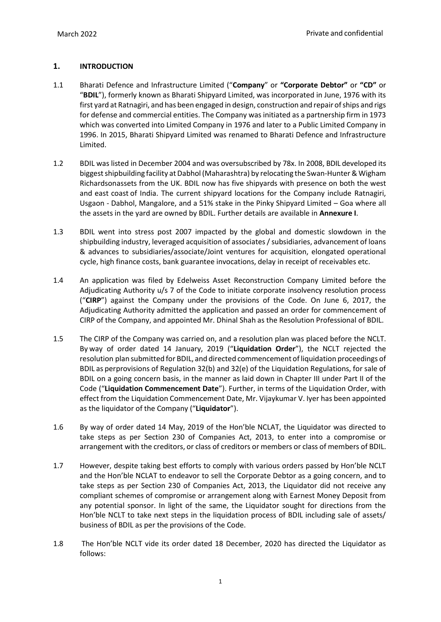# <span id="page-6-0"></span>**1. INTRODUCTION**

- <span id="page-6-1"></span>1.1 Bharati Defence and Infrastructure Limited ("**Company**" or **"Corporate Debtor"** or **"CD"** or "**BDIL**"), formerly known as Bharati Shipyard Limited, was incorporated in June, 1976 with its first yard at Ratnagiri, and has been engaged in design, construction and repair ofships and rigs for defense and commercial entities. The Company was initiated as a partnership firm in 1973 which was converted into Limited Company in 1976 and later to a Public Limited Company in 1996. In 2015, Bharati Shipyard Limited was renamed to Bharati Defence and Infrastructure Limited.
- 1.2 BDIL was listed in December 2004 and was oversubscribed by 78x. In 2008, BDIL developed its biggest shipbuilding facility at Dabhol (Maharashtra) by relocating the Swan-Hunter & Wigham Richardsonassets from the UK. BDIL now has five shipyards with presence on both the west and east coast of India. The current shipyard locations for the Company include Ratnagiri, Usgaon - Dabhol, Mangalore, and a 51% stake in the Pinky Shipyard Limited – Goa where all the assets in the yard are owned by BDIL. Further details are available in **Annexure I**.
- 1.3 BDIL went into stress post 2007 impacted by the global and domestic slowdown in the shipbuilding industry, leveraged acquisition of associates / subsidiaries, advancement of loans & advances to subsidiaries/associate/Joint ventures for acquisition, elongated operational cycle, high finance costs, bank guarantee invocations, delay in receipt of receivables etc.
- 1.4 An application was filed by Edelweiss Asset Reconstruction Company Limited before the Adjudicating Authority u/s 7 of the Code to initiate corporate insolvency resolution process ("**CIRP**") against the Company under the provisions of the Code. On June 6, 2017, the Adjudicating Authority admitted the application and passed an order for commencement of CIRP of the Company, and appointed Mr. Dhinal Shah as the Resolution Professional of BDIL.
- 1.5 The CIRP of the Company was carried on, and a resolution plan was placed before the NCLT. By way of order dated 14 January, 2019 ("**Liquidation Order**"), the NCLT rejected the resolution plan submitted for BDIL, and directed commencement of liquidation proceedings of BDIL as perprovisions of Regulation 32(b) and 32(e) of the Liquidation Regulations, for sale of BDIL on a going concern basis, in the manner as laid down in Chapter III under Part II of the Code ("**Liquidation Commencement Date**"). Further, in terms of the Liquidation Order, with effect from the Liquidation Commencement Date, Mr. Vijaykumar V. Iyer has been appointed as the liquidator of the Company ("**Liquidator**").
- 1.6 By way of order dated 14 May, 2019 of the Hon'ble NCLAT, the Liquidator was directed to take steps as per Section 230 of Companies Act, 2013, to enter into a compromise or arrangement with the creditors, or class of creditors or members or class of members of BDIL.
- 1.7 However, despite taking best efforts to comply with various orders passed by Hon'ble NCLT and the Hon'ble NCLAT to endeavor to sell the Corporate Debtor as a going concern, and to take steps as per Section 230 of Companies Act, 2013, the Liquidator did not receive any compliant schemes of compromise or arrangement along with Earnest Money Deposit from any potential sponsor. In light of the same, the Liquidator sought for directions from the Hon'ble NCLT to take next steps in the liquidation process of BDIL including sale of assets/ business of BDIL as per the provisions of the Code.
- 1.8 The Hon'ble NCLT vide its order dated 18 December, 2020 has directed the Liquidator as follows: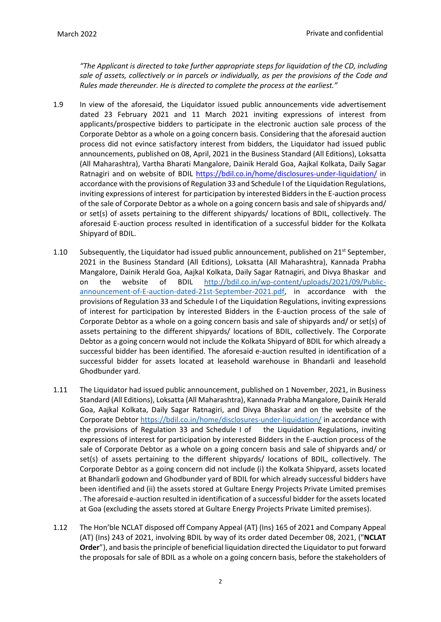*"The Applicant is directed to take further appropriate steps for liquidation of the CD, including sale of assets, collectively or in parcels or individually, as per the provisions of the Code and Rules made thereunder. He is directed to complete the process at the earliest."*

- 1.9 In view of the aforesaid, the Liquidator issued public announcements vide advertisement dated 23 February 2021 and 11 March 2021 inviting expressions of interest from applicants/prospective bidders to participate in the electronic auction sale process of the Corporate Debtor as a whole on a going concern basis. Considering that the aforesaid auction process did not evince satisfactory interest from bidders, the Liquidator had issued public announcements, published on 08, April, 2021 in the Business Standard (All Editions), Loksatta (All Maharashtra), Vartha Bharati Mangalore, Dainik Herald Goa, Aajkal Kolkata, Daily Sagar Ratnagiri and on website of BDIL <https://bdil.co.in/home/disclosures-under-liquidation/> in accordance with the provisions of Regulation 33 and Schedule I of the Liquidation Regulations, inviting expressions of interest for participation by interested Bidders in the E-auction process of the sale of Corporate Debtor as a whole on a going concern basis and sale of shipyards and/ or set(s) of assets pertaining to the different shipyards/ locations of BDIL, collectively. The aforesaid E-auction process resulted in identification of a successful bidder for the Kolkata Shipyard of BDIL.
- 1.10 Subsequently, the Liquidator had issued public announcement, published on 21<sup>st</sup> September, 2021 in the Business Standard (All Editions), Loksatta (All Maharashtra), Kannada Prabha Mangalore, Dainik Herald Goa, Aajkal Kolkata, Daily Sagar Ratnagiri, and Divya Bhaskar and on the website of BDIL [http://bdil.co.in/wp-content/uploads/2021/09/Public](http://bdil.co.in/wp-content/uploads/2021/09/Public-announcement-of-E-auction-dated-21st-September-2021.pdf)[announcement-of-E-auction-dated-21st-September-2021.pdf,](http://bdil.co.in/wp-content/uploads/2021/09/Public-announcement-of-E-auction-dated-21st-September-2021.pdf) in accordance with the provisions of Regulation 33 and Schedule I of the Liquidation Regulations, inviting expressions of interest for participation by interested Bidders in the E-auction process of the sale of Corporate Debtor as a whole on a going concern basis and sale of shipyards and/ or set(s) of assets pertaining to the different shipyards/ locations of BDIL, collectively. The Corporate Debtor as a going concern would not include the Kolkata Shipyard of BDIL for which already a successful bidder has been identified. The aforesaid e-auction resulted in identification of a successful bidder for assets located at leasehold warehouse in Bhandarli and leasehold Ghodbunder yard.
- 1.11 The Liquidator had issued public announcement, published on 1 November, 2021, in Business Standard (All Editions), Loksatta (All Maharashtra), Kannada Prabha Mangalore, Dainik Herald Goa, Aajkal Kolkata, Daily Sagar Ratnagiri, and Divya Bhaskar and on the website of the Corporate Debtor<https://bdil.co.in/home/disclosures-under-liquidation/> in accordance with the provisions of Regulation 33 and Schedule I of the Liquidation Regulations, inviting expressions of interest for participation by interested Bidders in the E-auction process of the sale of Corporate Debtor as a whole on a going concern basis and sale of shipyards and/ or set(s) of assets pertaining to the different shipyards/ locations of BDIL, collectively. The Corporate Debtor as a going concern did not include (i) the Kolkata Shipyard, assets located at Bhandarli godown and Ghodbunder yard of BDIL for which already successful bidders have been identified and (ii) the assets stored at Gultare Energy Projects Private Limited premises . The aforesaid e-auction resulted in identification of a successful bidder for the assets located at Goa (excluding the assets stored at Gultare Energy Projects Private Limited premises).
- 1.12 The Hon'ble NCLAT disposed off Company Appeal (AT) (Ins) 165 of 2021 and Company Appeal (AT) (Ins) 243 of 2021, involving BDIL by way of its order dated December 08, 2021, ("**NCLAT Order**"), and basis the principle of beneficial liquidation directed the Liquidator to put forward the proposals for sale of BDIL as a whole on a going concern basis, before the stakeholders of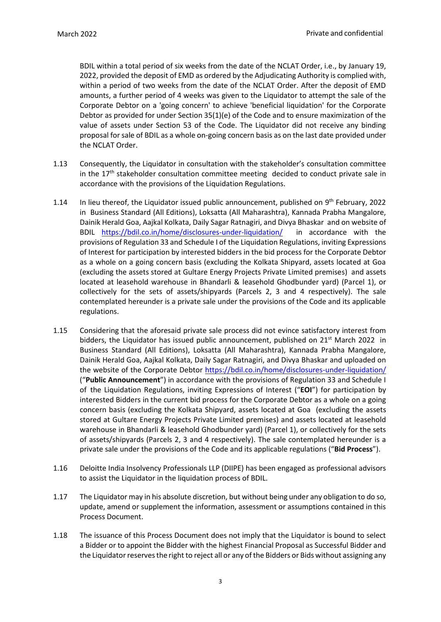BDIL within a total period of six weeks from the date of the NCLAT Order, i.e., by January 19, 2022, provided the deposit of EMD as ordered by the Adjudicating Authority is complied with, within a period of two weeks from the date of the NCLAT Order. After the deposit of EMD amounts, a further period of 4 weeks was given to the Liquidator to attempt the sale of the Corporate Debtor on a 'going concern' to achieve 'beneficial liquidation' for the Corporate Debtor as provided for under Section 35(1)(e) of the Code and to ensure maximization of the value of assets under Section 53 of the Code. The Liquidator did not receive any binding proposal for sale of BDIL as a whole on-going concern basis as on the last date provided under the NCLAT Order.

- 1.13 Consequently, the Liquidator in consultation with the stakeholder's consultation committee in the  $17<sup>th</sup>$  stakeholder consultation committee meeting decided to conduct private sale in accordance with the provisions of the Liquidation Regulations.
- 1.14 In lieu thereof, the Liquidator issued public announcement, published on  $9<sup>th</sup>$  February, 2022 in Business Standard (All Editions), Loksatta (All Maharashtra), Kannada Prabha Mangalore, Dainik Herald Goa, Aajkal Kolkata, Daily Sagar Ratnagiri, and Divya Bhaskar and on website of BDIL <https://bdil.co.in/home/disclosures-under-liquidation/> in accordance with the provisions of Regulation 33 and Schedule I of the Liquidation Regulations, inviting Expressions of Interest for participation by interested bidders in the bid process for the Corporate Debtor as a whole on a going concern basis (excluding the Kolkata Shipyard, assets located at Goa (excluding the assets stored at Gultare Energy Projects Private Limited premises) and assets located at leasehold warehouse in Bhandarli & leasehold Ghodbunder yard) (Parcel 1), or collectively for the sets of assets/shipyards (Parcels 2, 3 and 4 respectively). The sale contemplated hereunder is a private sale under the provisions of the Code and its applicable regulations.
- 1.15 Considering that the aforesaid private sale process did not evince satisfactory interest from bidders, the Liquidator has issued public announcement, published on  $21<sup>st</sup>$  March 2022 in Business Standard (All Editions), Loksatta (All Maharashtra), Kannada Prabha Mangalore, Dainik Herald Goa, Aajkal Kolkata, Daily Sagar Ratnagiri, and Divya Bhaskar and uploaded on the website of the Corporate Debtor<https://bdil.co.in/home/disclosures-under-liquidation/> ("**Public Announcement**") in accordance with the provisions of Regulation 33 and Schedule I of the Liquidation Regulations, inviting Expressions of Interest ("**EOI**") for participation by interested Bidders in the current bid process for the Corporate Debtor as a whole on a going concern basis (excluding the Kolkata Shipyard, assets located at Goa (excluding the assets stored at Gultare Energy Projects Private Limited premises) and assets located at leasehold warehouse in Bhandarli & leasehold Ghodbunder yard) (Parcel 1), or collectively for the sets of assets/shipyards (Parcels 2, 3 and 4 respectively). The sale contemplated hereunder is a private sale under the provisions of the Code and its applicable regulations ("**Bid Process**").
- 1.16 Deloitte India Insolvency Professionals LLP (DIIPE) has been engaged as professional advisors to assist the Liquidator in the liquidation process of BDIL.
- 1.17 The Liquidator may in his absolute discretion, but without being under any obligation to do so, update, amend or supplement the information, assessment or assumptions contained in this Process Document.
- 1.18 The issuance of this Process Document does not imply that the Liquidator is bound to select a Bidder or to appoint the Bidder with the highest Financial Proposal as Successful Bidder and the Liquidator reserves the right to reject all or any of the Bidders or Bids without assigning any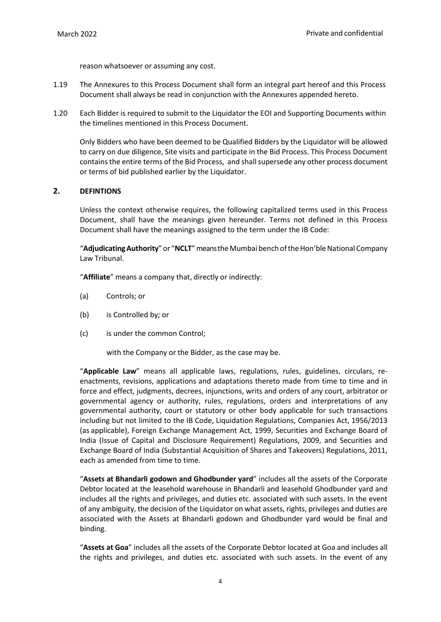reason whatsoever or assuming any cost.

- 1.19 The Annexures to this Process Document shall form an integral part hereof and this Process Document shall always be read in conjunction with the Annexures appended hereto.
- 1.20 Each Bidder is required to submit to the Liquidator the EOI and Supporting Documents within the timelines mentioned in this Process Document.

Only Bidders who have been deemed to be Qualified Bidders by the Liquidator will be allowed to carry on due diligence, Site visits and participate in the Bid Process. This Process Document contains the entire terms of the Bid Process, and shall supersede any other process document or terms of bid published earlier by the Liquidator.

## <span id="page-9-0"></span>**2. DEFINTIONS**

Unless the context otherwise requires, the following capitalized terms used in this Process Document, shall have the meanings given hereunder. Terms not defined in this Process Document shall have the meanings assigned to the term under the IB Code:

"Adjudicating Authority" or "NCLT" means the Mumbai bench of the Hon'ble National Company Law Tribunal.

"**Affiliate**" means a company that, directly or indirectly:

- (a) Controls; or
- (b) is Controlled by; or
- (c) is under the common Control;

with the Company or the Bidder, as the case may be.

"**Applicable Law**" means all applicable laws, regulations, rules, guidelines, circulars, reenactments, revisions, applications and adaptations thereto made from time to time and in force and effect, judgments, decrees, injunctions, writs and orders of any court, arbitrator or governmental agency or authority, rules, regulations, orders and interpretations of any governmental authority, court or statutory or other body applicable for such transactions including but not limited to the IB Code, Liquidation Regulations, Companies Act, 1956/2013 (as applicable), Foreign Exchange Management Act, 1999, Securities and Exchange Board of India (Issue of Capital and Disclosure Requirement) Regulations, 2009, and Securities and Exchange Board of India (Substantial Acquisition of Shares and Takeovers) Regulations, 2011, each as amended from time to time.

"**Assets at Bhandarli godown and Ghodbunder yard**" includes all the assets of the Corporate Debtor located at the leasehold warehouse in Bhandarli and leasehold Ghodbunder yard and includes all the rights and privileges, and duties etc. associated with such assets. In the event of any ambiguity, the decision of the Liquidator on what assets, rights, privileges and duties are associated with the Assets at Bhandarli godown and Ghodbunder yard would be final and binding.

"**Assets at Goa**" includes all the assets of the Corporate Debtor located at Goa and includes all the rights and privileges, and duties etc. associated with such assets. In the event of any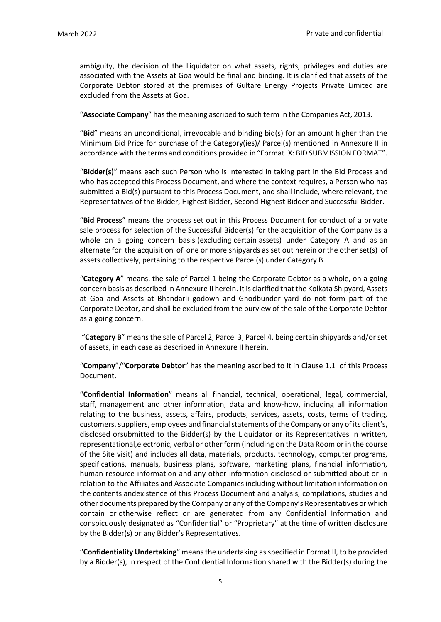ambiguity, the decision of the Liquidator on what assets, rights, privileges and duties are associated with the Assets at Goa would be final and binding. It is clarified that assets of the Corporate Debtor stored at the premises of Gultare Energy Projects Private Limited are excluded from the Assets at Goa.

"**Associate Company**" hasthe meaning ascribed to such term in the Companies Act, 2013.

"**Bid**" means an unconditional, irrevocable and binding bid(s) for an amount higher than the Minimum Bid Price for purchase of the Category(ies)/ Parcel(s) mentioned in Annexure II in accordance with the terms and conditions provided in "Format IX: BID SUBMISSION FORMAT".

"**Bidder(s)**" means each such Person who is interested in taking part in the Bid Process and who has accepted this Process Document, and where the context requires, a Person who has submitted a Bid(s) pursuant to this Process Document, and shall include, where relevant, the Representatives of the Bidder, Highest Bidder, Second Highest Bidder and Successful Bidder.

"**Bid Process**" means the process set out in this Process Document for conduct of a private sale process for selection of the Successful Bidder(s) for the acquisition of the Company as a whole on a going concern basis (excluding certain assets) under Category A and as an alternate for the acquisition of one or more shipyards as set out herein or the other set(s) of assets collectively, pertaining to the respective Parcel(s) under Category B.

"**Category A**" means, the sale of Parcel 1 being the Corporate Debtor as a whole, on a going concern basis as described in Annexure II herein. It is clarified that the Kolkata Shipyard, Assets at Goa and Assets at Bhandarli godown and Ghodbunder yard do not form part of the Corporate Debtor, and shall be excluded from the purview of the sale of the Corporate Debtor as a going concern.

"**Category B**" means the sale of Parcel 2, Parcel 3, Parcel 4, being certain shipyards and/or set of assets, in each case as described in Annexure II herein.

"**Company**"/"**Corporate Debtor**" has the meaning ascribed to it in Clause 1.1 [o](#page-6-1)f this Process Document.

"**Confidential Information**" means all financial, technical, operational, legal, commercial, staff, management and other information, data and know-how, including all information relating to the business, assets, affairs, products, services, assets, costs, terms of trading, customers, suppliers, employees and financial statements of the Company or any of its client's, disclosed orsubmitted to the Bidder(s) by the Liquidator or its Representatives in written, representational,electronic, verbal or other form (including on the Data Room or in the course of the Site visit) and includes all data, materials, products, technology, computer programs, specifications, manuals, business plans, software, marketing plans, financial information, human resource information and any other information disclosed or submitted about or in relation to the Affiliates and Associate Companiesincluding without limitation information on the contents andexistence of this Process Document and analysis, compilations, studies and other documents prepared by the Company or any ofthe Company's Representatives or which contain or otherwise reflect or are generated from any Confidential Information and conspicuously designated as "Confidential" or "Proprietary" at the time of written disclosure by the Bidder(s) or any Bidder's Representatives.

"**Confidentiality Undertaking**" means the undertaking as specified in Format II, to be provided by a Bidder(s), in respect of the Confidential Information shared with the Bidder(s) during the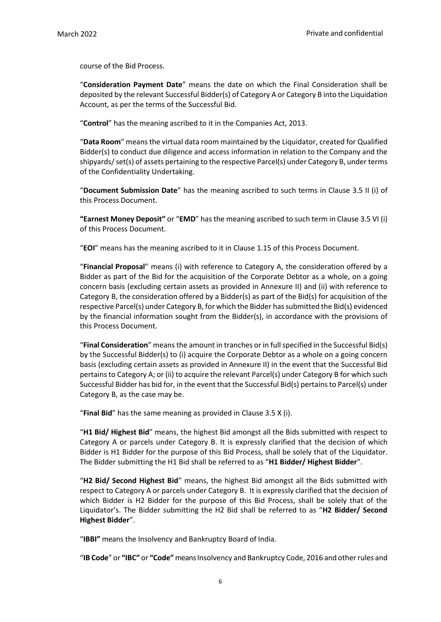course of the Bid Process.

"**Consideration Payment Date**" means the date on which the Final Consideration shall be deposited by the relevant Successful Bidder(s) of Category A or Category B into the Liquidation Account, as per the terms of the Successful Bid.

"**Control**" has the meaning ascribed to it in the Companies Act, 2013.

"**Data Room**" means the virtual data room maintained by the Liquidator, created for Qualified Bidder(s) to conduct due diligence and access information in relation to the Company and the shipyards/ set(s) of assets pertaining to the respective Parcel(s) under Category B, under terms of the Confidentiality Undertaking.

"**Document Submission Date**" has the meaning ascribed to such terms in Clause 3.5 II (i) of this Process Document.

**"Earnest Money Deposit"** or "**EMD**" has the meaning ascribed to such term in Clause 3.5 VI (i) of this Process Document.

"**EOI**" means has the meaning ascribed to it in Clause 1.15 of this Process Document.

"**Financial Proposal**" means (i) with reference to Category A, the consideration offered by a Bidder as part of the Bid for the acquisition of the Corporate Debtor as a whole, on a going concern basis (excluding certain assets as provided in Annexure II) and (ii) with reference to Category B, the consideration offered by a Bidder(s) as part of the Bid(s) for acquisition of the respective Parcel(s) under Category B, for which the Bidder hassubmitted the Bid(s) evidenced by the financial information sought from the Bidder(s), in accordance with the provisions of this Process Document.

"Final Consideration" means the amount in tranches or in full specified in the Successful Bid(s) by the Successful Bidder(s) to (i) acquire the Corporate Debtor as a whole on a going concern basis (excluding certain assets as provided in Annexure II) in the event that the Successful Bid pertains to Category A; or (ii) to acquire the relevant Parcel(s) under Category B for which such Successful Bidder has bid for, in the event that the Successful Bid(s) pertains to Parcel(s) under Category B, as the case may be.

"**Final Bid**" has the same meaning as provided in Clause 3.5 X (i).

"**H1 Bid/ Highest Bid**" means, the highest Bid amongst all the Bids submitted with respect to Category A or parcels under Category B. It is expressly clarified that the decision of which Bidder is H1 Bidder for the purpose of this Bid Process, shall be solely that of the Liquidator. The Bidder submitting the H1 Bid shall be referred to as "**H1 Bidder/ Highest Bidder**".

"**H2 Bid/ Second Highest Bid**" means, the highest Bid amongst all the Bids submitted with respect to Category A or parcels under Category B. It is expressly clarified that the decision of which Bidder is H2 Bidder for the purpose of this Bid Process, shall be solely that of the Liquidator's. The Bidder submitting the H2 Bid shall be referred to as "**H2 Bidder/ Second Highest Bidder**".

"**IBBI"** means the Insolvency and Bankruptcy Board of India.

"**IB Code**" or **"IBC"** or **"Code"** meansInsolvency and Bankruptcy Code, 2016 and otherrules and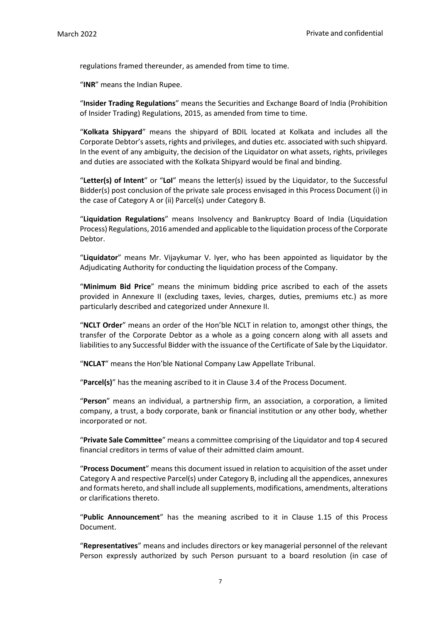regulations framed thereunder, as amended from time to time.

"**INR**" means the Indian Rupee.

"**Insider Trading Regulations**" means the Securities and Exchange Board of India (Prohibition of Insider Trading) Regulations, 2015, as amended from time to time.

"**Kolkata Shipyard**" means the shipyard of BDIL located at Kolkata and includes all the Corporate Debtor's assets, rights and privileges, and duties etc. associated with such shipyard. In the event of any ambiguity, the decision of the Liquidator on what assets, rights, privileges and duties are associated with the Kolkata Shipyard would be final and binding.

"**Letter(s) of Intent**" or "**LoI**" means the letter(s) issued by the Liquidator, to the Successful Bidder(s) post conclusion of the private sale process envisaged in this Process Document (i) in the case of Category A or (ii) Parcel(s) under Category B.

"**Liquidation Regulations**" means Insolvency and Bankruptcy Board of India (Liquidation Process) Regulations, 2016 amended and applicable to the liquidation process ofthe Corporate Debtor.

"**Liquidator**" means Mr. Vijaykumar V. Iyer, who has been appointed as liquidator by the Adjudicating Authority for conducting the liquidation process of the Company.

"**Minimum Bid Price**" means the minimum bidding price ascribed to each of the assets provided in Annexure II (excluding taxes, levies, charges, duties, premiums etc.) as more particularly described and categorized under Annexure II.

"**NCLT Order**" means an order of the Hon'ble NCLT in relation to, amongst other things, the transfer of the Corporate Debtor as a whole as a going concern along with all assets and liabilities to any Successful Bidder with the issuance of the Certificate of Sale by the Liquidator.

"**NCLAT**" means the Hon'ble National Company Law Appellate Tribunal.

"**Parcel(s)**" has the meaning ascribed to it in Clause 3.4 of the Process Document.

"**Person**" means an individual, a partnership firm, an association, a corporation, a limited company, a trust, a body corporate, bank or financial institution or any other body, whether incorporated or not.

"**Private Sale Committee**" means a committee comprising of the Liquidator and top 4 secured financial creditors in terms of value of their admitted claim amount.

"**Process Document**" means this document issued in relation to acquisition of the asset under Category A and respective Parcel(s) under Category B, including all the appendices, annexures and formats hereto, and shall include all supplements, modifications, amendments, alterations or clarifications thereto.

"**Public Announcement**" has the meaning ascribed to it in Clause 1.15 of this Process Document.

"**Representatives**" means and includes directors or key managerial personnel of the relevant Person expressly authorized by such Person pursuant to a board resolution (in case of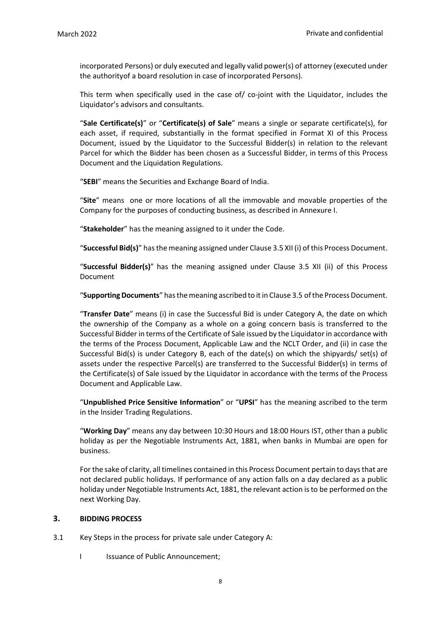incorporated Persons) or duly executed and legally valid power(s) of attorney (executed under the authorityof a board resolution in case of incorporated Persons).

This term when specifically used in the case of/ co-joint with the Liquidator, includes the Liquidator's advisors and consultants.

"**Sale Certificate(s)**" or "**Certificate(s) of Sale**" means a single or separate certificate(s), for each asset, if required, substantially in the format specified in Format XI of this Process Document, issued by the Liquidator to the Successful Bidder(s) in relation to the relevant Parcel for which the Bidder has been chosen as a Successful Bidder, in terms of this Process Document and the Liquidation Regulations.

"**SEBI**" means the Securities and Exchange Board of India.

"**Site**" means one or more locations of all the immovable and movable properties of the Company for the purposes of conducting business, as described in Annexure I.

"**Stakeholder**" has the meaning assigned to it under the Code.

"**Successful Bid(s)**" has the meaning assigned under Clause 3.5 XII (i) of this Process Document.

"**Successful Bidder(s)**" has the meaning assigned under Clause 3.5 XII (ii) of this Process Document

"Supporting Documents" has the meaning ascribed to it in Clause 3.5 of the Process Document.

"**Transfer Date**" means (i) in case the Successful Bid is under Category A, the date on which the ownership of the Company as a whole on a going concern basis is transferred to the Successful Bidder in terms of the Certificate of Sale issued by the Liquidator in accordance with the terms of the Process Document, Applicable Law and the NCLT Order, and (ii) in case the Successful Bid(s) is under Category B, each of the date(s) on which the shipyards/ set(s) of assets under the respective Parcel(s) are transferred to the Successful Bidder(s) in terms of the Certificate(s) of Sale issued by the Liquidator in accordance with the terms of the Process Document and Applicable Law.

"**Unpublished Price Sensitive Information**" or "**UPSI**" has the meaning ascribed to the term in the Insider Trading Regulations.

"**Working Day**" means any day between 10:30 Hours and 18:00 Hours IST, other than a public holiday as per the Negotiable Instruments Act, 1881, when banks in Mumbai are open for business.

For the sake of clarity, all timelines contained in this Process Document pertain to days that are not declared public holidays. If performance of any action falls on a day declared as a public holiday under Negotiable Instruments Act, 1881, the relevant action isto be performed on the next Working Day.

## <span id="page-13-0"></span>**3. BIDDING PROCESS**

- 3.1 Key Steps in the process for private sale under Category A:
	- I Issuance of Public Announcement;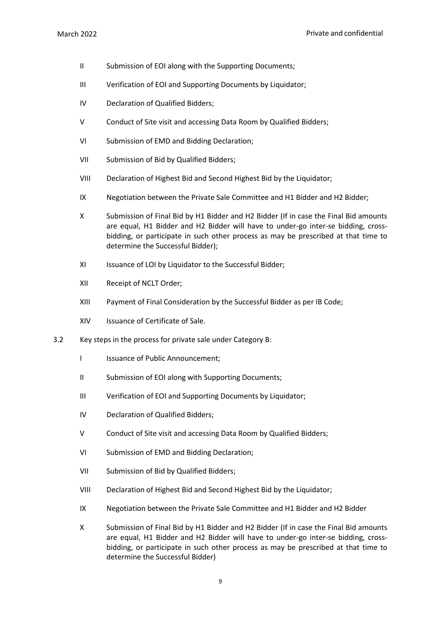- II Submission of EOI along with the Supporting Documents;
- III Verification of EOI and Supporting Documents by Liquidator;
- IV Declaration of Qualified Bidders;
- V Conduct of Site visit and accessing Data Room by Qualified Bidders;
- VI Submission of EMD and Bidding Declaration;
- VII Submission of Bid by Qualified Bidders;
- VIII Declaration of Highest Bid and Second Highest Bid by the Liquidator;
- IX Negotiation between the Private Sale Committee and H1 Bidder and H2 Bidder;
- X Submission of Final Bid by H1 Bidder and H2 Bidder (If in case the Final Bid amounts are equal, H1 Bidder and H2 Bidder will have to under-go inter-se bidding, crossbidding, or participate in such other process as may be prescribed at that time to determine the Successful Bidder);
- XI Issuance of LOI by Liquidator to the Successful Bidder;
- XII Receipt of NCLT Order;
- XIII Payment of Final Consideration by the Successful Bidder as per IB Code;
- XIV Issuance of Certificate of Sale.
- 3.2 Key steps in the process for private sale under Category B:
	- I Issuance of Public Announcement;
	- II Submission of EOI along with Supporting Documents;
	- III Verification of EOI and Supporting Documents by Liquidator;
	- IV Declaration of Qualified Bidders;
	- V Conduct of Site visit and accessing Data Room by Qualified Bidders;
	- VI Submission of EMD and Bidding Declaration;
	- VII Submission of Bid by Qualified Bidders;
	- VIII Declaration of Highest Bid and Second Highest Bid by the Liquidator;
	- IX Negotiation between the Private Sale Committee and H1 Bidder and H2 Bidder
	- X Submission of Final Bid by H1 Bidder and H2 Bidder (If in case the Final Bid amounts are equal, H1 Bidder and H2 Bidder will have to under-go inter-se bidding, crossbidding, or participate in such other process as may be prescribed at that time to determine the Successful Bidder)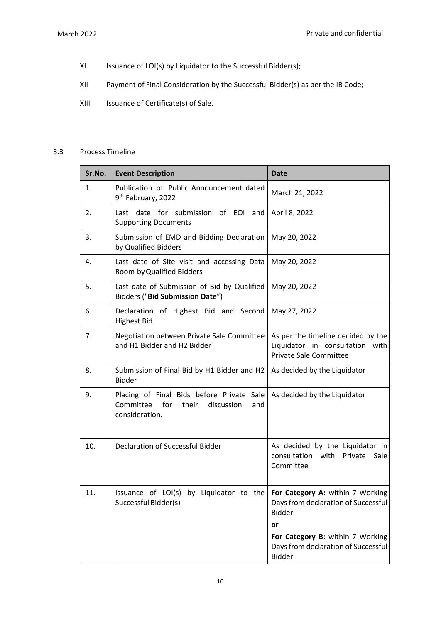- XI Issuance of LOI(s) by Liquidator to the Successful Bidder(s);
- XII Payment of Final Consideration by the Successful Bidder(s) as per the IB Code;
- XIII Issuance of Certificate(s) of Sale.

# 3.3 Process Timeline

| Sr.No. | <b>Event Description</b>                                                                                      | <b>Date</b>                                                                                            |
|--------|---------------------------------------------------------------------------------------------------------------|--------------------------------------------------------------------------------------------------------|
| 1.     | Publication of Public Announcement dated<br>9 <sup>th</sup> February, 2022                                    | March 21, 2022                                                                                         |
| 2.     | Last date for submission of EOI<br>and<br><b>Supporting Documents</b>                                         | April 8, 2022                                                                                          |
| 3.     | Submission of EMD and Bidding Declaration<br>by Qualified Bidders                                             | May 20, 2022                                                                                           |
| 4.     | Last date of Site visit and accessing Data<br>Room by Qualified Bidders                                       | May 20, 2022                                                                                           |
| 5.     | Last date of Submission of Bid by Qualified<br>Bidders ("Bid Submission Date")                                | May 20, 2022                                                                                           |
| 6.     | Declaration of Highest Bid and Second<br><b>Highest Bid</b>                                                   | May 27, 2022                                                                                           |
| 7.     | Negotiation between Private Sale Committee<br>and H1 Bidder and H2 Bidder                                     | As per the timeline decided by the<br>Liquidator in consultation with<br><b>Private Sale Committee</b> |
| 8.     | Submission of Final Bid by H1 Bidder and H2<br><b>Bidder</b>                                                  | As decided by the Liquidator                                                                           |
| 9.     | Placing of Final Bids before Private Sale<br>Committee<br>for<br>their<br>discussion<br>and<br>consideration. | As decided by the Liquidator                                                                           |
| 10.    | Declaration of Successful Bidder                                                                              | As decided by the Liquidator in<br>consultation with<br>Private<br>Sale<br>Committee                   |
| 11.    | Issuance of LOI(s) by Liquidator to the For Category A: within 7 Working<br>Successful Bidder(s)              | Days from declaration of Successful<br><b>Bidder</b><br>or                                             |
|        |                                                                                                               | For Category B: within 7 Working<br>Days from declaration of Successful<br><b>Bidder</b>               |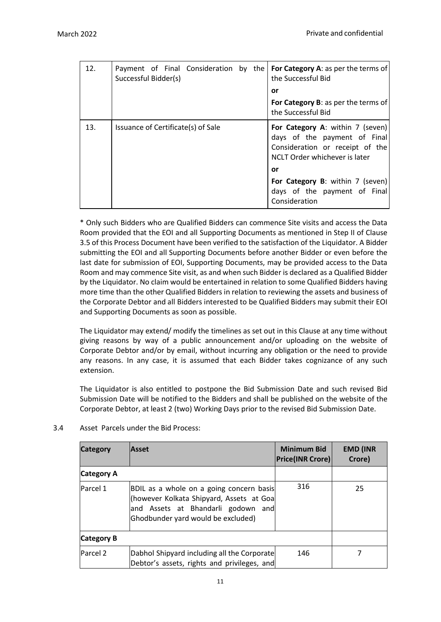| 12. | Payment of Final Consideration by the $ $ For Category A: as per the terms of<br>Successful Bidder(s) | the Successful Bid                                                                                                                          |
|-----|-------------------------------------------------------------------------------------------------------|---------------------------------------------------------------------------------------------------------------------------------------------|
|     |                                                                                                       | <b>or</b>                                                                                                                                   |
|     |                                                                                                       | For Category B: as per the terms of<br>the Successful Bid                                                                                   |
| 13. | Issuance of Certificate(s) of Sale                                                                    | <b>For Category A: within 7 (seven)</b><br>days of the payment of Final<br>Consideration or receipt of the<br>NCLT Order whichever is later |
|     |                                                                                                       | or                                                                                                                                          |
|     |                                                                                                       | For Category B: within 7 (seven)<br>days of the payment of Final<br>Consideration                                                           |

\* Only such Bidders who are Qualified Bidders can commence Site visits and access the Data Room provided that the EOI and all Supporting Documents as mentioned in Step II of Clause 3.5 of this Process Document have been verified to the satisfaction of the Liquidator. A Bidder submitting the EOI and all Supporting Documents before another Bidder or even before the last date for submission of EOI, Supporting Documents, may be provided access to the Data Room and may commence Site visit, as and when such Bidder is declared as a Qualified Bidder by the Liquidator. No claim would be entertained in relation to some Qualified Bidders having more time than the other Qualified Bidders in relation to reviewing the assets and business of the Corporate Debtor and all Bidders interested to be Qualified Bidders may submit their EOI and Supporting Documents as soon as possible.

The Liquidator may extend/ modify the timelines as set out in this Clause at any time without giving reasons by way of a public announcement and/or uploading on the website of Corporate Debtor and/or by email, without incurring any obligation or the need to provide any reasons. In any case, it is assumed that each Bidder takes cognizance of any such extension.

The Liquidator is also entitled to postpone the Bid Submission Date and such revised Bid Submission Date will be notified to the Bidders and shall be published on the website of the Corporate Debtor, at least 2 (two) Working Days prior to the revised Bid Submission Date.

| <b>Category</b>   | <b>Asset</b>                                                                                                                                                     | <b>Minimum Bid</b><br><b>Price(INR Crore)</b> | <b>EMD (INR</b><br>Crore) |
|-------------------|------------------------------------------------------------------------------------------------------------------------------------------------------------------|-----------------------------------------------|---------------------------|
| Category A        |                                                                                                                                                                  |                                               |                           |
| Parcel 1          | BDIL as a whole on a going concern basis<br>(however Kolkata Shipyard, Assets at Goa<br>and Assets at Bhandarli godown and<br>Ghodbunder yard would be excluded) | 316                                           | 25                        |
| <b>Category B</b> |                                                                                                                                                                  |                                               |                           |
| <b>Parcel 2</b>   | Dabhol Shipyard including all the Corporate<br>Debtor's assets, rights and privileges, and                                                                       | 146                                           |                           |

3.4 Asset Parcels under the Bid Process: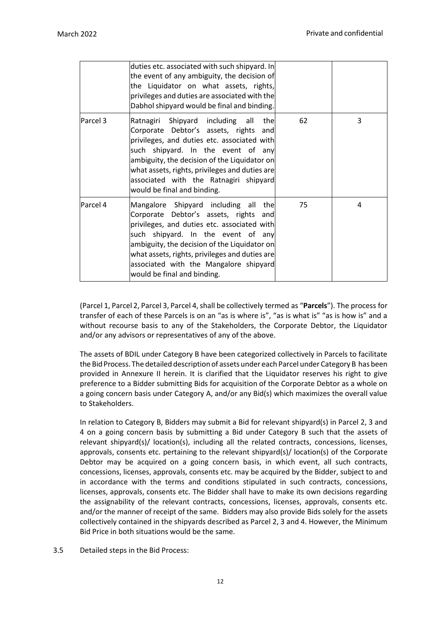|          | duties etc. associated with such shipyard. In<br>the event of any ambiguity, the decision of<br>the Liquidator on what assets, rights,<br>privileges and duties are associated with the<br>Dabhol shipyard would be final and binding.                                                                                                        |    |   |
|----------|-----------------------------------------------------------------------------------------------------------------------------------------------------------------------------------------------------------------------------------------------------------------------------------------------------------------------------------------------|----|---|
| Parcel 3 | Ratnagiri Shipyard including all the<br>Corporate Debtor's assets, rights and<br>privileges, and duties etc. associated with<br>such shipyard. In the event of any<br>ambiguity, the decision of the Liquidator on<br>what assets, rights, privileges and duties are<br>associated with the Ratnagiri shipyard<br>would be final and binding. | 62 | 3 |
| Parcel 4 | Mangalore Shipyard including all the<br>Corporate Debtor's assets, rights and<br>privileges, and duties etc. associated with<br>such shipyard. In the event of any<br>ambiguity, the decision of the Liquidator on<br>what assets, rights, privileges and duties are<br>associated with the Mangalore shipyard<br>would be final and binding. | 75 | 4 |

(Parcel 1, Parcel 2, Parcel 3, Parcel 4,shall be collectively termed as "**Parcels**"). The process for transfer of each of these Parcels is on an "as is where is", "as is what is" "as is how is" and a without recourse basis to any of the Stakeholders, the Corporate Debtor, the Liquidator and/or any advisors or representatives of any of the above.

The assets of BDIL under Category B have been categorized collectively in Parcels to facilitate the Bid Process. The detailed description of assets under each Parcel under Category B has been provided in Annexure II herein. It is clarified that the Liquidator reserves his right to give preference to a Bidder submitting Bids for acquisition of the Corporate Debtor as a whole on a going concern basis under Category A, and/or any Bid(s) which maximizes the overall value to Stakeholders.

In relation to Category B, Bidders may submit a Bid for relevant shipyard(s) in Parcel 2, 3 and 4 on a going concern basis by submitting a Bid under Category B such that the assets of relevant shipyard(s)/ location(s), including all the related contracts, concessions, licenses, approvals, consents etc. pertaining to the relevant shipyard(s)/ location(s) of the Corporate Debtor may be acquired on a going concern basis, in which event, all such contracts, concessions, licenses, approvals, consents etc. may be acquired by the Bidder, subject to and in accordance with the terms and conditions stipulated in such contracts, concessions, licenses, approvals, consents etc. The Bidder shall have to make its own decisions regarding the assignability of the relevant contracts, concessions, licenses, approvals, consents etc. and/or the manner of receipt of the same. Bidders may also provide Bids solely for the assets collectively contained in the shipyards described as Parcel 2, 3 and 4. However, the Minimum Bid Price in both situations would be the same.

3.5 Detailed steps in the Bid Process: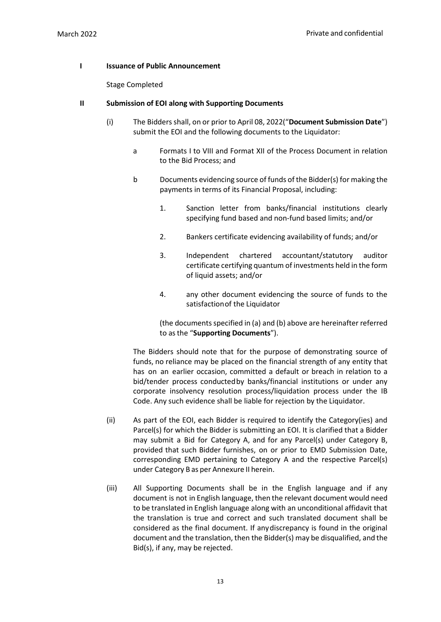## **I Issuance of Public Announcement**

Stage Completed

#### **II Submission of EOI along with Supporting Documents**

- (i) The Bidders shall, on or prior to April 08, 2022("**Document Submission Date**") submit the EOI and the following documents to the Liquidator:
	- a Formats I to VIII and Format XII of the Process Document in relation to the Bid Process; and
	- b Documents evidencing source of funds of the Bidder(s) for making the payments in terms of its Financial Proposal, including:
		- 1. Sanction letter from banks/financial institutions clearly specifying fund based and non-fund based limits; and/or
		- 2. Bankers certificate evidencing availability of funds; and/or
		- 3. Independent chartered accountant/statutory auditor certificate certifying quantum of investments held in the form of liquid assets; and/or
		- 4. any other document evidencing the source of funds to the satisfaction of the Liquidator

(the documents specified in (a) and (b) above are hereinafter referred to asthe "**Supporting Documents**").

The Bidders should note that for the purpose of demonstrating source of funds, no reliance may be placed on the financial strength of any entity that has on an earlier occasion, committed a default or breach in relation to a bid/tender process conductedby banks/financial institutions or under any corporate insolvency resolution process/liquidation process under the IB Code. Any such evidence shall be liable for rejection by the Liquidator.

- (ii) As part of the EOI, each Bidder is required to identify the Category(ies) and Parcel(s) for which the Bidder is submitting an EOI. It is clarified that a Bidder may submit a Bid for Category A, and for any Parcel(s) under Category B, provided that such Bidder furnishes, on or prior to EMD Submission Date, corresponding EMD pertaining to Category A and the respective Parcel(s) under Category B as per Annexure II herein.
- (iii) All Supporting Documents shall be in the English language and if any document is not in English language, then the relevant document would need to be translated in English language along with an unconditional affidavit that the translation is true and correct and such translated document shall be considered as the final document. If any discrepancy is found in the original document and the translation, then the Bidder(s) may be disqualified, and the Bid(s), if any, may be rejected.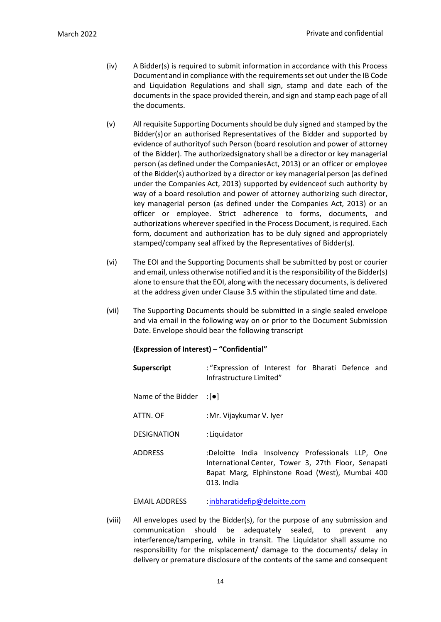- (iv) A Bidder(s) is required to submit information in accordance with this Process Document and in compliance with the requirements set out under the IB Code and Liquidation Regulations and shall sign, stamp and date each of the documents in the space provided therein, and sign and stamp each page of all the documents.
- (v) All requisite Supporting Documents should be duly signed and stamped by the Bidder(s)or an authorised Representatives of the Bidder and supported by evidence of authorityof such Person (board resolution and power of attorney of the Bidder). The authorizedsignatory shall be a director or key managerial person (as defined under the CompaniesAct, 2013) or an officer or employee of the Bidder(s) authorized by a director or key managerial person (as defined under the Companies Act, 2013) supported by evidenceof such authority by way of a board resolution and power of attorney authorizing such director, key managerial person (as defined under the Companies Act, 2013) or an officer or employee. Strict adherence to forms, documents, and authorizations wherever specified in the Process Document, is required. Each form, document and authorization has to be duly signed and appropriately stamped/company seal affixed by the Representatives of Bidder(s).
- (vi) The EOI and the Supporting Documents shall be submitted by post or courier and email, unless otherwise notified and it is the responsibility of the Bidder(s) alone to ensure that the EOI, along with the necessary documents, is delivered at the address given under Clause 3.5 within the stipulated time and date.
- (vii) The Supporting Documents should be submitted in a single sealed envelope and via email in the following way on or prior to the Document Submission Date. Envelope should bear the following transcript

## **(Expression of Interest) – "Confidential"**

| <b>Superscript</b>              | : "Expression of Interest for Bharati Defence and<br>Infrastructure Limited"                                                                                              |
|---------------------------------|---------------------------------------------------------------------------------------------------------------------------------------------------------------------------|
| Name of the Bidder $:[\bullet]$ |                                                                                                                                                                           |
| ATTN. OF                        | : Mr. Vijaykumar V. Iver                                                                                                                                                  |
| <b>DESIGNATION</b>              | :Liquidator                                                                                                                                                               |
| <b>ADDRESS</b>                  | :Deloitte India Insolvency Professionals LLP, One<br>International Center, Tower 3, 27th Floor, Senapati<br>Bapat Marg, Elphinstone Road (West), Mumbai 400<br>013. India |

EMAIL ADDRESS : inbharatidefip@deloitte.com

(viii) All envelopes used by the Bidder(s), for the purpose of any submission and communication should be adequately sealed, to prevent any interference/tampering, while in transit. The Liquidator shall assume no responsibility for the misplacement/ damage to the documents/ delay in delivery or premature disclosure of the contents of the same and consequent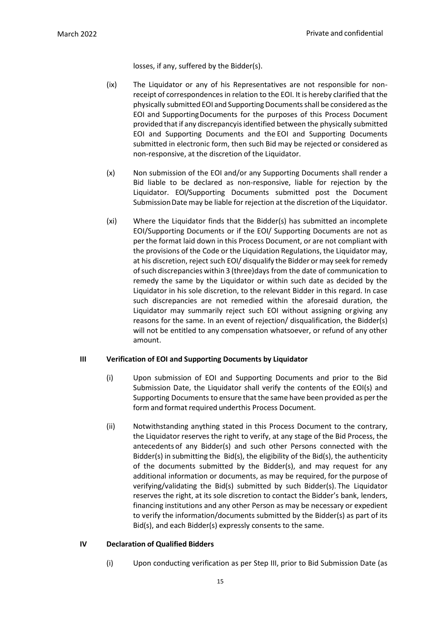losses, if any, suffered by the Bidder(s).

- (ix) The Liquidator or any of his Representatives are not responsible for nonreceipt of correspondences in relation to the EOI. It is hereby clarified that the physically submitted EOI and SupportingDocumentsshall be considered asthe EOI and SupportingDocuments for the purposes of this Process Document provided that if any discrepancyis identified between the physically submitted EOI and Supporting Documents and the EOI and Supporting Documents submitted in electronic form, then such Bid may be rejected or considered as non-responsive, at the discretion of the Liquidator.
- (x) Non submission of the EOI and/or any Supporting Documents shall render a Bid liable to be declared as non-responsive, liable for rejection by the Liquidator. EOI/Supporting Documents submitted post the Document Submission Date may be liable for rejection at the discretion of the Liquidator.
- (xi) Where the Liquidator finds that the Bidder(s) has submitted an incomplete EOI/Supporting Documents or if the EOI/ Supporting Documents are not as per the format laid down in this Process Document, or are not compliant with the provisions of the Code or the Liquidation Regulations, the Liquidator may, at his discretion, reject such EOI/ disqualify the Bidder or may seek forremedy ofsuch discrepancies within 3 (three)days from the date of communication to remedy the same by the Liquidator or within such date as decided by the Liquidator in his sole discretion, to the relevant Bidder in this regard. In case such discrepancies are not remedied within the aforesaid duration, the Liquidator may summarily reject such EOI without assigning or giving any reasons for the same. In an event of rejection/ disqualification, the Bidder(s) will not be entitled to any compensation whatsoever, or refund of any other amount.

## **III Verification of EOI and Supporting Documents by Liquidator**

- (i) Upon submission of EOI and Supporting Documents and prior to the Bid Submission Date, the Liquidator shall verify the contents of the EOI(s) and Supporting Documents to ensure that the same have been provided as per the form and format required underthis Process Document.
- (ii) Notwithstanding anything stated in this Process Document to the contrary, the Liquidator reserves the right to verify, at any stage of the Bid Process, the antecedents of any Bidder(s) and such other Persons connected with the Bidder(s) in submitting the Bid(s), the eligibility of the Bid(s), the authenticity of the documents submitted by the Bidder(s), and may request for any additional information or documents, as may be required, for the purpose of verifying/validating the Bid(s) submitted by such Bidder(s). The Liquidator reserves the right, at its sole discretion to contact the Bidder's bank, lenders, financing institutions and any other Person as may be necessary or expedient to verify the information/documents submitted by the Bidder(s) as part of its Bid(s), and each Bidder(s) expressly consents to the same.

# **IV Declaration of Qualified Bidders**

(i) Upon conducting verification as per Step III, prior to Bid Submission Date (as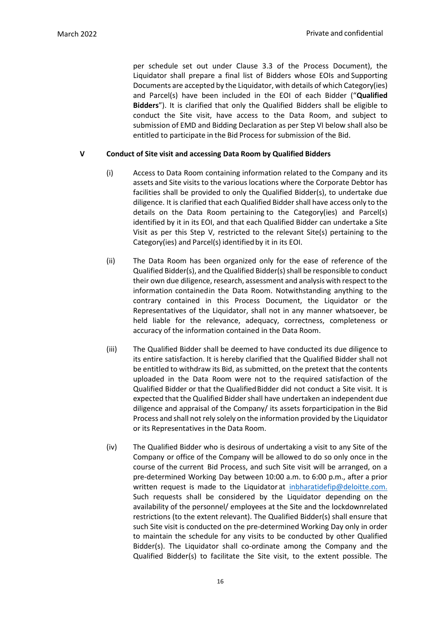per schedule set out under Clause 3.3 of the Process Document), the Liquidator shall prepare a final list of Bidders whose EOIs and Supporting Documents are accepted by the Liquidator, with details of which Category(ies) and Parcel(s) have been included in the EOI of each Bidder ("**Qualified Bidders**"). It is clarified that only the Qualified Bidders shall be eligible to conduct the Site visit, have access to the Data Room, and subject to submission of EMD and Bidding Declaration as per Step VI below shall also be entitled to participate in the Bid Process for submission of the Bid.

# **V Conduct of Site visit and accessing Data Room by Qualified Bidders**

- (i) Access to Data Room containing information related to the Company and its assets and Site visits to the various locations where the Corporate Debtor has facilities shall be provided to only the Qualified Bidder(s), to undertake due diligence. It is clarified that each Qualified Biddershall have access only to the details on the Data Room pertaining to the Category(ies) and Parcel(s) identified by it in its EOI, and that each Qualified Bidder can undertake a Site Visit as per this Step V, restricted to the relevant Site(s) pertaining to the Category(ies) and Parcel(s) identified by it in its EOI.
- (ii) The Data Room has been organized only for the ease of reference of the Qualified Bidder(s), and the Qualified Bidder(s) shall be responsible to conduct their own due diligence, research, assessment and analysis with respect to the information containedin the Data Room. Notwithstanding anything to the contrary contained in this Process Document, the Liquidator or the Representatives of the Liquidator, shall not in any manner whatsoever, be held liable for the relevance, adequacy, correctness, completeness or accuracy of the information contained in the Data Room.
- (iii) The Qualified Bidder shall be deemed to have conducted its due diligence to its entire satisfaction. It is hereby clarified that the Qualified Bidder shall not be entitled to withdraw its Bid, as submitted, on the pretext that the contents uploaded in the Data Room were not to the required satisfaction of the Qualified Bidder or that the Qualified Bidder did not conduct a Site visit. It is expected that the Qualified Bidder shall have undertaken an independent due diligence and appraisal of the Company/ its assets forparticipation in the Bid Process and shall not rely solely on the information provided by the Liquidator or its Representatives in the Data Room.
- (iv) The Qualified Bidder who is desirous of undertaking a visit to any Site of the Company or office of the Company will be allowed to do so only once in the course of the current Bid Process, and such Site visit will be arranged, on a pre-determined Working Day between 10:00 a.m. to 6:00 p.m., after a prior written request is made to the Liquidator at inbharatidefip@deloitte.com. Such requests shall be considered by the Liquidator depending on the availability of the personnel/ employees at the Site and the lockdownrelated restrictions (to the extent relevant). The Qualified Bidder(s) shall ensure that such Site visit is conducted on the pre-determined Working Day only in order to maintain the schedule for any visits to be conducted by other Qualified Bidder(s). The Liquidator shall co-ordinate among the Company and the Qualified Bidder(s) to facilitate the Site visit, to the extent possible. The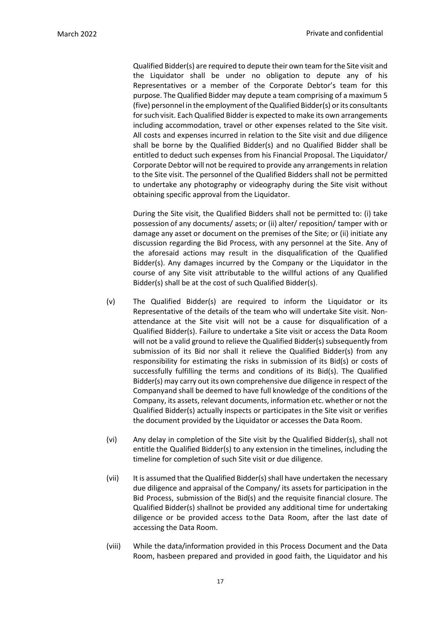Qualified Bidder(s) are required to depute their own team forthe Site visit and the Liquidator shall be under no obligation to depute any of his Representatives or a member of the Corporate Debtor's team for this purpose. The Qualified Bidder may depute a team comprising of a maximum 5 (five) personnel in the employment oftheQualified Bidder(s) orits consultants for such visit. Each Qualified Bidder is expected to make its own arrangements including accommodation, travel or other expenses related to the Site visit. All costs and expenses incurred in relation to the Site visit and due diligence shall be borne by the Qualified Bidder(s) and no Qualified Bidder shall be entitled to deduct such expenses from his Financial Proposal. The Liquidator/ Corporate Debtor will not be required to provide any arrangements in relation to the Site visit. The personnel of the Qualified Bidders shall not be permitted to undertake any photography or videography during the Site visit without obtaining specific approval from the Liquidator.

During the Site visit, the Qualified Bidders shall not be permitted to: (i) take possession of any documents/ assets; or (ii) alter/ reposition/ tamper with or damage any asset or document on the premises of the Site; or (ii) initiate any discussion regarding the Bid Process, with any personnel at the Site. Any of the aforesaid actions may result in the disqualification of the Qualified Bidder(s). Any damages incurred by the Company or the Liquidator in the course of any Site visit attributable to the willful actions of any Qualified Bidder(s) shall be at the cost of such Qualified Bidder(s).

- (v) The Qualified Bidder(s) are required to inform the Liquidator or its Representative of the details of the team who will undertake Site visit. Nonattendance at the Site visit will not be a cause for disqualification of a Qualified Bidder(s). Failure to undertake a Site visit or access the Data Room will not be a valid ground to relieve the Qualified Bidder(s) subsequently from submission of its Bid nor shall it relieve the Qualified Bidder(s) from any responsibility for estimating the risks in submission of its Bid(s) or costs of successfully fulfilling the terms and conditions of its Bid(s). The Qualified Bidder(s) may carry out its own comprehensive due diligence in respect of the Companyand shall be deemed to have full knowledge of the conditions of the Company, its assets, relevant documents, information etc. whether or not the Qualified Bidder(s) actually inspects or participates in the Site visit or verifies the document provided by the Liquidator or accesses the Data Room.
- (vi) Any delay in completion of the Site visit by the Qualified Bidder(s), shall not entitle the Qualified Bidder(s) to any extension in the timelines, including the timeline for completion of such Site visit or due diligence.
- (vii) It is assumed that the Qualified Bidder(s) shall have undertaken the necessary due diligence and appraisal of the Company/ its assets for participation in the Bid Process, submission of the Bid(s) and the requisite financial closure. The Qualified Bidder(s) shallnot be provided any additional time for undertaking diligence or be provided access tothe Data Room, after the last date of accessing the Data Room.
- (viii) While the data/information provided in this Process Document and the Data Room, hasbeen prepared and provided in good faith, the Liquidator and his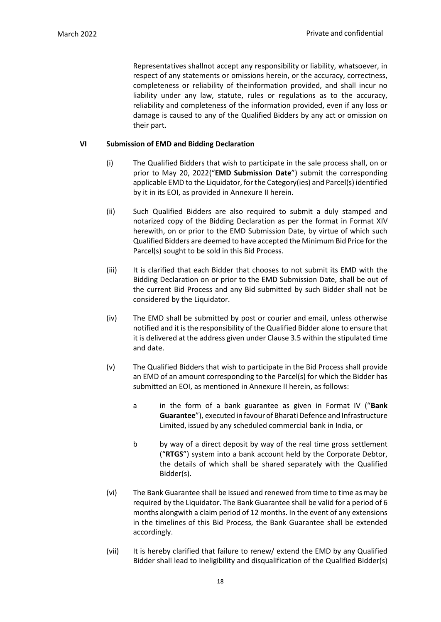Representatives shallnot accept any responsibility or liability, whatsoever, in respect of any statements or omissions herein, or the accuracy, correctness, completeness or reliability of theinformation provided, and shall incur no liability under any law, statute, rules or regulations as to the accuracy, reliability and completeness of the information provided, even if any loss or damage is caused to any of the Qualified Bidders by any act or omission on their part.

## **VI Submission of EMD and Bidding Declaration**

- (i) The Qualified Bidders that wish to participate in the sale process shall, on or prior to May 20, 2022("**EMD Submission Date**") submit the corresponding applicable EMD to the Liquidator, for the Category(ies) and Parcel(s) identified by it in its EOI, as provided in Annexure II herein.
- (ii) Such Qualified Bidders are also required to submit a duly stamped and notarized copy of the Bidding Declaration as per the format in Format XIV herewith, on or prior to the EMD Submission Date, by virtue of which such Qualified Bidders are deemed to have accepted the Minimum Bid Price for the Parcel(s) sought to be sold in this Bid Process.
- (iii) It is clarified that each Bidder that chooses to not submit its EMD with the Bidding Declaration on or prior to the EMD Submission Date, shall be out of the current Bid Process and any Bid submitted by such Bidder shall not be considered by the Liquidator.
- (iv) The EMD shall be submitted by post or courier and email, unless otherwise notified and it is the responsibility of the Qualified Bidder alone to ensure that it is delivered at the address given under Clause 3.5 within the stipulated time and date.
- (v) The Qualified Bidders that wish to participate in the Bid Process shall provide an EMD of an amount corresponding to the Parcel(s) for which the Bidder has submitted an EOI, as mentioned in Annexure II herein, as follows:
	- a in the form of a bank guarantee as given in Format IV ("**Bank**  Guarantee"), executed in favour of Bharati Defence and Infrastructure Limited, issued by any scheduled commercial bank in India, or
	- b by way of a direct deposit by way of the real time gross settlement ("**RTGS**") system into a bank account held by the Corporate Debtor, the details of which shall be shared separately with the Qualified Bidder(s).
- (vi) The Bank Guarantee shall be issued and renewed from time to time as may be required by the Liquidator. The Bank Guarantee shall be valid for a period of 6 months alongwith a claim period of 12 months. In the event of any extensions in the timelines of this Bid Process, the Bank Guarantee shall be extended accordingly.
- (vii) It is hereby clarified that failure to renew/ extend the EMD by any Qualified Bidder shall lead to ineligibility and disqualification of the Qualified Bidder(s)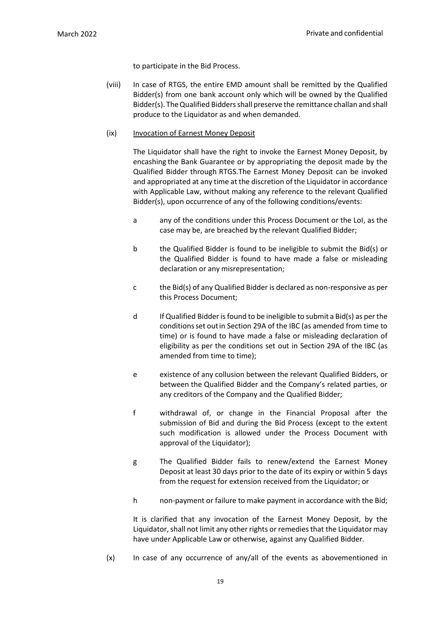to participate in the Bid Process.

(viii) In case of RTGS, the entire EMD amount shall be remitted by the Qualified Bidder(s) from one bank account only which will be owned by the Qualified Bidder(s). The Qualified Bidders shall preserve the remittance challan and shall produce to the Liquidator as and when demanded.

#### (ix) Invocation of Earnest Money Deposit

The Liquidator shall have the right to invoke the Earnest Money Deposit, by encashing the Bank Guarantee or by appropriating the deposit made by the Qualified Bidder through RTGS.The Earnest Money Deposit can be invoked and appropriated at any time at the discretion of the Liquidator in accordance with Applicable Law, without making any reference to the relevant Qualified Bidder(s), upon occurrence of any of the following conditions/events:

- a any of the conditions under this Process Document or the LoI, as the case may be, are breached by the relevant Qualified Bidder;
- b the Qualified Bidder is found to be ineligible to submit the Bid(s) or the Qualified Bidder is found to have made a false or misleading declaration or any misrepresentation;
- c the Bid(s) of any Qualified Bidder is declared as non-responsive as per this Process Document;
- d If Qualified Bidder isfound to be ineligible to submit a Bid(s) as perthe conditionsset out in Section 29A of the IBC (as amended from time to time) or is found to have made a false or misleading declaration of eligibility as per the conditions set out in Section 29A of the IBC (as amended from time to time);
- e existence of any collusion between the relevant Qualified Bidders, or between the Qualified Bidder and the Company's related parties, or any creditors of the Company and the Qualified Bidder;
- f withdrawal of, or change in the Financial Proposal after the submission of Bid and during the Bid Process (except to the extent such modification is allowed under the Process Document with approval of the Liquidator);
- g The Qualified Bidder fails to renew/extend the Earnest Money Deposit at least 30 days prior to the date of its expiry or within 5 days from the request for extension received from the Liquidator; or
- h non-payment or failure to make payment in accordance with the Bid;

It is clarified that any invocation of the Earnest Money Deposit, by the Liquidator, shall not limit any other rights or remedies that the Liquidator may have under Applicable Law or otherwise, against any Qualified Bidder.

(x) In case of any occurrence of any/all of the events as abovementioned in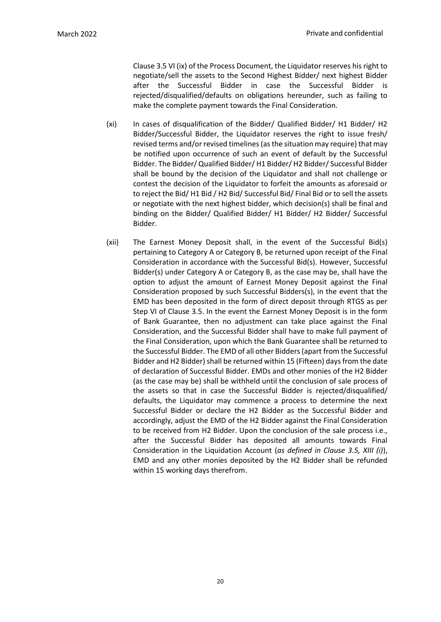Clause 3.5 VI (ix) of the Process Document, the Liquidator reserves his right to negotiate/sell the assets to the Second Highest Bidder/ next highest Bidder after the Successful Bidder in case the Successful Bidder is rejected/disqualified/defaults on obligations hereunder, such as failing to make the complete payment towards the Final Consideration.

- (xi) In cases of disqualification of the Bidder/ Qualified Bidder/ H1 Bidder/ H2 Bidder/Successful Bidder, the Liquidator reserves the right to issue fresh/ revised terms and/or revised timelines (as the situation may require) that may be notified upon occurrence of such an event of default by the Successful Bidder. The Bidder/ Qualified Bidder/ H1 Bidder/ H2 Bidder/ Successful Bidder shall be bound by the decision of the Liquidator and shall not challenge or contest the decision of the Liquidator to forfeit the amounts as aforesaid or to reject the Bid/ H1 Bid / H2 Bid/ Successful Bid/ Final Bid or to sell the assets or negotiate with the next highest bidder, which decision(s) shall be final and binding on the Bidder/ Qualified Bidder/ H1 Bidder/ H2 Bidder/ Successful Bidder.
- (xii) The Earnest Money Deposit shall, in the event of the Successful Bid(s) pertaining to Category A or Category B, be returned upon receipt of the Final Consideration in accordance with the Successful Bid(s). However, Successful Bidder(s) under Category A or Category B, as the case may be, shall have the option to adjust the amount of Earnest Money Deposit against the Final Consideration proposed by such Successful Bidders(s), in the event that the EMD has been deposited in the form of direct deposit through RTGS as per Step VI of Clause 3.5. In the event the Earnest Money Deposit is in the form of Bank Guarantee, then no adjustment can take place against the Final Consideration, and the Successful Bidder shall have to make full payment of the Final Consideration, upon which the Bank Guarantee shall be returned to the Successful Bidder. The EMD of all other Bidders (apart from the Successful Bidder and H2 Bidder) shall be returned within 15 (Fifteen) days from the date of declaration of Successful Bidder. EMDs and other monies of the H2 Bidder (as the case may be) shall be withheld until the conclusion of sale process of the assets so that in case the Successful Bidder is rejected/disqualified/ defaults, the Liquidator may commence a process to determine the next Successful Bidder or declare the H2 Bidder as the Successful Bidder and accordingly, adjust the EMD of the H2 Bidder against the Final Consideration to be received from H2 Bidder. Upon the conclusion of the sale process i.e., after the Successful Bidder has deposited all amounts towards Final Consideration in the Liquidation Account (*as defined in Clause 3.5, XIII (i)*), EMD and any other monies deposited by the H2 Bidder shall be refunded within 15 working days therefrom.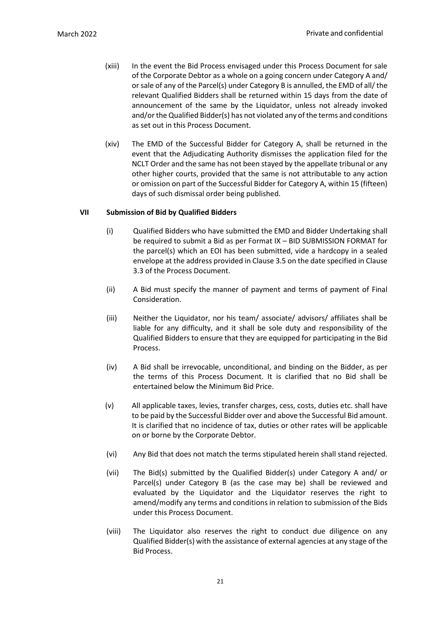- (xiii) In the event the Bid Process envisaged under this Process Document for sale of the Corporate Debtor as a whole on a going concern under Category A and/ or sale of any of the Parcel(s) under Category B is annulled, the EMD of all/the relevant Qualified Bidders shall be returned within 15 days from the date of announcement of the same by the Liquidator, unless not already invoked and/or the Qualified Bidder(s) has not violated any of the terms and conditions as set out in this Process Document.
- (xiv) The EMD of the Successful Bidder for Category A, shall be returned in the event that the Adjudicating Authority dismisses the application filed for the NCLT Order and the same has not been stayed by the appellate tribunal or any other higher courts, provided that the same is not attributable to any action or omission on part of the Successful Bidder for Category A, within 15 (fifteen) days of such dismissal order being published.

# **VII Submission of Bid by Qualified Bidders**

- (i) Qualified Bidders who have submitted the EMD and Bidder Undertaking shall be required to submit a Bid as per Format IX – BID SUBMISSION FORMAT for the parcel(s) which an EOI has been submitted, vide a hardcopy in a sealed envelope at the address provided in Clause 3.5 on the date specified in Clause 3.3 of the Process Document.
- (ii) A Bid must specify the manner of payment and terms of payment of Final Consideration.
- (iii) Neither the Liquidator, nor his team/ associate/ advisors/ affiliates shall be liable for any difficulty, and it shall be sole duty and responsibility of the Qualified Bidders to ensure that they are equipped for participating in the Bid Process.
- (iv) A Bid shall be irrevocable, unconditional, and binding on the Bidder, as per the terms of this Process Document. It is clarified that no Bid shall be entertained below the Minimum Bid Price.
- (v) All applicable taxes, levies, transfer charges, cess, costs, duties etc. shall have to be paid by the Successful Bidder over and above the Successful Bid amount. It is clarified that no incidence of tax, duties or other rates will be applicable on or borne by the Corporate Debtor.
- (vi) Any Bid that does not match the terms stipulated herein shall stand rejected.
- (vii) The Bid(s) submitted by the Qualified Bidder(s) under Category A and/ or Parcel(s) under Category B (as the case may be) shall be reviewed and evaluated by the Liquidator and the Liquidator reserves the right to amend/modify any terms and conditions in relation to submission of the Bids under this Process Document.
- (viii) The Liquidator also reserves the right to conduct due diligence on any Qualified Bidder(s) with the assistance of external agencies at any stage of the Bid Process.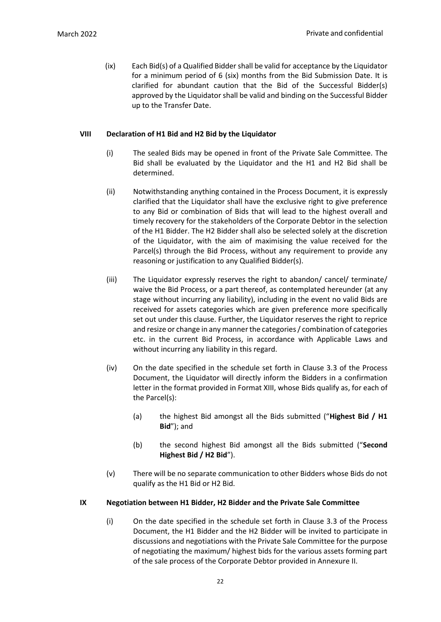(ix) Each Bid(s) of a Qualified Bidder shall be valid for acceptance by the Liquidator for a minimum period of 6 (six) months from the Bid Submission Date. It is clarified for abundant caution that the Bid of the Successful Bidder(s) approved by the Liquidator shall be valid and binding on the Successful Bidder up to the Transfer Date.

#### **VIII Declaration of H1 Bid and H2 Bid by the Liquidator**

- (i) The sealed Bids may be opened in front of the Private Sale Committee. The Bid shall be evaluated by the Liquidator and the H1 and H2 Bid shall be determined.
- (ii) Notwithstanding anything contained in the Process Document, it is expressly clarified that the Liquidator shall have the exclusive right to give preference to any Bid or combination of Bids that will lead to the highest overall and timely recovery for the stakeholders of the Corporate Debtor in the selection of the H1 Bidder. The H2 Bidder shall also be selected solely at the discretion of the Liquidator, with the aim of maximising the value received for the Parcel(s) through the Bid Process, without any requirement to provide any reasoning or justification to any Qualified Bidder(s).
- (iii) The Liquidator expressly reserves the right to abandon/ cancel/ terminate/ waive the Bid Process, or a part thereof, as contemplated hereunder (at any stage without incurring any liability), including in the event no valid Bids are received for assets categories which are given preference more specifically set out under this clause. Further, the Liquidator reserves the right to reprice and resize or change in any manner the categories / combination of categories etc. in the current Bid Process, in accordance with Applicable Laws and without incurring any liability in this regard.
- (iv) On the date specified in the schedule set forth in Clause 3.3 of the Process Document, the Liquidator will directly inform the Bidders in a confirmation letter in the format provided in Format XIII, whose Bids qualify as, for each of the Parcel(s):
	- (a) the highest Bid amongst all the Bids submitted ("**Highest Bid / H1 Bid**"); and
	- (b) the second highest Bid amongst all the Bids submitted ("**Second Highest Bid / H2 Bid**").
- (v) There will be no separate communication to other Bidders whose Bids do not qualify as the H1 Bid or H2 Bid.

#### **IX Negotiation between H1 Bidder, H2 Bidder and the Private Sale Committee**

(i) On the date specified in the schedule set forth in Clause 3.3 of the Process Document, the H1 Bidder and the H2 Bidder will be invited to participate in discussions and negotiations with the Private Sale Committee for the purpose of negotiating the maximum/ highest bids for the various assets forming part of the sale process of the Corporate Debtor provided in Annexure II.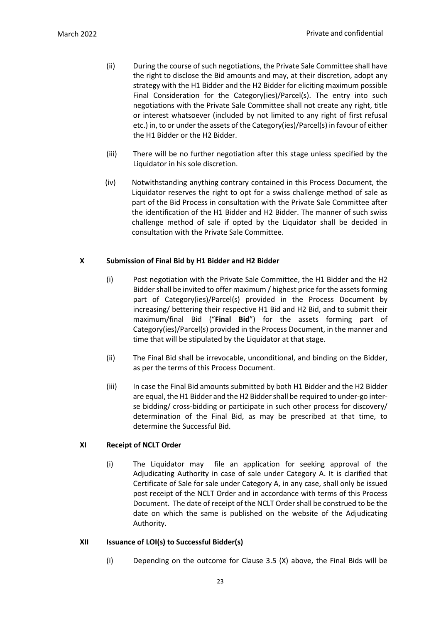- (ii) During the course of such negotiations, the Private Sale Committee shall have the right to disclose the Bid amounts and may, at their discretion, adopt any strategy with the H1 Bidder and the H2 Bidder for eliciting maximum possible Final Consideration for the Category(ies)/Parcel(s). The entry into such negotiations with the Private Sale Committee shall not create any right, title or interest whatsoever (included by not limited to any right of first refusal etc.) in, to or under the assets of the Category(ies)/Parcel(s) in favour of either the H1 Bidder or the H2 Bidder.
- (iii) There will be no further negotiation after this stage unless specified by the Liquidator in his sole discretion.
- (iv) Notwithstanding anything contrary contained in this Process Document, the Liquidator reserves the right to opt for a swiss challenge method of sale as part of the Bid Process in consultation with the Private Sale Committee after the identification of the H1 Bidder and H2 Bidder. The manner of such swiss challenge method of sale if opted by the Liquidator shall be decided in consultation with the Private Sale Committee.

# **X Submission of Final Bid by H1 Bidder and H2 Bidder**

- (i) Post negotiation with the Private Sale Committee, the H1 Bidder and the H2 Bidder shall be invited to offer maximum / highest price for the assets forming part of Category(ies)/Parcel(s) provided in the Process Document by increasing/ bettering their respective H1 Bid and H2 Bid, and to submit their maximum/final Bid ("**Final Bid**") for the assets forming part of Category(ies)/Parcel(s) provided in the Process Document, in the manner and time that will be stipulated by the Liquidator at that stage.
- (ii) The Final Bid shall be irrevocable, unconditional, and binding on the Bidder, as per the terms of this Process Document.
- (iii) In case the Final Bid amounts submitted by both H1 Bidder and the H2 Bidder are equal, the H1 Bidder and the H2 Bidder shall be required to under-go interse bidding/ cross-bidding or participate in such other process for discovery/ determination of the Final Bid, as may be prescribed at that time, to determine the Successful Bid.

## **XI Receipt of NCLT Order**

(i) The Liquidator may file an application for seeking approval of the Adjudicating Authority in case of sale under Category A. It is clarified that Certificate of Sale for sale under Category A, in any case, shall only be issued post receipt of the NCLT Order and in accordance with terms of this Process Document. The date of receipt of the NCLT Order shall be construed to be the date on which the same is published on the website of the Adjudicating Authority.

## **XII Issuance of LOI(s) to Successful Bidder(s)**

(i) Depending on the outcome for Clause 3.5 (X) above, the Final Bids will be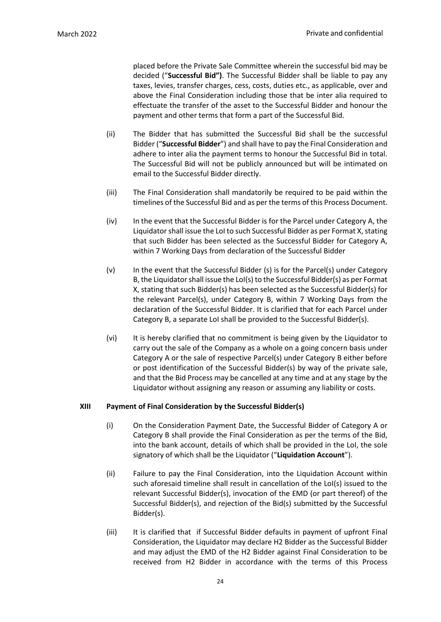placed before the Private Sale Committee wherein the successful bid may be decided ("**Successful Bid")**. The Successful Bidder shall be liable to pay any taxes, levies, transfer charges, cess, costs, duties etc., as applicable, over and above the Final Consideration including those that be inter alia required to effectuate the transfer of the asset to the Successful Bidder and honour the payment and other terms that form a part of the Successful Bid.

- (ii) The Bidder that has submitted the Successful Bid shall be the successful Bidder ("**Successful Bidder**") and shall have to pay the Final Consideration and adhere to inter alia the payment terms to honour the Successful Bid in total. The Successful Bid will not be publicly announced but will be intimated on email to the Successful Bidder directly.
- (iii) The Final Consideration shall mandatorily be required to be paid within the timelines of the Successful Bid and as per the terms of this Process Document.
- (iv) In the event that the Successful Bidder is for the Parcel under Category A, the Liquidator shall issue the LoI to such Successful Bidder as per Format X, stating that such Bidder has been selected as the Successful Bidder for Category A, within 7 Working Days from declaration of the Successful Bidder
- (v) In the event that the Successful Bidder (s) is for the Parcel(s) under Category B, the Liquidator shall issue the LoI(s) to the Successful Bidder(s) as per Format X, stating that such Bidder(s) has been selected as the Successful Bidder(s) for the relevant Parcel(s), under Category B, within 7 Working Days from the declaration of the Successful Bidder. It is clarified that for each Parcel under Category B, a separate LoI shall be provided to the Successful Bidder(s).
- (vi) It is hereby clarified that no commitment is being given by the Liquidator to carry out the sale of the Company as a whole on a going concern basis under Category A or the sale of respective Parcel(s) under Category B either before or post identification of the Successful Bidder(s) by way of the private sale, and that the Bid Process may be cancelled at any time and at any stage by the Liquidator without assigning any reason or assuming any liability or costs.

#### **XIII Payment of Final Consideration by the Successful Bidder(s)**

- (i) On the Consideration Payment Date, the Successful Bidder of Category A or Category B shall provide the Final Consideration as per the terms of the Bid, into the bank account, details of which shall be provided in the LoI, the sole signatory of which shall be the Liquidator ("**Liquidation Account**").
- (ii) Failure to pay the Final Consideration, into the Liquidation Account within such aforesaid timeline shall result in cancellation of the LoI(s) issued to the relevant Successful Bidder(s), invocation of the EMD (or part thereof) of the Successful Bidder(s), and rejection of the Bid(s) submitted by the Successful Bidder(s).
- (iii) It is clarified that if Successful Bidder defaults in payment of upfront Final Consideration, the Liquidator may declare H2 Bidder as the Successful Bidder and may adjust the EMD of the H2 Bidder against Final Consideration to be received from H2 Bidder in accordance with the terms of this Process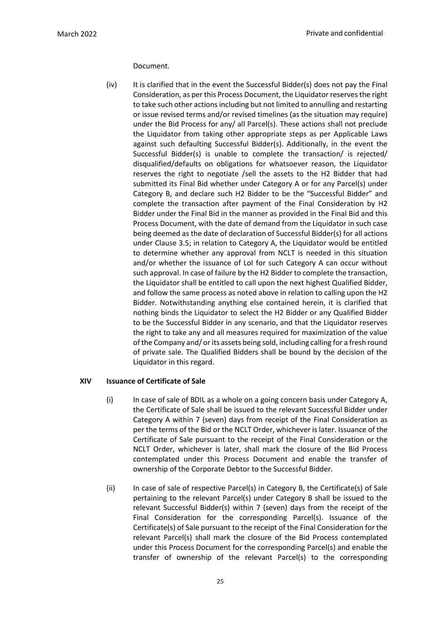## Document.

(iv) It is clarified that in the event the Successful Bidder(s) does not pay the Final Consideration, as per this Process Document, the Liquidator reserves the right to take such other actions including but not limited to annulling and restarting or issue revised terms and/or revised timelines (as the situation may require) under the Bid Process for any/ all Parcel(s). These actions shall not preclude the Liquidator from taking other appropriate steps as per Applicable Laws against such defaulting Successful Bidder(s). Additionally, in the event the Successful Bidder(s) is unable to complete the transaction/ is rejected/ disqualified/defaults on obligations for whatsoever reason, the Liquidator reserves the right to negotiate /sell the assets to the H2 Bidder that had submitted its Final Bid whether under Category A or for any Parcel(s) under Category B, and declare such H2 Bidder to be the "Successful Bidder" and complete the transaction after payment of the Final Consideration by H2 Bidder under the Final Bid in the manner as provided in the Final Bid and this Process Document, with the date of demand from the Liquidator in such case being deemed as the date of declaration of Successful Bidder(s) for all actions under Clause 3.5; in relation to Category A, the Liquidator would be entitled to determine whether any approval from NCLT is needed in this situation and/or whether the issuance of LoI for such Category A can occur without such approval. In case of failure by the H2 Bidder to complete the transaction, the Liquidator shall be entitled to call upon the next highest Qualified Bidder, and follow the same process as noted above in relation to calling upon the H2 Bidder. Notwithstanding anything else contained herein, it is clarified that nothing binds the Liquidator to select the H2 Bidder or any Qualified Bidder to be the Successful Bidder in any scenario, and that the Liquidator reserves the right to take any and all measures required for maximization of the value of the Company and/ or its assets being sold, including calling for a fresh round of private sale. The Qualified Bidders shall be bound by the decision of the Liquidator in this regard.

# **XIV Issuance of Certificate of Sale**

- (i) In case of sale of BDIL as a whole on a going concern basis under Category A, the Certificate of Sale shall be issued to the relevant Successful Bidder under Category A within 7 (seven) days from receipt of the Final Consideration as per the terms of the Bid or the NCLT Order, whichever is later. Issuance of the Certificate of Sale pursuant to the receipt of the Final Consideration or the NCLT Order, whichever is later, shall mark the closure of the Bid Process contemplated under this Process Document and enable the transfer of ownership of the Corporate Debtor to the Successful Bidder.
- (ii) In case of sale of respective Parcel(s) in Category B, the Certificate(s) of Sale pertaining to the relevant Parcel(s) under Category B shall be issued to the relevant Successful Bidder(s) within 7 (seven) days from the receipt of the Final Consideration for the corresponding Parcel(s). Issuance of the Certificate(s) of Sale pursuant to the receipt of the Final Consideration for the relevant Parcel(s) shall mark the closure of the Bid Process contemplated under this Process Document for the corresponding Parcel(s) and enable the transfer of ownership of the relevant Parcel(s) to the corresponding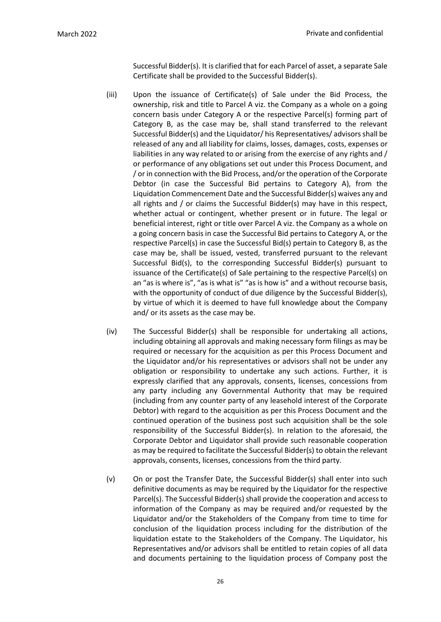Successful Bidder(s). It is clarified that for each Parcel of asset, a separate Sale Certificate shall be provided to the Successful Bidder(s).

- (iii) Upon the issuance of Certificate(s) of Sale under the Bid Process, the ownership, risk and title to Parcel A viz. the Company as a whole on a going concern basis under Category A or the respective Parcel(s) forming part of Category B, as the case may be, shall stand transferred to the relevant Successful Bidder(s) and the Liquidator/ his Representatives/ advisors shall be released of any and all liability for claims, losses, damages, costs, expenses or liabilities in any way related to or arising from the exercise of any rights and / or performance of any obligations set out under this Process Document, and / or in connection with the Bid Process, and/or the operation of the Corporate Debtor (in case the Successful Bid pertains to Category A), from the Liquidation Commencement Date and the Successful Bidder(s) waives any and all rights and / or claims the Successful Bidder(s) may have in this respect, whether actual or contingent, whether present or in future. The legal or beneficial interest, right or title over Parcel A viz. the Company as a whole on a going concern basis in case the Successful Bid pertains to Category A, or the respective Parcel(s) in case the Successful Bid(s) pertain to Category B, as the case may be, shall be issued, vested, transferred pursuant to the relevant Successful Bid(s), to the corresponding Successful Bidder(s) pursuant to issuance of the Certificate(s) of Sale pertaining to the respective Parcel(s) on an "as is where is", "as is what is" "as is how is" and a without recourse basis, with the opportunity of conduct of due diligence by the Successful Bidder(s), by virtue of which it is deemed to have full knowledge about the Company and/ or its assets as the case may be.
- (iv) The Successful Bidder(s) shall be responsible for undertaking all actions, including obtaining all approvals and making necessary form filings as may be required or necessary for the acquisition as per this Process Document and the Liquidator and/or his representatives or advisors shall not be under any obligation or responsibility to undertake any such actions. Further, it is expressly clarified that any approvals, consents, licenses, concessions from any party including any Governmental Authority that may be required (including from any counter party of any leasehold interest of the Corporate Debtor) with regard to the acquisition as per this Process Document and the continued operation of the business post such acquisition shall be the sole responsibility of the Successful Bidder(s). In relation to the aforesaid, the Corporate Debtor and Liquidator shall provide such reasonable cooperation as may be required to facilitate the Successful Bidder(s) to obtain the relevant approvals, consents, licenses, concessions from the third party.
- (v) On or post the Transfer Date, the Successful Bidder(s) shall enter into such definitive documents as may be required by the Liquidator for the respective Parcel(s). The Successful Bidder(s) shall provide the cooperation and access to information of the Company as may be required and/or requested by the Liquidator and/or the Stakeholders of the Company from time to time for conclusion of the liquidation process including for the distribution of the liquidation estate to the Stakeholders of the Company. The Liquidator, his Representatives and/or advisors shall be entitled to retain copies of all data and documents pertaining to the liquidation process of Company post the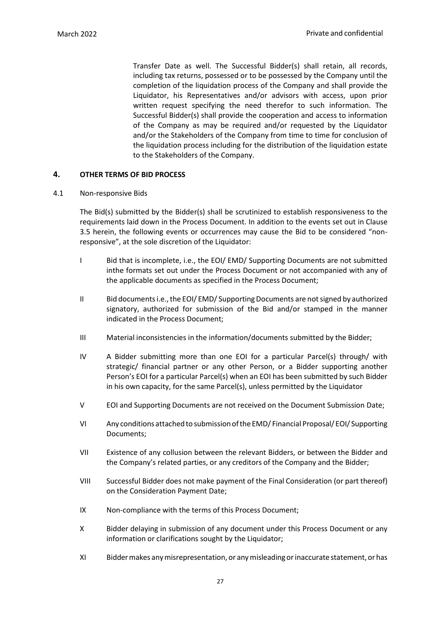Transfer Date as well. The Successful Bidder(s) shall retain, all records, including tax returns, possessed or to be possessed by the Company until the completion of the liquidation process of the Company and shall provide the Liquidator, his Representatives and/or advisors with access, upon prior written request specifying the need therefor to such information. The Successful Bidder(s) shall provide the cooperation and access to information of the Company as may be required and/or requested by the Liquidator and/or the Stakeholders of the Company from time to time for conclusion of the liquidation process including for the distribution of the liquidation estate to the Stakeholders of the Company.

# <span id="page-32-0"></span>**4. OTHER TERMS OF BID PROCESS**

#### 4.1 Non-responsive Bids

The Bid(s) submitted by the Bidder(s) shall be scrutinized to establish responsiveness to the requirements laid down in the Process Document. In addition to the events set out in Clause 3.5 herein, the following events or occurrences may cause the Bid to be considered "nonresponsive", at the sole discretion of the Liquidator:

- I Bid that is incomplete, i.e., the EOI/ EMD/ Supporting Documents are not submitted inthe formats set out under the Process Document or not accompanied with any of the applicable documents as specified in the Process Document;
- II Bid documents i.e., the EOI/ EMD/ Supporting Documents are not signed by authorized signatory, authorized for submission of the Bid and/or stamped in the manner indicated in the Process Document;
- III Material inconsistencies in the information/documents submitted by the Bidder;
- IV A Bidder submitting more than one EOI for a particular Parcel(s) through/ with strategic/ financial partner or any other Person, or a Bidder supporting another Person's EOI for a particular Parcel(s) when an EOI has been submitted by such Bidder in his own capacity, for the same Parcel(s), unless permitted by the Liquidator
- V EOI and Supporting Documents are not received on the Document Submission Date;
- VI Any conditions attached to submission of the EMD/ Financial Proposal/ EOI/ Supporting Documents;
- VII Existence of any collusion between the relevant Bidders, or between the Bidder and the Company's related parties, or any creditors of the Company and the Bidder;
- VIII Successful Bidder does not make payment of the Final Consideration (or part thereof) on the Consideration Payment Date;
- IX Non-compliance with the terms of this Process Document;
- X Bidder delaying in submission of any document under this Process Document or any information or clarifications sought by the Liquidator;
- XI Biddermakes anymisrepresentation, or anymisleadingorinaccurate statement, orhas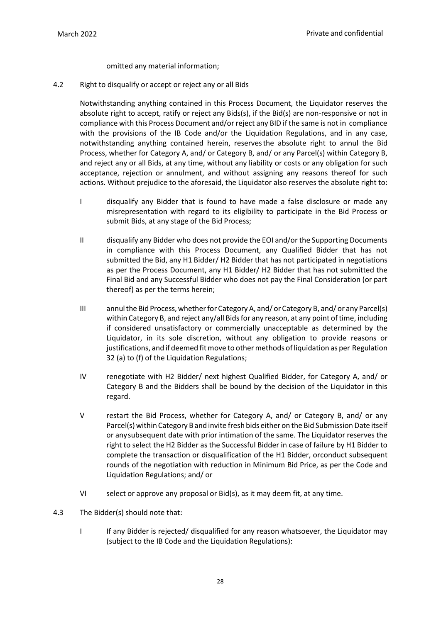omitted any material information;

4.2 Right to disqualify or accept or reject any or all Bids

Notwithstanding anything contained in this Process Document, the Liquidator reserves the absolute right to accept, ratify or reject any Bids(s), if the Bid(s) are non-responsive or not in compliance with this Process Document and/or reject any BID if the same is not in compliance with the provisions of the IB Code and/or the Liquidation Regulations, and in any case, notwithstanding anything contained herein, reservesthe absolute right to annul the Bid Process, whether for Category A, and/ or Category B, and/ or any Parcel(s) within Category B, and reject any or all Bids, at any time, without any liability or costs or any obligation for such acceptance, rejection or annulment, and without assigning any reasons thereof for such actions. Without prejudice to the aforesaid, the Liquidator also reserves the absolute right to:

- I disqualify any Bidder that is found to have made a false disclosure or made any misrepresentation with regard to its eligibility to participate in the Bid Process or submit Bids, at any stage of the Bid Process;
- II disqualify any Bidder who does not provide the EOI and/or the Supporting Documents in compliance with this Process Document, any Qualified Bidder that has not submitted the Bid, any H1 Bidder/ H2 Bidder that has not participated in negotiations as per the Process Document, any H1 Bidder/ H2 Bidder that has not submitted the Final Bid and any Successful Bidder who does not pay the Final Consideration (or part thereof) as per the terms herein;
- III annulthe Bid Process,whetherfor Category A, and/ orCategory B, and/ or any Parcel(s) within Category B, and reject any/all Bidsfor any reason, at any point oftime, including if considered unsatisfactory or commercially unacceptable as determined by the Liquidator, in its sole discretion, without any obligation to provide reasons or justifications, and if deemed fitmove to othermethods ofliquidation as per Regulation 32 (a) to (f) of the Liquidation Regulations;
- IV renegotiate with H2 Bidder/ next highest Qualified Bidder, for Category A, and/ or Category B and the Bidders shall be bound by the decision of the Liquidator in this regard.
- V restart the Bid Process, whether for Category A, and/ or Category B, and/ or any Parcel(s) within Category Band invite fresh bids eitheron the Bid Submission Date itself or any subsequent date with prior intimation of the same. The Liquidator reserves the right to select the H2 Bidder as the Successful Bidder in case of failure by H1 Bidder to complete the transaction or disqualification of the H1 Bidder, orconduct subsequent rounds of the negotiation with reduction in Minimum Bid Price, as per the Code and Liquidation Regulations; and/ or
- VI select or approve any proposal or Bid(s), as it may deem fit, at any time.
- 4.3 The Bidder(s) should note that:
	- I If any Bidder is rejected/ disqualified for any reason whatsoever, the Liquidator may (subject to the IB Code and the Liquidation Regulations):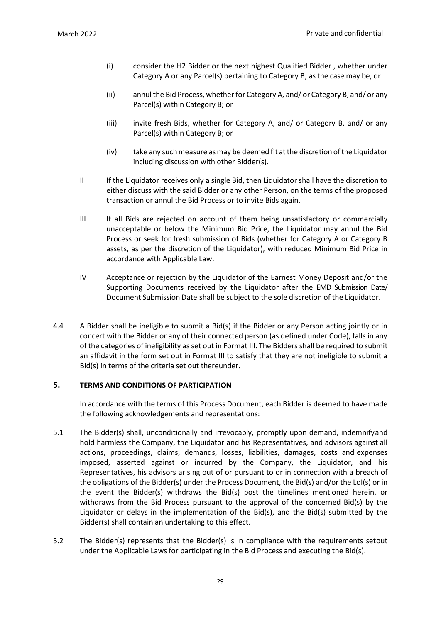- (i) consider the H2 Bidder or the next highest Qualified Bidder , whether under Category A or any Parcel(s) pertaining to Category B; as the case may be, or
- (ii) annul the Bid Process, whether for Category A, and/ or Category B, and/ or any Parcel(s) within Category B; or
- (iii) invite fresh Bids, whether for Category A, and/ or Category B, and/ or any Parcel(s) within Category B; or
- (iv) take any suchmeasure asmay be deemed fit atthe discretion ofthe Liquidator including discussion with other Bidder(s).
- II If the Liquidator receives only a single Bid, then Liquidator shall have the discretion to either discuss with the said Bidder or any other Person, on the terms of the proposed transaction or annul the Bid Process or to invite Bids again.
- III If all Bids are rejected on account of them being unsatisfactory or commercially unacceptable or below the Minimum Bid Price, the Liquidator may annul the Bid Process or seek for fresh submission of Bids (whether for Category A or Category B assets, as per the discretion of the Liquidator), with reduced Minimum Bid Price in accordance with Applicable Law.
- IV Acceptance or rejection by the Liquidator of the Earnest Money Deposit and/or the Supporting Documents received by the Liquidator after the EMD Submission Date/ Document Submission Date shall be subject to the sole discretion of the Liquidator.
- 4.4 A Bidder shall be ineligible to submit a Bid(s) if the Bidder or any Person acting jointly or in concert with the Bidder or any of their connected person (as defined under Code), falls in any of the categories of ineligibility as set out in Format III. The Bidders shall be required to submit an affidavit in the form set out in Format III to satisfy that they are not ineligible to submit a Bid(s) in terms of the criteria set out thereunder.

# <span id="page-34-0"></span>**5. TERMS AND CONDITIONS OF PARTICIPATION**

In accordance with the terms of this Process Document, each Bidder is deemed to have made the following acknowledgements and representations:

- 5.1 The Bidder(s) shall, unconditionally and irrevocably, promptly upon demand, indemnifyand hold harmless the Company, the Liquidator and his Representatives, and advisors against all actions, proceedings, claims, demands, losses, liabilities, damages, costs and expenses imposed, asserted against or incurred by the Company, the Liquidator, and his Representatives, his advisors arising out of or pursuant to or in connection with a breach of the obligations of the Bidder(s) under the Process Document, the Bid(s) and/or the LoI(s) or in the event the Bidder(s) withdraws the Bid(s) post the timelines mentioned herein, or withdraws from the Bid Process pursuant to the approval of the concerned Bid(s) by the Liquidator or delays in the implementation of the Bid(s), and the Bid(s) submitted by the Bidder(s) shall contain an undertaking to this effect.
- 5.2 The Bidder(s) represents that the Bidder(s) is in compliance with the requirements setout under the Applicable Laws for participating in the Bid Process and executing the Bid(s).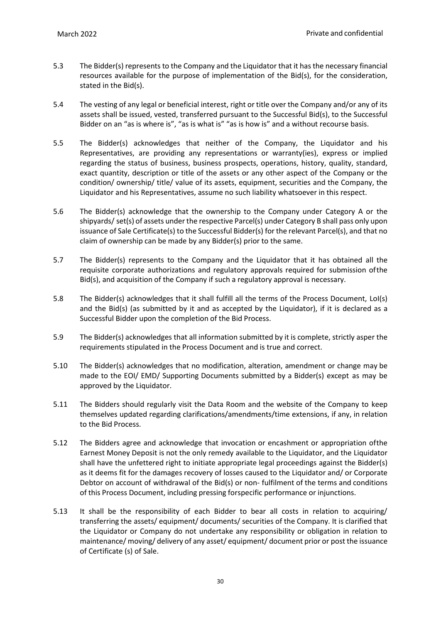- 5.3 The Bidder(s) represents to the Company and the Liquidator that it has the necessary financial resources available for the purpose of implementation of the Bid(s), for the consideration, stated in the Bid(s).
- 5.4 The vesting of any legal or beneficial interest, right or title over the Company and/or any of its assets shall be issued, vested, transferred pursuant to the Successful Bid(s), to the Successful Bidder on an "as is where is", "as is what is" "as is how is" and a without recourse basis.
- 5.5 The Bidder(s) acknowledges that neither of the Company, the Liquidator and his Representatives, are providing any representations or warranty(ies), express or implied regarding the status of business, business prospects, operations, history, quality, standard, exact quantity, description or title of the assets or any other aspect of the Company or the condition/ ownership/ title/ value of its assets, equipment, securities and the Company, the Liquidator and his Representatives, assume no such liability whatsoever in this respect.
- 5.6 The Bidder(s) acknowledge that the ownership to the Company under Category A or the shipyards/ set(s) of assets under the respective Parcel(s) under Category B shall pass only upon issuance of Sale Certificate(s) to the Successful Bidder(s) for the relevant Parcel(s), and that no claim of ownership can be made by any Bidder(s) prior to the same.
- 5.7 The Bidder(s) represents to the Company and the Liquidator that it has obtained all the requisite corporate authorizations and regulatory approvals required for submission ofthe Bid(s), and acquisition of the Company if such a regulatory approval is necessary.
- 5.8 The Bidder(s) acknowledges that it shall fulfill all the terms of the Process Document, LoI(s) and the Bid(s) (as submitted by it and as accepted by the Liquidator), if it is declared as a Successful Bidder upon the completion of the Bid Process.
- 5.9 The Bidder(s) acknowledges that all information submitted by it is complete, strictly asper the requirements stipulated in the Process Document and is true and correct.
- 5.10 The Bidder(s) acknowledges that no modification, alteration, amendment or change may be made to the EOI/ EMD/ Supporting Documents submitted by a Bidder(s) except as may be approved by the Liquidator.
- 5.11 The Bidders should regularly visit the Data Room and the website of the Company to keep themselves updated regarding clarifications/amendments/time extensions, if any, in relation to the Bid Process.
- 5.12 The Bidders agree and acknowledge that invocation or encashment or appropriation ofthe Earnest Money Deposit is not the only remedy available to the Liquidator, and the Liquidator shall have the unfettered right to initiate appropriate legal proceedings against the Bidder(s) as it deems fit for the damages recovery of losses caused to the Liquidator and/ or Corporate Debtor on account of withdrawal of the Bid(s) or non- fulfilment of the terms and conditions of this Process Document, including pressing forspecific performance or injunctions.
- 5.13 It shall be the responsibility of each Bidder to bear all costs in relation to acquiring/ transferring the assets/ equipment/ documents/ securities of the Company. It is clarified that the Liquidator or Company do not undertake any responsibility or obligation in relation to maintenance/ moving/ delivery of any asset/ equipment/ document prior or post the issuance of Certificate (s) of Sale.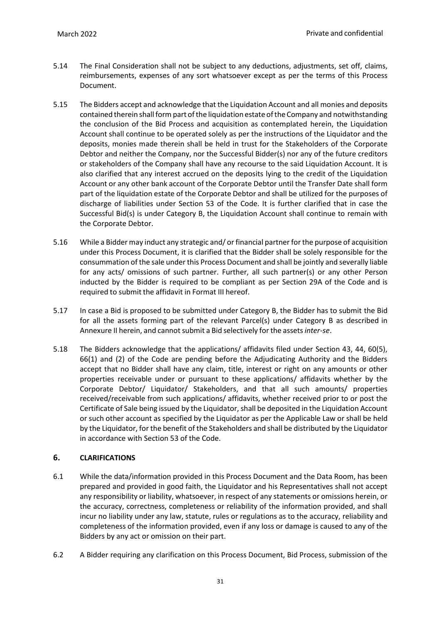- 5.14 The Final Consideration shall not be subject to any deductions, adjustments, set off, claims, reimbursements, expenses of any sort whatsoever except as per the terms of this Process Document.
- 5.15 The Bidders accept and acknowledge that the Liquidation Account and all monies and deposits contained therein shall form part of the liquidation estate of the Company and notwithstanding the conclusion of the Bid Process and acquisition as contemplated herein, the Liquidation Account shall continue to be operated solely as per the instructions of the Liquidator and the deposits, monies made therein shall be held in trust for the Stakeholders of the Corporate Debtor and neither the Company, nor the Successful Bidder(s) nor any of the future creditors or stakeholders of the Company shall have any recourse to the said Liquidation Account. It is also clarified that any interest accrued on the deposits lying to the credit of the Liquidation Account or any other bank account of the Corporate Debtor until the Transfer Date shall form part of the liquidation estate of the Corporate Debtor and shall be utilized for the purposes of discharge of liabilities under Section 53 of the Code. It is further clarified that in case the Successful Bid(s) is under Category B, the Liquidation Account shall continue to remain with the Corporate Debtor.
- 5.16 While a Bidder may induct any strategic and/ or financial partner for the purpose of acquisition under this Process Document, it is clarified that the Bidder shall be solely responsible for the consummation of the sale under this Process Document and shall be jointly and severally liable for any acts/ omissions of such partner. Further, all such partner(s) or any other Person inducted by the Bidder is required to be compliant as per Section 29A of the Code and is required to submit the affidavit in Format III hereof.
- 5.17 In case a Bid is proposed to be submitted under Category B, the Bidder has to submit the Bid for all the assets forming part of the relevant Parcel(s) under Category B as described in Annexure II herein, and cannot submit a Bid selectively for the assets inter-se.
- 5.18 The Bidders acknowledge that the applications/ affidavits filed under Section 43, 44, 60(5), 66(1) and (2) of the Code are pending before the Adjudicating Authority and the Bidders accept that no Bidder shall have any claim, title, interest or right on any amounts or other properties receivable under or pursuant to these applications/ affidavits whether by the Corporate Debtor/ Liquidator/ Stakeholders, and that all such amounts/ properties received/receivable from such applications/ affidavits, whether received prior to or post the Certificate of Sale being issued by the Liquidator, shall be deposited in the Liquidation Account or such other account as specified by the Liquidator as per the Applicable Law or shall be held by the Liquidator, for the benefit of the Stakeholders and shall be distributed by the Liquidator in accordance with Section 53 of the Code.

# **6. CLARIFICATIONS**

- 6.1 While the data/information provided in this Process Document and the Data Room, has been prepared and provided in good faith, the Liquidator and his Representatives shall not accept any responsibility or liability, whatsoever, in respect of any statements or omissions herein, or the accuracy, correctness, completeness or reliability of the information provided, and shall incur no liability under any law, statute, rules or regulations as to the accuracy, reliability and completeness of the information provided, even if any loss or damage is caused to any of the Bidders by any act or omission on their part.
- 6.2 A Bidder requiring any clarification on this Process Document, Bid Process, submission of the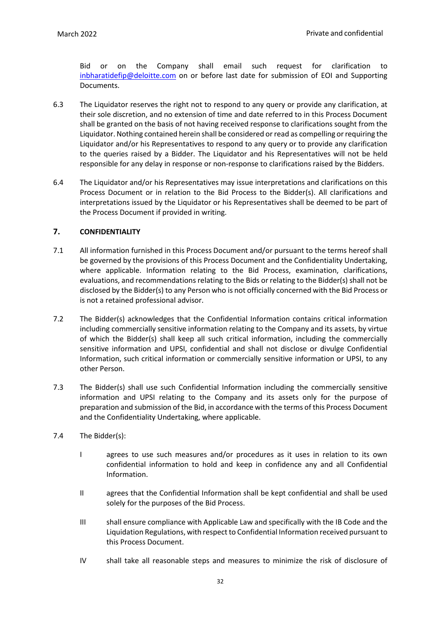Bid or on the Company shall email such request for clarification to [inbharatidefip@deloitte.com](mailto:inbharatidefip@deloitte.com) on or before last date for submission of EOI and Supporting Documents.

- 6.3 The Liquidator reserves the right not to respond to any query or provide any clarification, at their sole discretion, and no extension of time and date referred to in this Process Document shall be granted on the basis of not having received response to clarifications sought from the Liquidator. Nothing contained herein shall be considered or read as compelling or requiring the Liquidator and/or his Representatives to respond to any query or to provide any clarification to the queries raised by a Bidder. The Liquidator and his Representatives will not be held responsible for any delay in response or non-response to clarifications raised by the Bidders.
- 6.4 The Liquidator and/or his Representatives may issue interpretations and clarifications on this Process Document or in relation to the Bid Process to the Bidder(s). All clarifications and interpretations issued by the Liquidator or his Representatives shall be deemed to be part of the Process Document if provided in writing.

# **7. CONFIDENTIALITY**

- 7.1 All information furnished in this Process Document and/or pursuant to the terms hereof shall be governed by the provisions of this Process Document and the Confidentiality Undertaking, where applicable. Information relating to the Bid Process, examination, clarifications, evaluations, and recommendations relating to the Bids or relating to the Bidder(s) shall not be disclosed by the Bidder(s) to any Person who is not officially concerned with the Bid Process or is not a retained professional advisor.
- 7.2 The Bidder(s) acknowledges that the Confidential Information contains critical information including commercially sensitive information relating to the Company and its assets, by virtue of which the Bidder(s) shall keep all such critical information, including the commercially sensitive information and UPSI, confidential and shall not disclose or divulge Confidential Information, such critical information or commercially sensitive information or UPSI, to any other Person.
- 7.3 The Bidder(s) shall use such Confidential Information including the commercially sensitive information and UPSI relating to the Company and its assets only for the purpose of preparation and submission of the Bid, in accordance with the terms of this Process Document and the Confidentiality Undertaking, where applicable.
- 7.4 The Bidder(s):
	- I agrees to use such measures and/or procedures as it uses in relation to its own confidential information to hold and keep in confidence any and all Confidential Information.
	- II agrees that the Confidential Information shall be kept confidential and shall be used solely for the purposes of the Bid Process.
	- III shall ensure compliance with Applicable Law and specifically with the IB Code and the Liquidation Regulations, with respect to Confidential Information received pursuant to this Process Document.
	- IV shall take all reasonable steps and measures to minimize the risk of disclosure of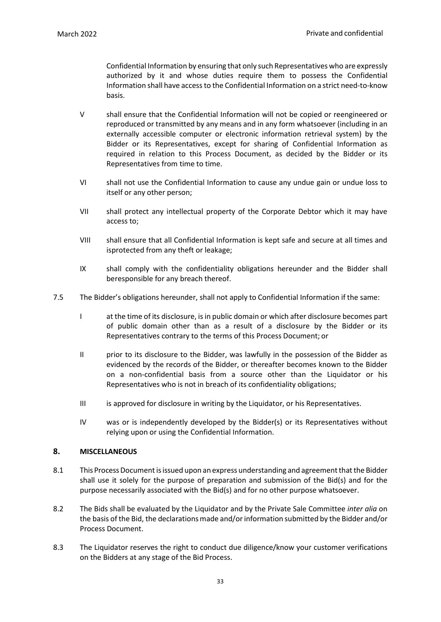Confidential Information by ensuring that only such Representatives who are expressly authorized by it and whose duties require them to possess the Confidential Information shall have accessto the Confidential Information on a strict need-to-know basis.

- V shall ensure that the Confidential Information will not be copied or reengineered or reproduced or transmitted by any means and in any form whatsoever (including in an externally accessible computer or electronic information retrieval system) by the Bidder or its Representatives, except for sharing of Confidential Information as required in relation to this Process Document, as decided by the Bidder or its Representatives from time to time.
- VI shall not use the Confidential Information to cause any undue gain or undue loss to itself or any other person;
- VII shall protect any intellectual property of the Corporate Debtor which it may have access to;
- VIII shall ensure that all Confidential Information is kept safe and secure at all times and isprotected from any theft or leakage;
- IX shall comply with the confidentiality obligations hereunder and the Bidder shall beresponsible for any breach thereof.
- 7.5 The Bidder's obligations hereunder, shall not apply to Confidential Information if the same:
	- I at the time of its disclosure, is in public domain or which after disclosure becomes part of public domain other than as a result of a disclosure by the Bidder or its Representatives contrary to the terms of this Process Document; or
	- II prior to its disclosure to the Bidder, was lawfully in the possession of the Bidder as evidenced by the records of the Bidder, or thereafter becomes known to the Bidder on a non-confidential basis from a source other than the Liquidator or his Representatives who is not in breach of its confidentiality obligations;
	- III is approved for disclosure in writing by the Liquidator, or his Representatives.
	- IV was or is independently developed by the Bidder(s) or its Representatives without relying upon or using the Confidential Information.

### **8. MISCELLANEOUS**

- 8.1 This Process Document is issued upon an express understanding and agreement that the Bidder shall use it solely for the purpose of preparation and submission of the Bid(s) and for the purpose necessarily associated with the Bid(s) and for no other purpose whatsoever.
- 8.2 The Bids shall be evaluated by the Liquidator and by the Private Sale Committee *inter alia* on the basis of the Bid, the declarations made and/or information submitted by the Bidder and/or Process Document.
- 8.3 The Liquidator reserves the right to conduct due diligence/know your customer verifications on the Bidders at any stage of the Bid Process.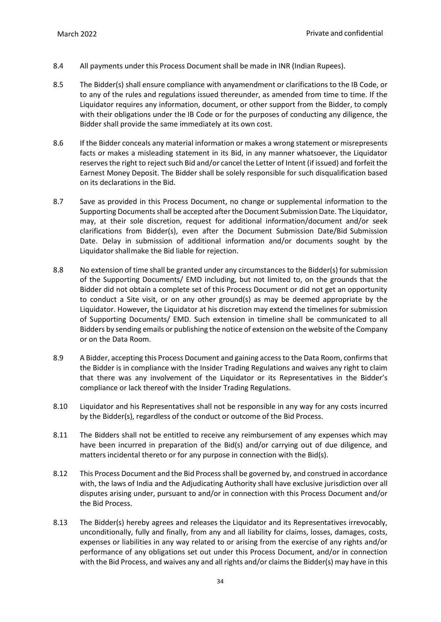- 8.4 All payments under this Process Document shall be made in INR (Indian Rupees).
- 8.5 The Bidder(s) shall ensure compliance with anyamendment or clarifications to the IB Code, or to any of the rules and regulations issued thereunder, as amended from time to time. If the Liquidator requires any information, document, or other support from the Bidder, to comply with their obligations under the IB Code or for the purposes of conducting any diligence, the Bidder shall provide the same immediately at its own cost.
- 8.6 If the Bidder conceals any material information or makes a wrong statement or misrepresents facts or makes a misleading statement in its Bid, in any manner whatsoever, the Liquidator reserves the right to reject such Bid and/or cancel the Letter of Intent (if issued) and forfeit the Earnest Money Deposit. The Bidder shall be solely responsible for such disqualification based on its declarations in the Bid.
- 8.7 Save as provided in this Process Document, no change or supplemental information to the Supporting Documents shall be accepted after the Document Submission Date. The Liquidator, may, at their sole discretion, request for additional information/document and/or seek clarifications from Bidder(s), even after the Document Submission Date/Bid Submission Date. Delay in submission of additional information and/or documents sought by the Liquidator shall make the Bid liable for rejection.
- 8.8 No extension of time shall be granted under any circumstances to the Bidder(s) for submission of the Supporting Documents/ EMD including, but not limited to, on the grounds that the Bidder did not obtain a complete set of this Process Document or did not get an opportunity to conduct a Site visit, or on any other ground(s) as may be deemed appropriate by the Liquidator. However, the Liquidator at his discretion may extend the timelines for submission of Supporting Documents/ EMD. Such extension in timeline shall be communicated to all Bidders by sending emails or publishing the notice of extension on the website of the Company or on the Data Room.
- 8.9 A Bidder, accepting this Process Document and gaining accessto the Data Room, confirmsthat the Bidder is in compliance with the Insider Trading Regulations and waives any right to claim that there was any involvement of the Liquidator or its Representatives in the Bidder's compliance or lack thereof with the Insider Trading Regulations.
- 8.10 Liquidator and his Representatives shall not be responsible in any way for any costs incurred by the Bidder(s), regardless of the conduct or outcome of the Bid Process.
- 8.11 The Bidders shall not be entitled to receive any reimbursement of any expenses which may have been incurred in preparation of the Bid(s) and/or carrying out of due diligence, and matters incidental thereto or for any purpose in connection with the Bid(s).
- 8.12 This Process Document and the Bid Processshall be governed by, and construed in accordance with, the laws of India and the Adjudicating Authority shall have exclusive jurisdiction over all disputes arising under, pursuant to and/or in connection with this Process Document and/or the Bid Process.
- 8.13 The Bidder(s) hereby agrees and releases the Liquidator and its Representatives irrevocably, unconditionally, fully and finally, from any and all liability for claims, losses, damages, costs, expenses or liabilities in any way related to or arising from the exercise of any rights and/or performance of any obligations set out under this Process Document, and/or in connection with the Bid Process, and waives any and all rights and/or claims the Bidder(s) may have in this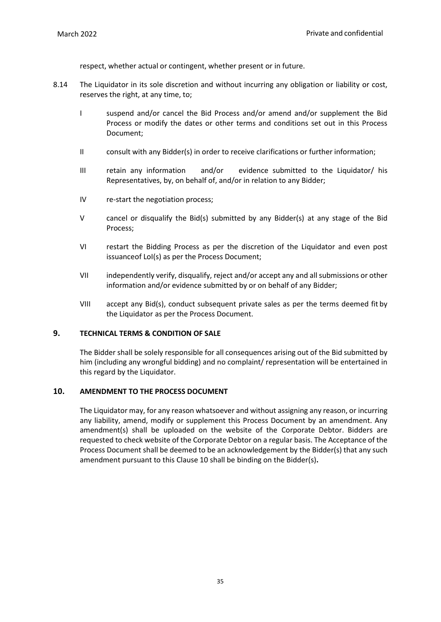respect, whether actual or contingent, whether present or in future.

- 8.14 The Liquidator in its sole discretion and without incurring any obligation or liability or cost, reserves the right, at any time, to;
	- I suspend and/or cancel the Bid Process and/or amend and/or supplement the Bid Process or modify the dates or other terms and conditions set out in this Process Document;
	- II consult with any Bidder(s) in order to receive clarifications or further information;
	- III retain any information and/or evidence submitted to the Liquidator/ his Representatives, by, on behalf of, and/or in relation to any Bidder;
	- IV re-start the negotiation process;
	- V cancel or disqualify the Bid(s) submitted by any Bidder(s) at any stage of the Bid Process;
	- VI restart the Bidding Process as per the discretion of the Liquidator and even post issuanceof LoI(s) as per the Process Document;
	- VII independently verify, disqualify, reject and/or accept any and all submissions or other information and/or evidence submitted by or on behalf of any Bidder;
	- VIII accept any Bid(s), conduct subsequent private sales as per the terms deemed fit by the Liquidator as per the Process Document.

### **9. TECHNICAL TERMS & CONDITION OF SALE**

The Bidder shall be solely responsible for all consequences arising out of the Bid submitted by him (including any wrongful bidding) and no complaint/ representation will be entertained in this regard by the Liquidator.

### **10. AMENDMENT TO THE PROCESS DOCUMENT**

The Liquidator may, for any reason whatsoever and without assigning any reason, or incurring any liability, amend, modify or supplement this Process Document by an amendment. Any amendment(s) shall be uploaded on the website of the Corporate Debtor. Bidders are requested to check website of the Corporate Debtor on a regular basis. The Acceptance of the Process Document shall be deemed to be an acknowledgement by the Bidder(s) that any such amendment pursuant to this Clause 10 shall be binding on the Bidder(s)**.**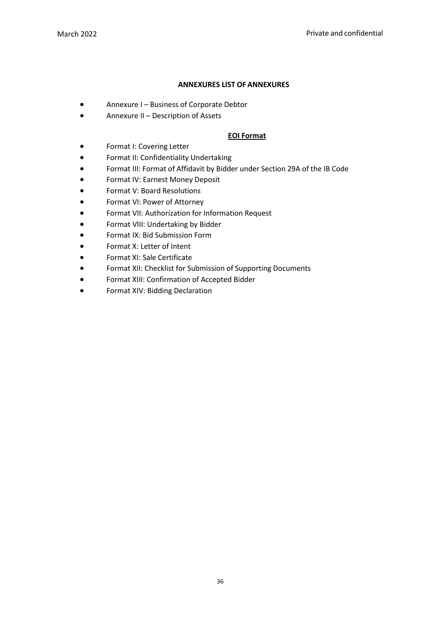# **ANNEXURES LIST OF ANNEXURES**

- Annexure I Business of Corporate Debtor
- Annexure II Description of Assets

# **EOI Format**

- Format I: Covering Letter
- Format II: Confidentiality Undertaking
- Format III: Format of Affidavit by Bidder under Section 29A of the IB Code
- Format IV: Earnest Money Deposit
- Format V: Board Resolutions
- Format VI: Power of Attorney
- Format VII: Authorization for Information Request
- Format VIII: Undertaking by Bidder
- Format IX: Bid Submission Form
- Format X: Letter of Intent
- Format XI: Sale Certificate
- Format XII: Checklist for Submission of Supporting Documents
- Format XIII: Confirmation of Accepted Bidder
- Format XIV: Bidding Declaration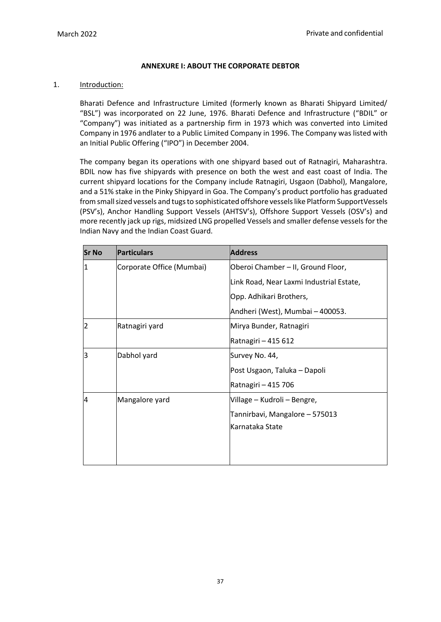### **ANNEXURE I: ABOUT THE CORPORATE DEBTOR**

#### 1. Introduction:

Bharati Defence and Infrastructure Limited (formerly known as Bharati Shipyard Limited/ "BSL") was incorporated on 22 June, 1976. Bharati Defence and Infrastructure ("BDIL" or "Company") was initiated as a partnership firm in 1973 which was converted into Limited Company in 1976 andlater to a Public Limited Company in 1996. The Company was listed with an Initial Public Offering ("IPO") in December 2004.

The company began its operations with one shipyard based out of Ratnagiri, Maharashtra. BDIL now has five shipyards with presence on both the west and east coast of India. The current shipyard locations for the Company include Ratnagiri, Usgaon (Dabhol), Mangalore, and a 51% stake in the Pinky Shipyard in Goa. The Company's product portfolio has graduated from small sized vessels and tugs to sophisticated offshore vessels like Platform SupportVessels (PSV's), Anchor Handling Support Vessels (AHTSV's), Offshore Support Vessels (OSV's) and more recently jack up rigs, midsized LNG propelled Vessels and smaller defense vessels for the Indian Navy and the Indian Coast Guard.

| <b>Sr No</b>   | Particulars               | <b>Address</b>                           |
|----------------|---------------------------|------------------------------------------|
| 1              | Corporate Office (Mumbai) | Oberoi Chamber - II, Ground Floor,       |
|                |                           | Link Road, Near Laxmi Industrial Estate, |
|                |                           | Opp. Adhikari Brothers,                  |
|                |                           | Andheri (West), Mumbai - 400053.         |
| $\overline{2}$ | Ratnagiri yard            | Mirya Bunder, Ratnagiri                  |
|                |                           | Ratnagiri - 415 612                      |
| lз             | Dabhol yard               | Survey No. 44,                           |
|                |                           | Post Usgaon, Taluka - Dapoli             |
|                |                           | Ratnagiri - 415 706                      |
| 4              | Mangalore yard            | Village - Kudroli - Bengre,              |
|                |                           | Tannirbavi, Mangalore - 575013           |
|                |                           | Karnataka State                          |
|                |                           |                                          |
|                |                           |                                          |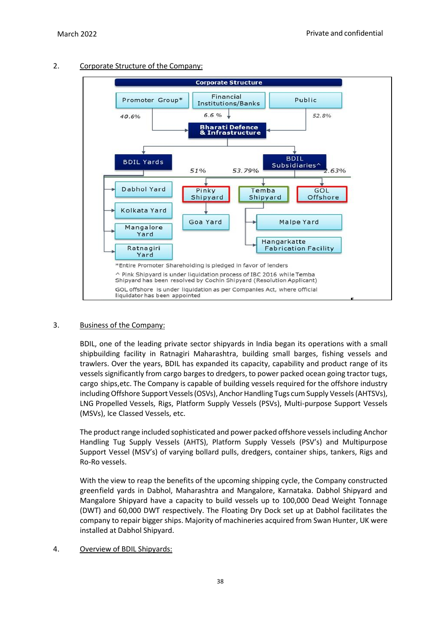

# 2. Corporate Structure of the Company:

# 3. Business of the Company:

BDIL, one of the leading private sector shipyards in India began its operations with a small shipbuilding facility in Ratnagiri Maharashtra, building small barges, fishing vessels and trawlers. Over the years, BDIL has expanded its capacity, capability and product range of its vessels significantly from cargo barges to dredgers, to power packed ocean going tractor tugs, cargo ships,etc. The Company is capable of building vessels required for the offshore industry including Offshore Support Vessels (OSVs), Anchor Handling Tugs cum Supply Vessels (AHTSVs), LNG Propelled Vessels, Rigs, Platform Supply Vessels (PSVs), Multi-purpose Support Vessels (MSVs), Ice Classed Vessels, etc.

The product range included sophisticated and power packed offshore vessels including Anchor Handling Tug Supply Vessels (AHTS), Platform Supply Vessels (PSV's) and Multipurpose Support Vessel (MSV's) of varying bollard pulls, dredgers, container ships, tankers, Rigs and Ro-Ro vessels.

With the view to reap the benefits of the upcoming shipping cycle, the Company constructed greenfield yards in Dabhol, Maharashtra and Mangalore, Karnataka. Dabhol Shipyard and Mangalore Shipyard have a capacity to build vessels up to 100,000 Dead Weight Tonnage (DWT) and 60,000 DWT respectively. The Floating Dry Dock set up at Dabhol facilitates the company to repair bigger ships. Majority of machineries acquired from Swan Hunter, UK were installed at Dabhol Shipyard.

# 4. Overview of BDIL Shipyards: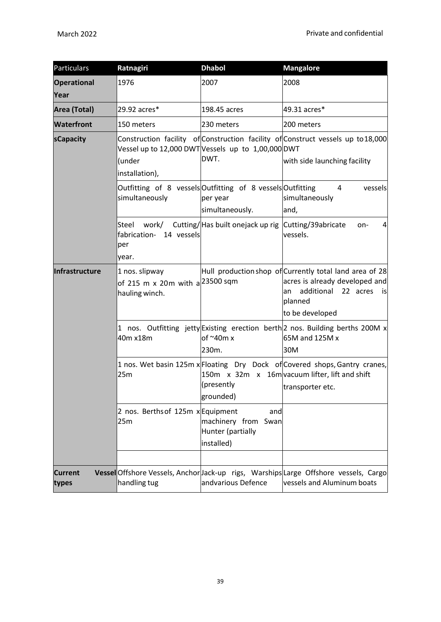| Particulars                | Ratnagiri                                                                     | <b>Dhabol</b>                                                    | <b>Mangalore</b>                                                                                                                                               |  |  |
|----------------------------|-------------------------------------------------------------------------------|------------------------------------------------------------------|----------------------------------------------------------------------------------------------------------------------------------------------------------------|--|--|
| <b>Operational</b><br>Year | 1976                                                                          | 2007                                                             | 2008                                                                                                                                                           |  |  |
| Area (Total)               | 29.92 acres*                                                                  | 198.45 acres                                                     | 49.31 acres*                                                                                                                                                   |  |  |
| <b>Waterfront</b>          | 150 meters                                                                    | 230 meters                                                       | 200 meters                                                                                                                                                     |  |  |
| sCapacity                  | Vessel up to 12,000 DWTVessels up to 1,00,000 DWT<br>(under<br>installation), | DWT.                                                             | Construction facility of Construction facility of Construct vessels up to 18,000<br>with side launching facility                                               |  |  |
|                            | Outfitting of 8 vessels Outfitting of 8 vessels Outfitting<br>simultaneously  | per year<br>simultaneously.                                      | 4<br>vessels<br>simultaneously<br>and,                                                                                                                         |  |  |
|                            | Steel<br>work/<br>14 vessels<br>fabrication-<br>per<br>year.                  | Cutting/Has built onejack up rig Cutting/39abricate              | on-<br>4<br>vessels.                                                                                                                                           |  |  |
| Infrastructure             | 1 nos. slipway<br>of 215 m x 20m with a $^{23500}$ sqm<br>hauling winch.      |                                                                  | Hull production shop of Currently total land area of 28<br>acres is already developed and<br>additional<br>22 acres<br>lan<br>is<br>planned<br>to be developed |  |  |
|                            | 40m x18m                                                                      | of $\sim$ 40m x<br>230m.                                         | 1 nos. Outfitting jetty Existing erection berth 2 nos. Building berths 200M x<br>65M and 125M x<br>30M                                                         |  |  |
|                            | 25m                                                                           | (presently<br>grounded)                                          | 1 nos. Wet basin 125m x Floating Dry Dock of Covered shops, Gantry cranes,<br>150 $m \times 32m \times 16m$ vacuum lifter, lift and shift<br>transporter etc.  |  |  |
|                            | 2 nos. Berths of 125m x Equipment<br>25m                                      | and<br>machinery from<br>Swan<br>Hunter (partially<br>installed) |                                                                                                                                                                |  |  |
| <b>Current</b><br>types    | handling tug                                                                  | andvarious Defence                                               | Vessel Offshore Vessels, Anchor Jack-up rigs, Warships Large Offshore vessels, Cargo<br>vessels and Aluminum boats                                             |  |  |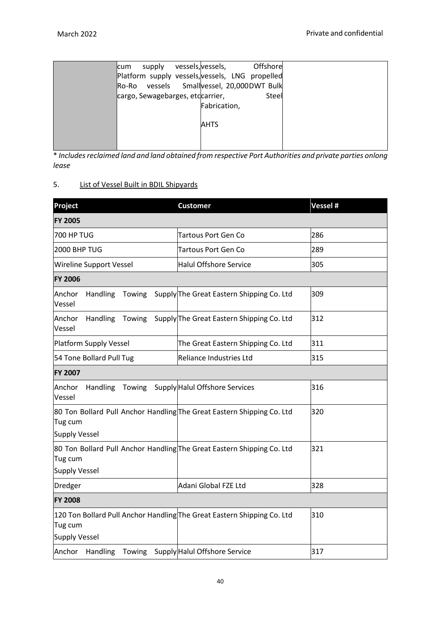| lcum | supply                           | vessels, vessels, | Offshore                                        |  |
|------|----------------------------------|-------------------|-------------------------------------------------|--|
|      |                                  |                   | Platform supply vessels, vessels, LNG propelled |  |
|      |                                  |                   | Ro-Ro vessels Smallvessel, 20,000DWT Bulk       |  |
|      | cargo, Sewagebarges, etccarrier, |                   | Steel                                           |  |
|      |                                  | Fabrication,      |                                                 |  |
|      |                                  |                   |                                                 |  |
|      |                                  | <b>AHTS</b>       |                                                 |  |
|      |                                  |                   |                                                 |  |
|      |                                  |                   |                                                 |  |

\* *Includesreclaimed land and land obtained from respective Port Authorities and private parties onlong lease*

# 5. List of Vessel Built in BDIL Shipyards

| Project                                                                                                    | <b>Customer</b>                                  | Vessel # |
|------------------------------------------------------------------------------------------------------------|--------------------------------------------------|----------|
| <b>FY 2005</b>                                                                                             |                                                  |          |
| 700 HP TUG                                                                                                 | <b>Tartous Port Gen Co</b>                       | 286      |
| 2000 BHP TUG                                                                                               | <b>Tartous Port Gen Co</b>                       | 289      |
| Wireline Support Vessel                                                                                    | <b>Halul Offshore Service</b>                    | 305      |
| <b>FY 2006</b>                                                                                             |                                                  |          |
| Anchor<br><b>Handling</b><br>Vessel                                                                        | Towing Supply The Great Eastern Shipping Co. Ltd | 309      |
| Handling<br>Anchor<br>Towing<br>Vessel                                                                     | Supply The Great Eastern Shipping Co. Ltd        | 312      |
| <b>Platform Supply Vessel</b>                                                                              | The Great Eastern Shipping Co. Ltd               | 311      |
| 54 Tone Bollard Pull Tug                                                                                   | Reliance Industries Ltd                          | 315      |
| <b>FY 2007</b>                                                                                             |                                                  |          |
| Anchor<br>Handling<br>Vessel                                                                               | Towing Supply Halul Offshore Services            | 316      |
| 80 Ton Bollard Pull Anchor Handling The Great Eastern Shipping Co. Ltd<br>Tug cum<br><b>Supply Vessel</b>  |                                                  | 320      |
| 80 Ton Bollard Pull Anchor Handling The Great Eastern Shipping Co. Ltd<br>Tug cum<br><b>Supply Vessel</b>  |                                                  | 321      |
| Dredger                                                                                                    | Adani Global FZE Ltd                             | 328      |
| <b>FY 2008</b>                                                                                             |                                                  |          |
| 120 Ton Bollard Pull Anchor Handling The Great Eastern Shipping Co. Ltd<br>Tug cum<br><b>Supply Vessel</b> |                                                  | 310      |
| Anchor Handling<br>Towing                                                                                  | Supply Halul Offshore Service                    | 317      |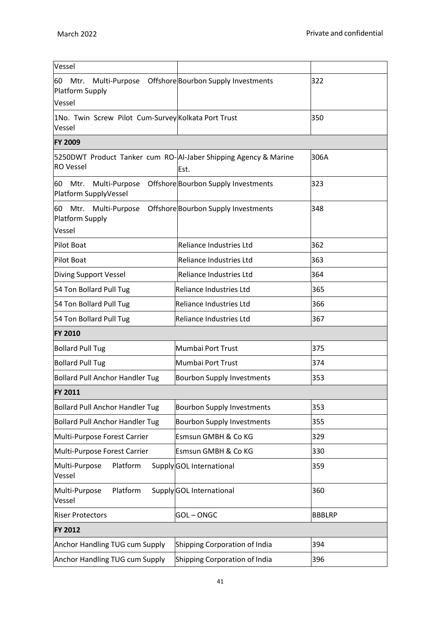| Vessel                                                                              |                                     |               |
|-------------------------------------------------------------------------------------|-------------------------------------|---------------|
| Mtr.<br>Multi-Purpose<br>60<br>Platform Supply<br>Vessel                            | Offshore Bourbon Supply Investments | 322           |
| 1No. Twin Screw Pilot Cum-Survey Kolkata Port Trust<br>Vessel                       |                                     | 350           |
| <b>FY 2009</b>                                                                      |                                     |               |
| 5250DWT Product Tanker cum RO-AI-Jaber Shipping Agency & Marine<br><b>RO</b> Vessel | Est.                                | 306A          |
| Multi-Purpose<br>60 Mtr.<br>Platform SupplyVessel                                   | Offshore Bourbon Supply Investments | 323           |
| Mtr. Multi-Purpose<br>60<br>Platform Supply<br>Vessel                               | Offshore Bourbon Supply Investments | 348           |
| Pilot Boat                                                                          | Reliance Industries Ltd             | 362           |
| Pilot Boat                                                                          | Reliance Industries Ltd             | 363           |
| Diving Support Vessel                                                               | Reliance Industries Ltd             | 364           |
| 54 Ton Bollard Pull Tug                                                             | <b>Reliance Industries Ltd</b>      | 365           |
| 54 Ton Bollard Pull Tug                                                             | <b>Reliance Industries Ltd</b>      | 366           |
| 54 Ton Bollard Pull Tug                                                             | Reliance Industries Ltd             | 367           |
| <b>FY 2010</b>                                                                      |                                     |               |
| <b>Bollard Pull Tug</b>                                                             | Mumbai Port Trust                   | 375           |
| <b>Bollard Pull Tug</b>                                                             | Mumbai Port Trust                   | 374           |
| <b>Bollard Pull Anchor Handler Tug</b>                                              | <b>Bourbon Supply Investments</b>   | 353           |
| <b>FY 2011</b>                                                                      |                                     |               |
| <b>Bollard Pull Anchor Handler Tug</b>                                              | <b>Bourbon Supply Investments</b>   | 353           |
| <b>Bollard Pull Anchor Handler Tug</b>                                              | <b>Bourbon Supply Investments</b>   | 355           |
| Multi-Purpose Forest Carrier                                                        | Esmsun GMBH & Co KG                 | 329           |
| Multi-Purpose Forest Carrier                                                        | <b>Esmsun GMBH &amp; Co KG</b>      | 330           |
| Platform<br>Multi-Purpose<br>Vessel                                                 | Supply GOL International            | 359           |
| Platform<br>Multi-Purpose<br>Vessel                                                 | Supply GOL International            | 360           |
| <b>Riser Protectors</b>                                                             | <b>GOL-ONGC</b>                     | <b>BBBLRP</b> |
| <b>FY 2012</b>                                                                      |                                     |               |
| Anchor Handling TUG cum Supply                                                      | Shipping Corporation of India       | 394           |
| <b>Anchor Handling TUG cum Supply</b>                                               | Shipping Corporation of India       | 396           |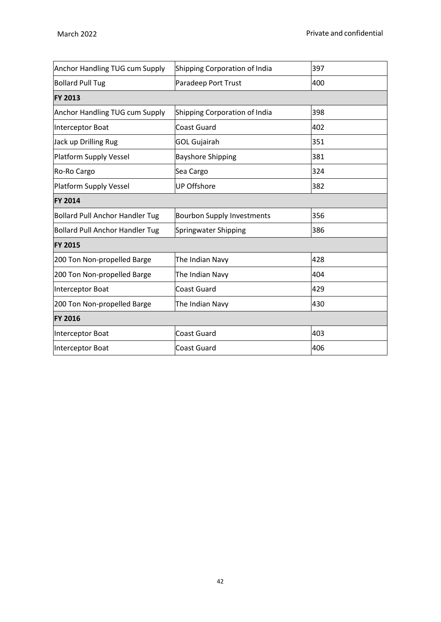| <b>Anchor Handling TUG cum Supply</b>  | Shipping Corporation of India     | 397 |
|----------------------------------------|-----------------------------------|-----|
| <b>Bollard Pull Tug</b>                | Paradeep Port Trust               | 400 |
| <b>FY 2013</b>                         |                                   |     |
| <b>Anchor Handling TUG cum Supply</b>  | Shipping Corporation of India     | 398 |
| Interceptor Boat                       | <b>Coast Guard</b>                | 402 |
| Jack up Drilling Rug                   | <b>GOL Gujairah</b>               | 351 |
| Platform Supply Vessel                 | <b>Bayshore Shipping</b>          | 381 |
| Ro-Ro Cargo                            | Sea Cargo                         | 324 |
| Platform Supply Vessel                 | <b>UP Offshore</b>                | 382 |
| <b>FY 2014</b>                         |                                   |     |
| <b>Bollard Pull Anchor Handler Tug</b> | <b>Bourbon Supply Investments</b> | 356 |
| <b>Bollard Pull Anchor Handler Tug</b> | Springwater Shipping              | 386 |
| <b>FY 2015</b>                         |                                   |     |
| 200 Ton Non-propelled Barge            | The Indian Navy                   | 428 |
| 200 Ton Non-propelled Barge            | The Indian Navy                   | 404 |
| Interceptor Boat                       | <b>Coast Guard</b>                | 429 |
| 200 Ton Non-propelled Barge            | The Indian Navy                   | 430 |
| <b>FY 2016</b>                         |                                   |     |
| Interceptor Boat                       | <b>Coast Guard</b>                | 403 |
| Interceptor Boat                       | <b>Coast Guard</b>                | 406 |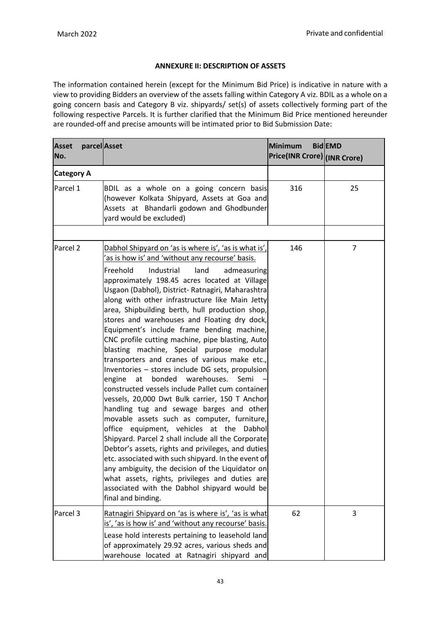# **ANNEXURE II: DESCRIPTION OF ASSETS**

The information contained herein (except for the Minimum Bid Price) is indicative in nature with a view to providing Bidders an overview of the assets falling within Category A viz. BDIL as a whole on a going concern basis and Category B viz. shipyards/ set(s) of assets collectively forming part of the following respective Parcels. It is further clarified that the Minimum Bid Price mentioned hereunder are rounded-off and precise amounts will be intimated prior to Bid Submission Date:

| <b>Asset</b><br>No. | parcel Asset                                                                                                                                                                                                                                                                                                                                                                                                                                                                                                                                                                                                                                                                                                                                                                                                                                                                                                                                                                                                                                                                                                                                                                                                                                                                                                           | <b>Minimum</b><br>Price(INR Crore) (INR Crore) | <b>BidEMD</b>  |
|---------------------|------------------------------------------------------------------------------------------------------------------------------------------------------------------------------------------------------------------------------------------------------------------------------------------------------------------------------------------------------------------------------------------------------------------------------------------------------------------------------------------------------------------------------------------------------------------------------------------------------------------------------------------------------------------------------------------------------------------------------------------------------------------------------------------------------------------------------------------------------------------------------------------------------------------------------------------------------------------------------------------------------------------------------------------------------------------------------------------------------------------------------------------------------------------------------------------------------------------------------------------------------------------------------------------------------------------------|------------------------------------------------|----------------|
| <b>Category A</b>   |                                                                                                                                                                                                                                                                                                                                                                                                                                                                                                                                                                                                                                                                                                                                                                                                                                                                                                                                                                                                                                                                                                                                                                                                                                                                                                                        |                                                |                |
| Parcel 1            | BDIL as a whole on a going concern basis<br>(however Kolkata Shipyard, Assets at Goa and<br>Assets at Bhandarli godown and Ghodbunder<br>yard would be excluded)                                                                                                                                                                                                                                                                                                                                                                                                                                                                                                                                                                                                                                                                                                                                                                                                                                                                                                                                                                                                                                                                                                                                                       | 316                                            | 25             |
| Parcel <sub>2</sub> | Dabhol Shipyard on 'as is where is', 'as is what is',<br>as is how is' and 'without any recourse' basis.<br>Industrial<br>Freehold<br>land<br>admeasuring<br>approximately 198.45 acres located at Village<br>Usgaon (Dabhol), District- Ratnagiri, Maharashtra<br>along with other infrastructure like Main Jetty<br>area, Shipbuilding berth, hull production shop,<br>stores and warehouses and Floating dry dock,<br>Equipment's include frame bending machine,<br>CNC profile cutting machine, pipe blasting, Auto<br>blasting machine, Special purpose modular<br>transporters and cranes of various make etc.,<br>Inventories - stores include DG sets, propulsion<br>bonded<br>warehouses.<br>engine<br>at<br>Semi<br>constructed vessels include Pallet cum container<br>vessels, 20,000 Dwt Bulk carrier, 150 T Anchor<br>handling tug and sewage barges and other<br>movable assets such as computer, furniture,<br>office equipment, vehicles at the Dabhol<br>Shipyard. Parcel 2 shall include all the Corporate<br>Debtor's assets, rights and privileges, and duties<br>etc. associated with such shipyard. In the event of<br>any ambiguity, the decision of the Liquidator on<br>what assets, rights, privileges and duties are<br>associated with the Dabhol shipyard would be<br>final and binding. | 146                                            | $\overline{7}$ |
| Parcel <sub>3</sub> | Ratnagiri Shipyard on 'as is where is', 'as is what<br>is', 'as is how is' and 'without any recourse' basis.<br>Lease hold interests pertaining to leasehold land<br>of approximately 29.92 acres, various sheds and<br>warehouse located at Ratnagiri shipyard and                                                                                                                                                                                                                                                                                                                                                                                                                                                                                                                                                                                                                                                                                                                                                                                                                                                                                                                                                                                                                                                    | 62                                             | 3              |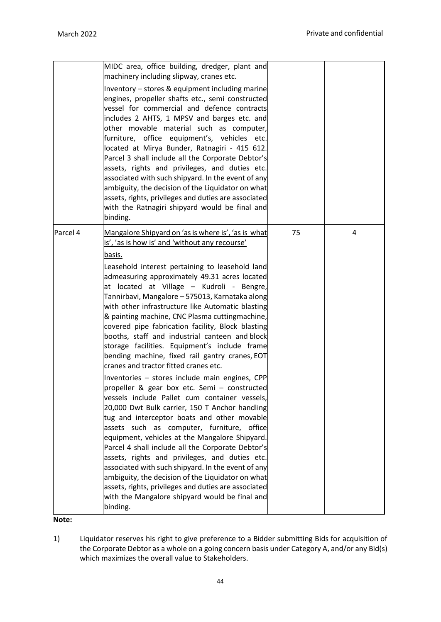|          | MIDC area, office building, dredger, plant and<br>machinery including slipway, cranes etc.<br>Inventory - stores & equipment including marine<br>engines, propeller shafts etc., semi constructed<br>vessel for commercial and defence contracts<br>includes 2 AHTS, 1 MPSV and barges etc. and<br>other movable material such as computer,<br>furniture, office equipment's, vehicles etc.<br>located at Mirya Bunder, Ratnagiri - 415 612.<br>Parcel 3 shall include all the Corporate Debtor's<br>assets, rights and privileges, and duties etc.<br>associated with such shipyard. In the event of any<br>ambiguity, the decision of the Liquidator on what<br>assets, rights, privileges and duties are associated<br>with the Ratnagiri shipyard would be final and<br>binding.                                                                                                                                                                                                                                                                                                                                                                                                                                                                                                                                                                                      |    |   |
|----------|---------------------------------------------------------------------------------------------------------------------------------------------------------------------------------------------------------------------------------------------------------------------------------------------------------------------------------------------------------------------------------------------------------------------------------------------------------------------------------------------------------------------------------------------------------------------------------------------------------------------------------------------------------------------------------------------------------------------------------------------------------------------------------------------------------------------------------------------------------------------------------------------------------------------------------------------------------------------------------------------------------------------------------------------------------------------------------------------------------------------------------------------------------------------------------------------------------------------------------------------------------------------------------------------------------------------------------------------------------------------------|----|---|
| Parcel 4 | Mangalore Shipyard on 'as is where is', 'as is what<br>is', 'as is how is' and 'without any recourse'<br>basis.<br>Leasehold interest pertaining to leasehold land<br>admeasuring approximately 49.31 acres located<br>at located at Village - Kudroli - Bengre,<br>Tannirbavi, Mangalore - 575013, Karnataka along<br>with other infrastructure like Automatic blasting<br>& painting machine, CNC Plasma cuttingmachine,<br>covered pipe fabrication facility, Block blasting<br>booths, staff and industrial canteen and block<br>storage facilities. Equipment's include frame<br>bending machine, fixed rail gantry cranes, EOT<br>cranes and tractor fitted cranes etc.<br>Inventories - stores include main engines, CPP<br>propeller & gear box etc. Semi - constructed<br>vessels include Pallet cum container vessels,<br>20,000 Dwt Bulk carrier, 150 T Anchor handling<br>tug and interceptor boats and other movable<br>assets such as computer, furniture, office<br>equipment, vehicles at the Mangalore Shipyard.<br>Parcel 4 shall include all the Corporate Debtor's<br>assets, rights and privileges, and duties etc.<br>associated with such shipyard. In the event of any<br>ambiguity, the decision of the Liquidator on what<br>assets, rights, privileges and duties are associated<br>with the Mangalore shipyard would be final and<br>binding. | 75 | 4 |

**Note:**

1) Liquidator reserves his right to give preference to a Bidder submitting Bids for acquisition of the Corporate Debtor as a whole on a going concern basis under Category A, and/or any Bid(s) which maximizes the overall value to Stakeholders.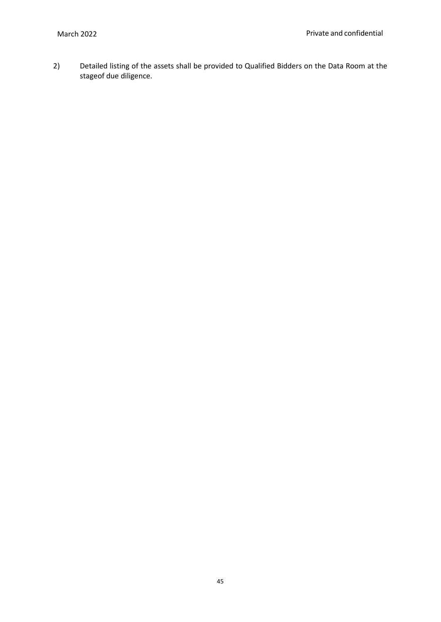2) Detailed listing of the assets shall be provided to Qualified Bidders on the Data Room at the stageof due diligence.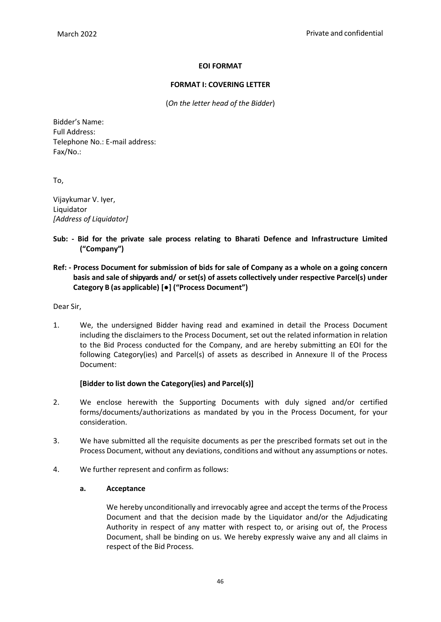# **EOI FORMAT**

### **FORMAT I: COVERING LETTER**

(*On the letter head of the Bidder*)

Bidder's Name: Full Address: Telephone No.: E-mail address: Fax/No.:

To,

Vijaykumar V. Iyer, Liquidator *[Address of Liquidator]*

- **Sub: - Bid for the private sale process relating to Bharati Defence and Infrastructure Limited ("Company")**
- **Ref: - Process Document for submission of bids for sale of Company as a whole on a going concern basis and sale ofshipyards and/ or set(s) of assets collectively under respective Parcel(s) under Category B (as applicable) [●] ("Process Document")**

Dear Sir,

1. We, the undersigned Bidder having read and examined in detail the Process Document including the disclaimers to the Process Document, set out the related information in relation to the Bid Process conducted for the Company, and are hereby submitting an EOI for the following Category(ies) and Parcel(s) of assets as described in Annexure II of the Process Document:

### **[Bidder to list down the Category(ies) and Parcel(s)]**

- 2. We enclose herewith the Supporting Documents with duly signed and/or certified forms/documents/authorizations as mandated by you in the Process Document, for your consideration.
- 3. We have submitted all the requisite documents as per the prescribed formats set out in the Process Document, without any deviations, conditions and without any assumptions or notes.
- 4. We further represent and confirm as follows:

### **a. Acceptance**

We hereby unconditionally and irrevocably agree and accept the terms of the Process Document and that the decision made by the Liquidator and/or the Adjudicating Authority in respect of any matter with respect to, or arising out of, the Process Document, shall be binding on us. We hereby expressly waive any and all claims in respect of the Bid Process.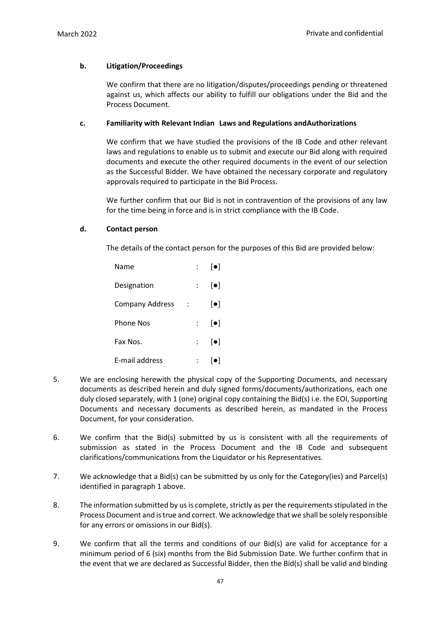# **b. Litigation/Proceedings**

We confirm that there are no litigation/disputes/proceedings pending or threatened against us, which affects our ability to fulfill our obligations under the Bid and the Process Document.

### **c. Familiarity with Relevant Indian Laws and Regulations andAuthorizations**

We confirm that we have studied the provisions of the IB Code and other relevant laws and regulations to enable us to submit and execute our Bid along with required documents and execute the other required documents in the event of our selection as the Successful Bidder. We have obtained the necessary corporate and regulatory approvals required to participate in the Bid Process.

We further confirm that our Bid is not in contravention of the provisions of any law for the time being in force and is in strict compliance with the IB Code.

# **d. Contact person**

The details of the contact person for the purposes of this Bid are provided below:

| Name                   |  | $[\bullet]$              |
|------------------------|--|--------------------------|
| Designation            |  | $[\bullet]$              |
| <b>Company Address</b> |  | $[\bullet]$              |
| <b>Phone Nos</b>       |  | $\left[ \bullet \right]$ |
| Fax Nos.               |  | $[\bullet]$              |
| E-mail address         |  | ●                        |

- 5. We are enclosing herewith the physical copy of the Supporting Documents, and necessary documents as described herein and duly signed forms/documents/authorizations, each one duly closed separately, with 1 (one) original copy containing the Bid(s) i.e. the EOI, Supporting Documents and necessary documents as described herein, as mandated in the Process Document, for your consideration.
- 6. We confirm that the Bid(s) submitted by us is consistent with all the requirements of submission as stated in the Process Document and the IB Code and subsequent clarifications/communications from the Liquidator or his Representatives.
- 7. We acknowledge that a Bid(s) can be submitted by us only for the Category(ies) and Parcel(s) identified in paragraph 1 above.
- 8. The information submitted by us is complete, strictly as per the requirements stipulated in the Process Document and istrue and correct. We acknowledge that we shall be solely responsible for any errors or omissions in our Bid(s).
- 9. We confirm that all the terms and conditions of our Bid(s) are valid for acceptance for a minimum period of 6 (six) months from the Bid Submission Date. We further confirm that in the event that we are declared as Successful Bidder, then the Bid(s) shall be valid and binding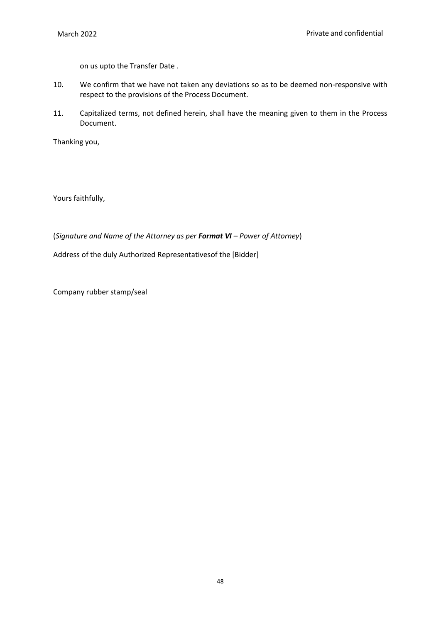on us upto the Transfer Date .

- 10. We confirm that we have not taken any deviations so as to be deemed non-responsive with respect to the provisions of the Process Document.
- 11. Capitalized terms, not defined herein, shall have the meaning given to them in the Process Document.

Thanking you,

Yours faithfully,

(*Signature and Name of the Attorney as per Format VI – Power of Attorney*)

Address of the duly Authorized Representativesof the [Bidder]

Company rubber stamp/seal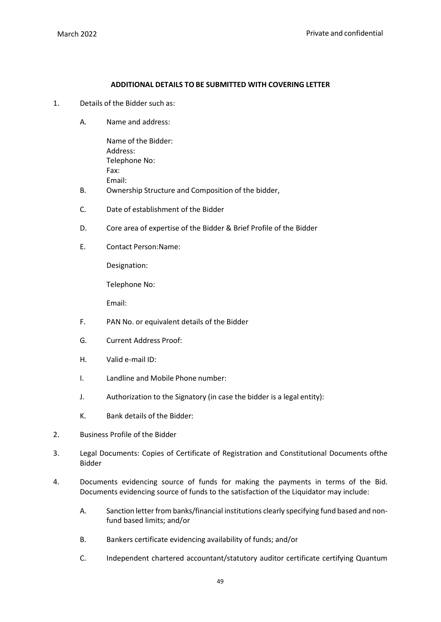#### **ADDITIONAL DETAILS TO BE SUBMITTED WITH COVERING LETTER**

- 1. Details of the Bidder such as:
	- A. Name and address:

Name of the Bidder: Address: Telephone No: Fax: Email:

- B. Ownership Structure and Composition of the bidder,
- C. Date of establishment of the Bidder
- D. Core area of expertise of the Bidder & Brief Profile of the Bidder
- E. Contact Person:Name:

Designation:

Telephone No:

Email:

- F. PAN No. or equivalent details of the Bidder
- G. Current Address Proof:
- H. Valid e-mail ID:
- I. Landline and Mobile Phone number:
- J. Authorization to the Signatory (in case the bidder is a legal entity):
- K. Bank details of the Bidder:
- 2. Business Profile of the Bidder
- 3. Legal Documents: Copies of Certificate of Registration and Constitutional Documents ofthe Bidder
- 4. Documents evidencing source of funds for making the payments in terms of the Bid. Documents evidencing source of funds to the satisfaction of the Liquidator may include:
	- A. Sanction letter from banks/financial institutions clearly specifying fund based and nonfund based limits; and/or
	- B. Bankers certificate evidencing availability of funds; and/or
	- C. Independent chartered accountant/statutory auditor certificate certifying Quantum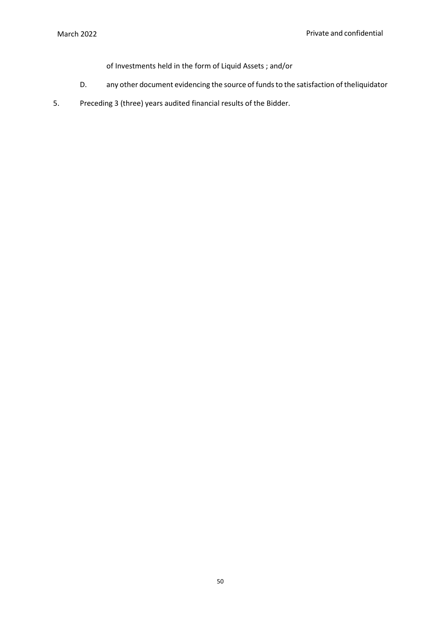of Investments held in the form of Liquid Assets ; and/or

- D. any other document evidencing the source of funds to the satisfaction of theliquidator
- 5. Preceding 3 (three) years audited financial results of the Bidder.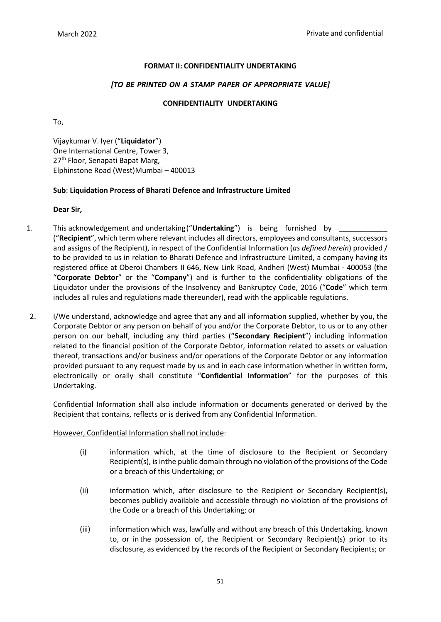# **FORMAT II: CONFIDENTIALITY UNDERTAKING**

### *[TO BE PRINTED ON A STAMP PAPER OF APPROPRIATE VALUE]*

# **CONFIDENTIALITY UNDERTAKING**

To,

Vijaykumar V. Iyer ("**Liquidator**") One International Centre, Tower 3, 27<sup>th</sup> Floor, Senapati Bapat Marg, Elphinstone Road (West)Mumbai – 400013

# **Sub**: **Liquidation Process of Bharati Defence and Infrastructure Limited**

### **Dear Sir,**

- 1. This acknowledgement and undertaking ("Undertaking") is being furnished by ("**Recipient**", which term where relevant includes all directors, employees and consultants, successors and assigns of the Recipient), in respect of the Confidential Information (*as defined herein*) provided / to be provided to us in relation to Bharati Defence and Infrastructure Limited, a company having its registered office at Oberoi Chambers II 646, New Link Road, Andheri (West) Mumbai - 400053 (the "**Corporate Debtor**" or the "**Company**") and is further to the confidentiality obligations of the Liquidator under the provisions of the Insolvency and Bankruptcy Code, 2016 ("**Code**" which term includes all rules and regulations made thereunder), read with the applicable regulations.
- 2. I/We understand, acknowledge and agree that any and all information supplied, whether by you, the Corporate Debtor or any person on behalf of you and/or the Corporate Debtor, to us or to any other person on our behalf, including any third parties ("**Secondary Recipient**") including information related to the financial position of the Corporate Debtor, information related to assets or valuation thereof, transactions and/or business and/or operations of the Corporate Debtor or any information provided pursuant to any request made by us and in each case information whether in written form, electronically or orally shall constitute "**Confidential Information**" for the purposes of this Undertaking.

Confidential Information shall also include information or documents generated or derived by the Recipient that contains, reflects or is derived from any Confidential Information.

### However, Confidential Information shall not include:

- (i) information which, at the time of disclosure to the Recipient or Secondary Recipient(s), is inthe public domain through no violation of the provisions of the Code or a breach of this Undertaking; or
- (ii) information which, after disclosure to the Recipient or Secondary Recipient(s), becomes publicly available and accessible through no violation of the provisions of the Code or a breach of this Undertaking; or
- (iii) information which was, lawfully and without any breach of this Undertaking, known to, or in the possession of, the Recipient or Secondary Recipient(s) prior to its disclosure, as evidenced by the records of the Recipient or Secondary Recipients; or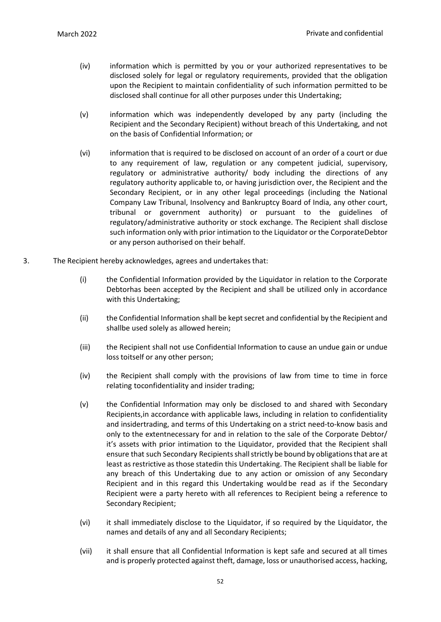- (iv) information which is permitted by you or your authorized representatives to be disclosed solely for legal or regulatory requirements, provided that the obligation upon the Recipient to maintain confidentiality of such information permitted to be disclosed shall continue for all other purposes under this Undertaking;
- (v) information which was independently developed by any party (including the Recipient and the Secondary Recipient) without breach of this Undertaking, and not on the basis of Confidential Information; or
- (vi) information that is required to be disclosed on account of an order of a court or due to any requirement of law, regulation or any competent judicial, supervisory, regulatory or administrative authority/ body including the directions of any regulatory authority applicable to, or having jurisdiction over, the Recipient and the Secondary Recipient, or in any other legal proceedings (including the National Company Law Tribunal, Insolvency and Bankruptcy Board of India, any other court, tribunal or government authority) or pursuant to the guidelines of regulatory/administrative authority or stock exchange. The Recipient shall disclose such information only with prior intimation to the Liquidator or the CorporateDebtor or any person authorised on their behalf.
- 3. The Recipient hereby acknowledges, agrees and undertakes that:
	- (i) the Confidential Information provided by the Liquidator in relation to the Corporate Debtorhas been accepted by the Recipient and shall be utilized only in accordance with this Undertaking;
	- (ii) the Confidential Information shall be kept secret and confidential by the Recipient and shallbe used solely as allowed herein;
	- (iii) the Recipient shall not use Confidential Information to cause an undue gain or undue loss toitself or any other person;
	- (iv) the Recipient shall comply with the provisions of law from time to time in force relating toconfidentiality and insider trading;
	- (v) the Confidential Information may only be disclosed to and shared with Secondary Recipients,in accordance with applicable laws, including in relation to confidentiality and insidertrading, and terms of this Undertaking on a strict need-to-know basis and only to the extentnecessary for and in relation to the sale of the Corporate Debtor/ it's assets with prior intimation to the Liquidator, provided that the Recipient shall ensure that such Secondary Recipients shall strictly be bound by obligations that are at least asrestrictive asthose statedin this Undertaking. The Recipient shall be liable for any breach of this Undertaking due to any action or omission of any Secondary Recipient and in this regard this Undertaking would be read as if the Secondary Recipient were a party hereto with all references to Recipient being a reference to Secondary Recipient;
	- (vi) it shall immediately disclose to the Liquidator, if so required by the Liquidator, the names and details of any and all Secondary Recipients;
	- (vii) it shall ensure that all Confidential Information is kept safe and secured at all times and is properly protected against theft, damage, loss or unauthorised access, hacking,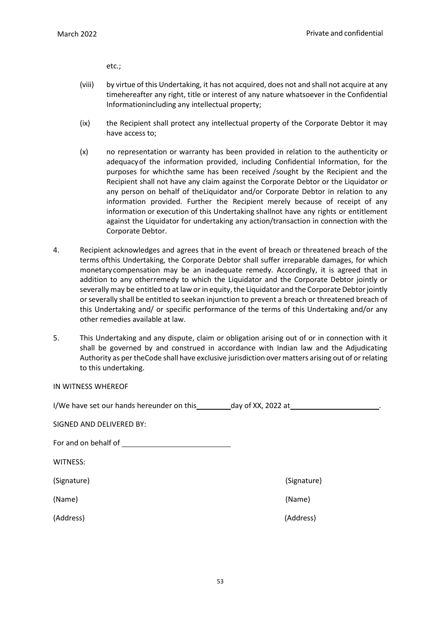etc.;

- (viii) by virtue of this Undertaking, it has not acquired, does not and shall not acquire at any timehereafter any right, title or interest of any nature whatsoever in the Confidential Informationincluding any intellectual property;
- (ix) the Recipient shall protect any intellectual property of the Corporate Debtor it may have access to;
- (x) no representation or warranty has been provided in relation to the authenticity or adequacyof the information provided, including Confidential Information, for the purposes for whichthe same has been received /sought by the Recipient and the Recipient shall not have any claim against the Corporate Debtor or the Liquidator or any person on behalf of theLiquidator and/or Corporate Debtor in relation to any information provided. Further the Recipient merely because of receipt of any information or execution of this Undertaking shallnot have any rights or entitlement against the Liquidator for undertaking any action/transaction in connection with the Corporate Debtor.
- 4. Recipient acknowledges and agrees that in the event of breach or threatened breach of the terms ofthis Undertaking, the Corporate Debtor shall suffer irreparable damages, for which monetary compensation may be an inadequate remedy. Accordingly, it is agreed that in addition to any otherremedy to which the Liquidator and the Corporate Debtor jointly or severally may be entitled to at law or in equity, the Liquidator and the Corporate Debtor jointly orseverally shall be entitled to seekan injunction to prevent a breach or threatened breach of this Undertaking and/ or specific performance of the terms of this Undertaking and/or any other remedies available at law.
- 5. This Undertaking and any dispute, claim or obligation arising out of or in connection with it shall be governed by and construed in accordance with Indian law and the Adjudicating Authority as per theCode shall have exclusive jurisdiction overmatters arising out of or relating to this undertaking.

IN WITNESS WHEREOF

I/We have set our hands hereunder on this day of XX, 2022 at

SIGNED AND DELIVERED BY: For and on behalf of WITNESS: (Signature) (Signature) (Name) (Name) (Address) (Address)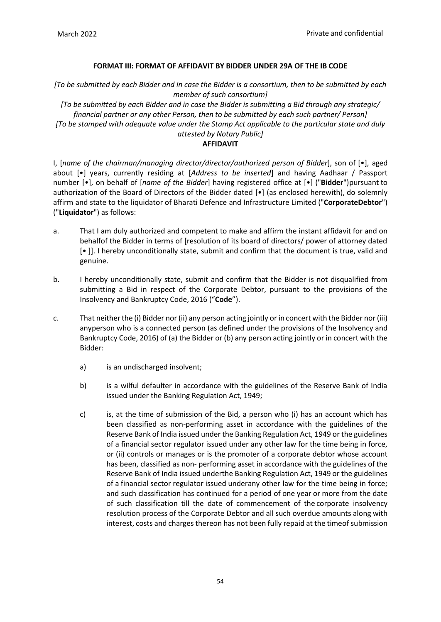# **FORMAT III: FORMAT OF AFFIDAVIT BY BIDDER UNDER 29A OF THE IB CODE**

*[To be submitted by each Bidder and in case the Bidder is a consortium, then to be submitted by each member of such consortium]*

*[To be submitted by each Bidder and in case the Bidder is submitting a Bid through any strategic/ financial partner or any other Person, then to be submitted by each such partner/ Person] [To be stamped with adequate value under the Stamp Act applicable to the particular state and duly*

# *attested by Notary Public]*

# **AFFIDAVIT**

I, [*name of the chairman/managing director/director/authorized person of Bidder*], son of [•], aged about [•] years, currently residing at [*Address to be inserted*] and having Aadhaar / Passport number [•], on behalf of [*name of the Bidder*] having registered office at [•] ("**Bidder**") pursuant to authorization of the Board of Directors of the Bidder dated [•] (as enclosed herewith), do solemnly affirm and state to the liquidator of Bharati Defence and Infrastructure Limited ("**CorporateDebtor**") ("**Liquidator**") as follows:

- a. That I am duly authorized and competent to make and affirm the instant affidavit for and on behalfof the Bidder in terms of [resolution of its board of directors/ power of attorney dated [• ]]. I hereby unconditionally state, submit and confirm that the document is true, valid and genuine.
- b. I hereby unconditionally state, submit and confirm that the Bidder is not disqualified from submitting a Bid in respect of the Corporate Debtor, pursuant to the provisions of the Insolvency and Bankruptcy Code, 2016 ("**Code**").
- c. That neither the (i) Bidder nor (ii) any person acting jointly or in concert with the Bidder nor (iii) anyperson who is a connected person (as defined under the provisions of the Insolvency and Bankruptcy Code, 2016) of (a) the Bidder or (b) any person acting jointly or in concert with the Bidder:
	- a) is an undischarged insolvent;
	- b) is a wilful defaulter in accordance with the guidelines of the Reserve Bank of India issued under the Banking Regulation Act, 1949;
	- c) is, at the time of submission of the Bid, a person who (i) has an account which has been classified as non-performing asset in accordance with the guidelines of the Reserve Bank of India issued under the Banking Regulation Act, 1949 or the guidelines of a financial sector regulator issued under any other law for the time being in force, or (ii) controls or manages or is the promoter of a corporate debtor whose account has been, classified as non- performing asset in accordance with the guidelines of the Reserve Bank of India issued underthe Banking Regulation Act, 1949 or the guidelines of a financial sector regulator issued underany other law for the time being in force; and such classification has continued for a period of one year or more from the date of such classification till the date of commencement of the corporate insolvency resolution process of the Corporate Debtor and all such overdue amounts along with interest, costs and charges thereon has not been fully repaid at the timeof submission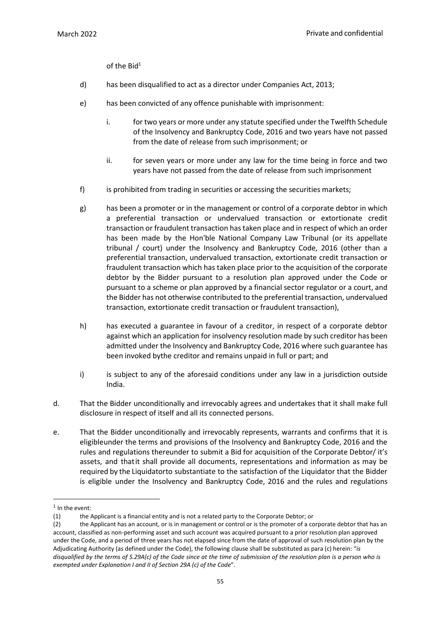of the Bid $1$ 

- d) has been disqualified to act as a director under Companies Act, 2013;
- e) has been convicted of any offence punishable with imprisonment:
	- i. for two years or more under any statute specified under the Twelfth Schedule of the Insolvency and Bankruptcy Code, 2016 and two years have not passed from the date of release from such imprisonment; or
	- ii. for seven years or more under any law for the time being in force and two years have not passed from the date of release from such imprisonment
- f) is prohibited from trading in securities or accessing the securities markets;
- g) has been a promoter or in the management or control of a corporate debtor in which a preferential transaction or undervalued transaction or extortionate credit transaction or fraudulent transaction has taken place and in respect of which an order has been made by the Hon'ble National Company Law Tribunal (or its appellate tribunal / court) under the Insolvency and Bankruptcy Code, 2016 (other than a preferential transaction, undervalued transaction, extortionate credit transaction or fraudulent transaction which has taken place prior to the acquisition of the corporate debtor by the Bidder pursuant to a resolution plan approved under the Code or pursuant to a scheme or plan approved by a financial sector regulator or a court, and the Bidder has not otherwise contributed to the preferential transaction, undervalued transaction, extortionate credit transaction or fraudulent transaction),
- h) has executed a guarantee in favour of a creditor, in respect of a corporate debtor against which an application for insolvency resolution made by such creditor has been admitted under the Insolvency and Bankruptcy Code, 2016 where such guarantee has been invoked bythe creditor and remains unpaid in full or part; and
- i) is subject to any of the aforesaid conditions under any law in a jurisdiction outside India.
- d. That the Bidder unconditionally and irrevocably agrees and undertakes that it shall make full disclosure in respect of itself and all its connected persons.
- e. That the Bidder unconditionally and irrevocably represents, warrants and confirms that it is eligibleunder the terms and provisions of the Insolvency and Bankruptcy Code, 2016 and the rules and regulations thereunder to submit a Bid for acquisition of the Corporate Debtor/ it's assets, and thatit shall provide all documents, representations and information as may be required by the Liquidatorto substantiate to the satisfaction of the Liquidator that the Bidder is eligible under the Insolvency and Bankruptcy Code, 2016 and the rules and regulations

<sup>&</sup>lt;sup>1</sup> In the event:

<sup>(1)</sup> the Applicant is a financial entity and is not a related party to the Corporate Debtor; or

<sup>(2)</sup> the Applicant has an account, or is in management or control or is the promoter of a corporate debtor that has an account, classified as non-performing asset and such account was acquired pursuant to a prior resolution plan approved under the Code, and a period of three years has not elapsed since from the date of approval of such resolution plan by the Adjudicating Authority (as defined under the Code), the following clause shall be substituted as para (c) herein: "*is* disqualified by the terms of S.29A(c) of the Code since at the time of submission of the resolution plan is a person who is *exempted under Explanation I and II of Section 29A (c) of the Code*".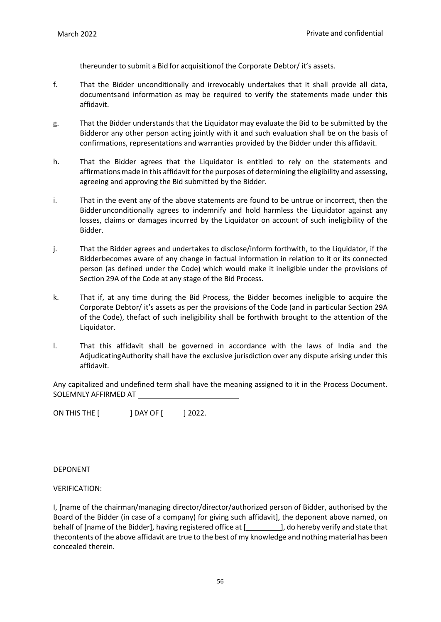thereunder to submit a Bid for acquisitionof the Corporate Debtor/ it's assets.

- f. That the Bidder unconditionally and irrevocably undertakes that it shall provide all data, documentsand information as may be required to verify the statements made under this affidavit.
- g. That the Bidder understands that the Liquidator may evaluate the Bid to be submitted by the Bidderor any other person acting jointly with it and such evaluation shall be on the basis of confirmations, representations and warranties provided by the Bidder under this affidavit.
- h. That the Bidder agrees that the Liquidator is entitled to rely on the statements and affirmations made in this affidavit for the purposes of determining the eligibility and assessing, agreeing and approving the Bid submitted by the Bidder.
- i. That in the event any of the above statements are found to be untrue or incorrect, then the Bidderunconditionally agrees to indemnify and hold harmless the Liquidator against any losses, claims or damages incurred by the Liquidator on account of such ineligibility of the Bidder.
- j. That the Bidder agrees and undertakes to disclose/inform forthwith, to the Liquidator, if the Bidderbecomes aware of any change in factual information in relation to it or its connected person (as defined under the Code) which would make it ineligible under the provisions of Section 29A of the Code at any stage of the Bid Process.
- k. That if, at any time during the Bid Process, the Bidder becomes ineligible to acquire the Corporate Debtor/ it's assets as per the provisions of the Code (and in particular Section 29A of the Code), thefact of such ineligibility shall be forthwith brought to the attention of the Liquidator.
- l. That this affidavit shall be governed in accordance with the laws of India and the AdjudicatingAuthority shall have the exclusive jurisdiction over any dispute arising under this affidavit.

Any capitalized and undefined term shall have the meaning assigned to it in the Process Document. SOLEMNLY AFFIRMED AT

ON THIS THE [\_\_\_\_\_\_\_\_\_] DAY OF [\_\_\_\_\_] 2022.

DEPONENT

### VERIFICATION:

I, [name of the chairman/managing director/director/authorized person of Bidder, authorised by the Board of the Bidder (in case of a company) for giving such affidavit], the deponent above named, on behalf of [name of the Bidder], having registered office at [**wirrs**], do hereby verify and state that thecontents of the above affidavit are true to the best of my knowledge and nothing material has been concealed therein.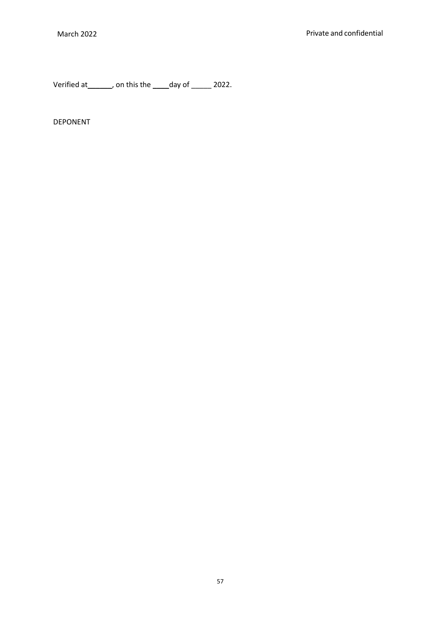Verified at \_\_\_\_\_\_, on this the \_\_\_\_day of \_\_\_\_\_ 2022.

DEPONENT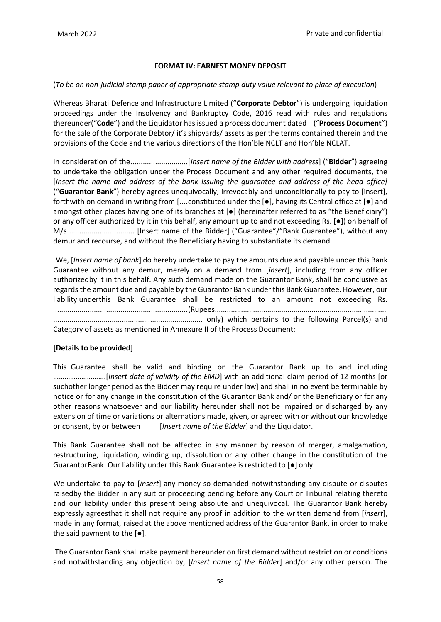# **FORMAT IV: EARNEST MONEY DEPOSIT**

### (*To be on non-judicial stamp paper of appropriate stamp duty value relevant to place of execution*)

Whereas Bharati Defence and Infrastructure Limited ("**Corporate Debtor**") is undergoing liquidation proceedings under the Insolvency and Bankruptcy Code, 2016 read with rules and regulations thereunder("**Code**") and the Liquidator has issued a process document dated ("**Process Document**") for the sale of the Corporate Debtor/ it's shipyards/ assets as per the terms contained therein and the provisions of the Code and the various directions of the Hon'ble NCLT and Hon'ble NCLAT.

In consideration of the............................[*Insert name of the Bidder with address*] ("**Bidder**") agreeing to undertake the obligation under the Process Document and any other required documents, the [*Insert the name and address of the bank issuing the guarantee and address of the head office]*  ("**Guarantor Bank**") hereby agrees unequivocally, irrevocably and unconditionally to pay to [insert], forthwith on demand in writing from [....constituted under the [●], having its Central office at [●] and amongst other places having one of its branches at  $\bullet$  (hereinafter referred to as "the Beneficiary") or any officer authorized by it in this behalf, any amount up to and not exceeding Rs. [●]) on behalf of M/s ................................ [Insert name of the Bidder] ("Guarantee"/"Bank Guarantee"), without any demur and recourse, and without the Beneficiary having to substantiate its demand.

We, [*Insert name of bank*] do hereby undertake to pay the amounts due and payable under this Bank Guarantee without any demur, merely on a demand from [*insert*], including from any officer authorizedby it in this behalf. Any such demand made on the Guarantor Bank, shall be conclusive as regards the amount due and payable by the Guarantor Bank under this Bank Guarantee. However, our liability underthis Bank Guarantee shall be restricted to an amount not exceeding Rs. .................................................................(Rupees..................................................................................... .......................................................................... only) which pertains to the following Parcel(s) and Category of assets as mentioned in Annexure II of the Process Document:

### **[Details to be provided]**

This Guarantee shall be valid and binding on the Guarantor Bank up to and including ……………………….[*Insert date of validity of the EMD*] with an additional claim period of 12 months [or suchother longer period as the Bidder may require under law] and shall in no event be terminable by notice or for any change in the constitution of the Guarantor Bank and/ or the Beneficiary or for any other reasons whatsoever and our liability hereunder shall not be impaired or discharged by any extension of time or variations or alternations made, given, or agreed with or without our knowledge or consent, by or between [*Insert name of the Bidder*] and the Liquidator.

This Bank Guarantee shall not be affected in any manner by reason of merger, amalgamation, restructuring, liquidation, winding up, dissolution or any other change in the constitution of the GuarantorBank. Our liability under this Bank Guarantee is restricted to [●] only.

We undertake to pay to [*insert*] any money so demanded notwithstanding any dispute or disputes raisedby the Bidder in any suit or proceeding pending before any Court or Tribunal relating thereto and our liability under this present being absolute and unequivocal. The Guarantor Bank hereby expressly agreesthat it shall not require any proof in addition to the written demand from [*insert*], made in any format, raised at the above mentioned address of the Guarantor Bank, in order to make the said payment to the [●]*.*

The Guarantor Bank shall make payment hereunder on first demand without restriction or conditions and notwithstanding any objection by, [*Insert name of the Bidder*] and/or any other person. The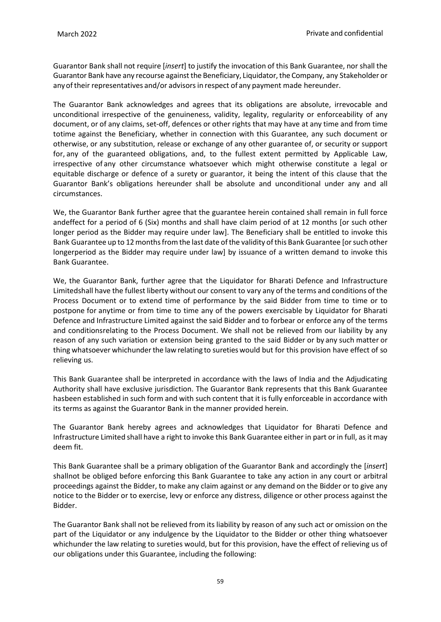Guarantor Bank shall not require [*insert*] to justify the invocation of this Bank Guarantee, nor shall the Guarantor Bank have any recourse against the Beneficiary, Liquidator, the Company, any Stakeholder or any of their representatives and/or advisors in respect of any payment made hereunder.

The Guarantor Bank acknowledges and agrees that its obligations are absolute, irrevocable and unconditional irrespective of the genuineness, validity, legality, regularity or enforceability of any document, or of any claims, set-off, defences or other rights that may have at any time and from time totime against the Beneficiary, whether in connection with this Guarantee, any such document or otherwise, or any substitution, release or exchange of any other guarantee of, or security or support for, any of the guaranteed obligations, and, to the fullest extent permitted by Applicable Law, irrespective of any other circumstance whatsoever which might otherwise constitute a legal or equitable discharge or defence of a surety or guarantor, it being the intent of this clause that the Guarantor Bank's obligations hereunder shall be absolute and unconditional under any and all circumstances.

We, the Guarantor Bank further agree that the guarantee herein contained shall remain in full force andeffect for a period of 6 (Six) months and shall have claim period of at 12 months [or such other longer period as the Bidder may require under law]. The Beneficiary shall be entitled to invoke this Bank Guarantee up to 12 months from the last date of the validity of this Bank Guarantee [or such other longerperiod as the Bidder may require under law] by issuance of a written demand to invoke this Bank Guarantee.

We, the Guarantor Bank, further agree that the Liquidator for Bharati Defence and Infrastructure Limitedshall have the fullest liberty without our consent to vary any of the terms and conditions of the Process Document or to extend time of performance by the said Bidder from time to time or to postpone for anytime or from time to time any of the powers exercisable by Liquidator for Bharati Defence and Infrastructure Limited against the said Bidder and to forbear or enforce any of the terms and conditionsrelating to the Process Document. We shall not be relieved from our liability by any reason of any such variation or extension being granted to the said Bidder or by any such matter or thing whatsoever whichunder the law relating to sureties would but for this provision have effect of so relieving us.

This Bank Guarantee shall be interpreted in accordance with the laws of India and the Adjudicating Authority shall have exclusive jurisdiction. The Guarantor Bank represents that this Bank Guarantee hasbeen established in such form and with such content that it is fully enforceable in accordance with its terms as against the Guarantor Bank in the manner provided herein.

The Guarantor Bank hereby agrees and acknowledges that Liquidator for Bharati Defence and Infrastructure Limited shall have a right to invoke this Bank Guarantee either in part or in full, as it may deem fit.

This Bank Guarantee shall be a primary obligation of the Guarantor Bank and accordingly the [*insert*] shallnot be obliged before enforcing this Bank Guarantee to take any action in any court or arbitral proceedings against the Bidder, to make any claim against or any demand on the Bidder or to give any notice to the Bidder or to exercise, levy or enforce any distress, diligence or other process against the Bidder.

The Guarantor Bank shall not be relieved from its liability by reason of any such act or omission on the part of the Liquidator or any indulgence by the Liquidator to the Bidder or other thing whatsoever whichunder the law relating to sureties would, but for this provision, have the effect of relieving us of our obligations under this Guarantee, including the following: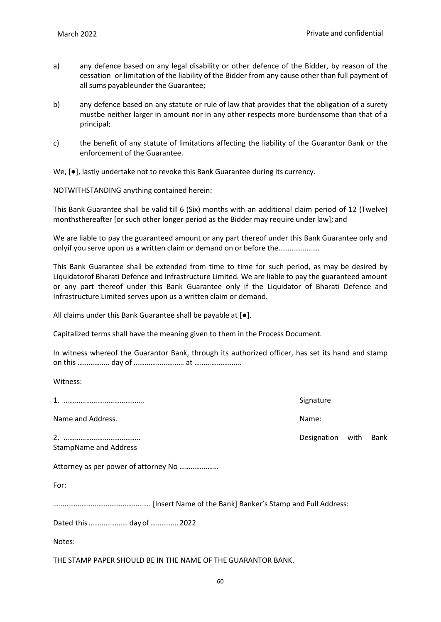- a) any defence based on any legal disability or other defence of the Bidder, by reason of the cessation or limitation of the liability of the Bidder from any cause other than full payment of all sums payableunder the Guarantee;
- b) any defence based on any statute or rule of law that provides that the obligation of a surety mustbe neither larger in amount nor in any other respects more burdensome than that of a principal;
- c) the benefit of any statute of limitations affecting the liability of the Guarantor Bank or the enforcement of the Guarantee.

We, [●], lastly undertake not to revoke this Bank Guarantee during its currency.

NOTWITHSTANDING anything contained herein:

This Bank Guarantee shall be valid till 6 (Six) months with an additional claim period of 12 (Twelve) monthsthereafter [or such other longer period as the Bidder may require under law]; and

We are liable to pay the guaranteed amount or any part thereof under this Bank Guarantee only and onlyif you serve upon us a written claim or demand on or before the………………….

This Bank Guarantee shall be extended from time to time for such period, as may be desired by Liquidatorof Bharati Defence and Infrastructure Limited*.* We are liable to pay the guaranteed amount or any part thereof under this Bank Guarantee only if the Liquidator of Bharati Defence and Infrastructure Limited serves upon us a written claim or demand.

All claims under this Bank Guarantee shall be payable at [●].

Capitalized terms shall have the meaning given to them in the Process Document.

In witness whereof the Guarantor Bank, through its authorized officer, has set its hand and stamp on this …………….. day of ……………………… at …………………….

Witness:

|                                      | Signature        |      |
|--------------------------------------|------------------|------|
| Name and Address.                    | Name:            |      |
| <b>StampName and Address</b>         | Designation with | Bank |
| Attorney as per power of attorney No |                  |      |
| For:                                 |                  |      |
|                                      |                  |      |
| Dated this day of  2022              |                  |      |
| Notes:                               |                  |      |

THE STAMP PAPER SHOULD BE IN THE NAME OF THE GUARANTOR BANK.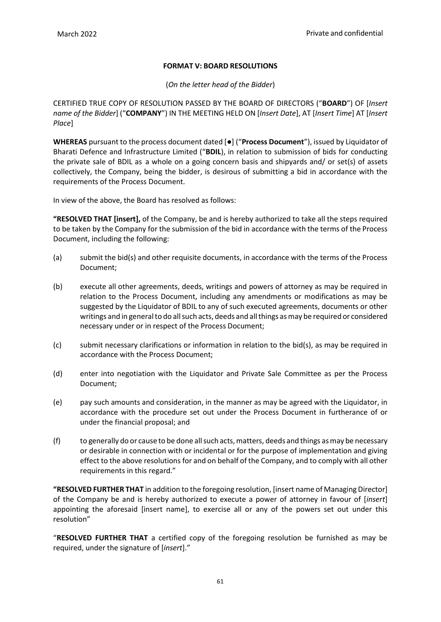# **FORMAT V: BOARD RESOLUTIONS**

(*On the letter head of the Bidder*)

CERTIFIED TRUE COPY OF RESOLUTION PASSED BY THE BOARD OF DIRECTORS ("**BOARD**") OF [*Insert name of the Bidder*] ("**COMPANY**") IN THE MEETING HELD ON [*Insert Date*], AT [*Insert Time*] AT [*Insert Place*]

**WHEREAS** pursuant to the process document dated [●] ("**Process Document**"), issued by Liquidator of Bharati Defence and Infrastructure Limited ("**BDIL**), in relation to submission of bids for conducting the private sale of BDIL as a whole on a going concern basis and shipyards and/ or set(s) of assets collectively, the Company, being the bidder, is desirous of submitting a bid in accordance with the requirements of the Process Document.

In view of the above, the Board has resolved as follows:

**"RESOLVED THAT [insert],** of the Company, be and is hereby authorized to take all the steps required to be taken by the Company for the submission of the bid in accordance with the terms of the Process Document, including the following:

- (a) submit the bid(s) and other requisite documents, in accordance with the terms of the Process Document;
- (b) execute all other agreements, deeds, writings and powers of attorney as may be required in relation to the Process Document, including any amendments or modifications as may be suggested by the Liquidator of BDIL to any of such executed agreements, documents or other writings and in general to do all such acts, deeds and all things as may be required or considered necessary under or in respect of the Process Document;
- (c) submit necessary clarifications or information in relation to the bid(s), as may be required in accordance with the Process Document;
- (d) enter into negotiation with the Liquidator and Private Sale Committee as per the Process Document;
- (e) pay such amounts and consideration, in the manner as may be agreed with the Liquidator, in accordance with the procedure set out under the Process Document in furtherance of or under the financial proposal; and
- (f) to generally do or cause to be done allsuch acts,matters, deeds and things asmay be necessary or desirable in connection with or incidental or for the purpose of implementation and giving effect to the above resolutions for and on behalf of the Company, and to comply with all other requirements in this regard."

**"RESOLVED FURTHER THAT** in addition to the foregoing resolution, [insert name of Managing Director] of the Company be and is hereby authorized to execute a power of attorney in favour of [*insert*] appointing the aforesaid [insert name], to exercise all or any of the powers set out under this resolution"

"**RESOLVED FURTHER THAT** a certified copy of the foregoing resolution be furnished as may be required, under the signature of [*insert*]."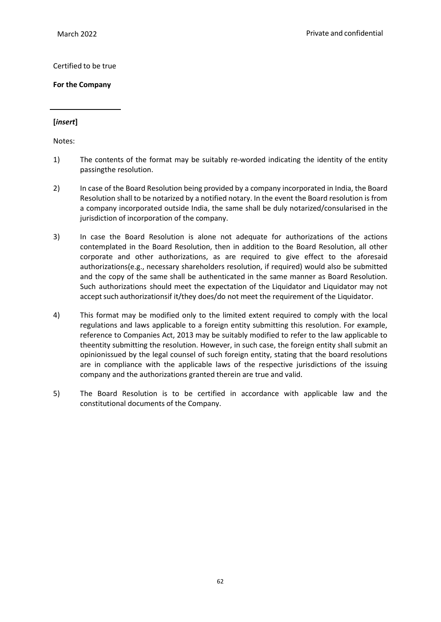### Certified to be true

**For the Company**

# **[***insert***]**

Notes:

- 1) The contents of the format may be suitably re-worded indicating the identity of the entity passingthe resolution.
- 2) In case of the Board Resolution being provided by a company incorporated in India, the Board Resolution shall to be notarized by a notified notary. In the event the Board resolution is from a company incorporated outside India, the same shall be duly notarized/consularised in the jurisdiction of incorporation of the company.
- 3) In case the Board Resolution is alone not adequate for authorizations of the actions contemplated in the Board Resolution, then in addition to the Board Resolution, all other corporate and other authorizations, as are required to give effect to the aforesaid authorizations(e.g., necessary shareholders resolution, if required) would also be submitted and the copy of the same shall be authenticated in the same manner as Board Resolution. Such authorizations should meet the expectation of the Liquidator and Liquidator may not accept such authorizationsif it/they does/do not meet the requirement of the Liquidator.
- 4) This format may be modified only to the limited extent required to comply with the local regulations and laws applicable to a foreign entity submitting this resolution. For example, reference to Companies Act, 2013 may be suitably modified to refer to the law applicable to theentity submitting the resolution. However, in such case, the foreign entity shall submit an opinionissued by the legal counsel of such foreign entity, stating that the board resolutions are in compliance with the applicable laws of the respective jurisdictions of the issuing company and the authorizations granted therein are true and valid.
- 5) The Board Resolution is to be certified in accordance with applicable law and the constitutional documents of the Company.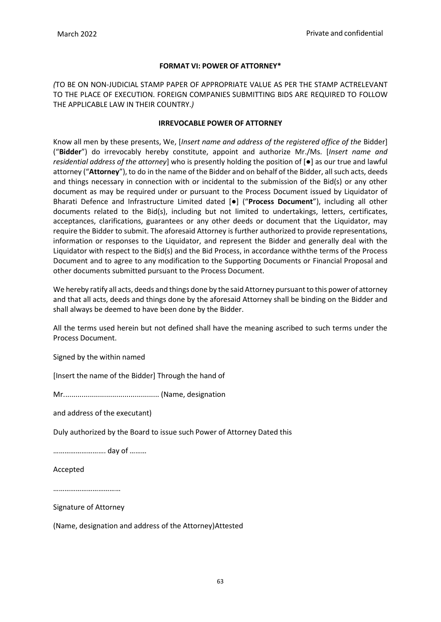# **FORMAT VI: POWER OF ATTORNEY\***

*(*TO BE ON NON-JUDICIAL STAMP PAPER OF APPROPRIATE VALUE AS PER THE STAMP ACTRELEVANT TO THE PLACE OF EXECUTION. FOREIGN COMPANIES SUBMITTING BIDS ARE REQUIRED TO FOLLOW THE APPLICABLE LAW IN THEIR COUNTRY.*)*

#### **IRREVOCABLE POWER OF ATTORNEY**

Know all men by these presents, We, [*Insert name and address of the registered office of the* Bidder] ("**Bidder**") do irrevocably hereby constitute, appoint and authorize Mr./Ms. [*Insert name and residential address of the attorney*] who is presently holding the position of [●] as our true and lawful attorney ("**Attorney**"), to do in the name of the Bidder and on behalf of the Bidder, allsuch acts, deeds and things necessary in connection with or incidental to the submission of the Bid(s) or any other document as may be required under or pursuant to the Process Document issued by Liquidator of Bharati Defence and Infrastructure Limited dated [●] ("**Process Document**"), including all other documents related to the Bid(s), including but not limited to undertakings, letters, certificates, acceptances, clarifications, guarantees or any other deeds or document that the Liquidator, may require the Bidder to submit. The aforesaid Attorney is further authorized to provide representations, information or responses to the Liquidator, and represent the Bidder and generally deal with the Liquidator with respect to the Bid(s) and the Bid Process, in accordance withthe terms of the Process Document and to agree to any modification to the Supporting Documents or Financial Proposal and other documents submitted pursuant to the Process Document.

We hereby ratify all acts, deeds and things done by the said Attorney pursuant to this power of attorney and that all acts, deeds and things done by the aforesaid Attorney shall be binding on the Bidder and shall always be deemed to have been done by the Bidder.

All the terms used herein but not defined shall have the meaning ascribed to such terms under the Process Document.

Signed by the within named

[Insert the name of the Bidder] Through the hand of

Mr............................................... (Name, designation

and address of the executant)

Duly authorized by the Board to issue such Power of Attorney Dated this

………………………. day of ………

Accepted

………………………………

Signature of Attorney

(Name, designation and address of the Attorney)Attested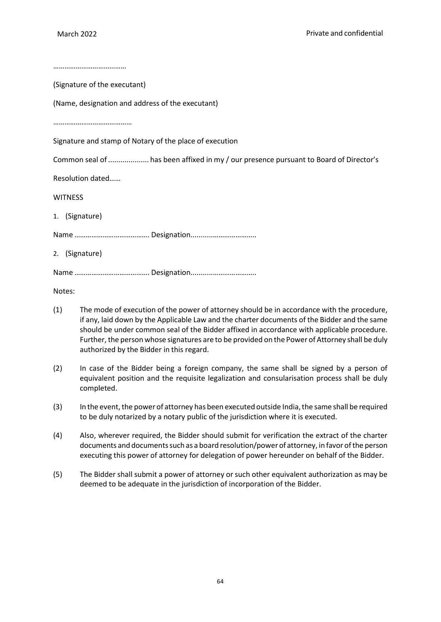……………………………………

(Signature of the executant)

(Name, designation and address of the executant)

……………………………………

Signature and stamp of Notary of the place of execution

Common seal of .................... has been affixed in my / our presence pursuant to Board of Director's

Resolution dated……

**WITNESS** 

1. (Signature)

Name …………………………………. Designation...........…………………..

2. (Signature)

Name …………………………………. Designation...........…………………..

Notes:

- (1) The mode of execution of the power of attorney should be in accordance with the procedure, if any, laid down by the Applicable Law and the charter documents of the Bidder and the same should be under common seal of the Bidder affixed in accordance with applicable procedure. Further, the person whose signatures are to be provided on the Power of Attorney shall be duly authorized by the Bidder in this regard.
- (2) In case of the Bidder being a foreign company, the same shall be signed by a person of equivalent position and the requisite legalization and consularisation process shall be duly completed.
- (3) In the event, the power of attorney has been executed outside India, the same shall be required to be duly notarized by a notary public of the jurisdiction where it is executed.
- (4) Also, wherever required, the Bidder should submit for verification the extract of the charter documents and documents such as a board resolution/power of attorney, in favor of the person executing this power of attorney for delegation of power hereunder on behalf of the Bidder.
- (5) The Bidder shall submit a power of attorney or such other equivalent authorization as may be deemed to be adequate in the jurisdiction of incorporation of the Bidder.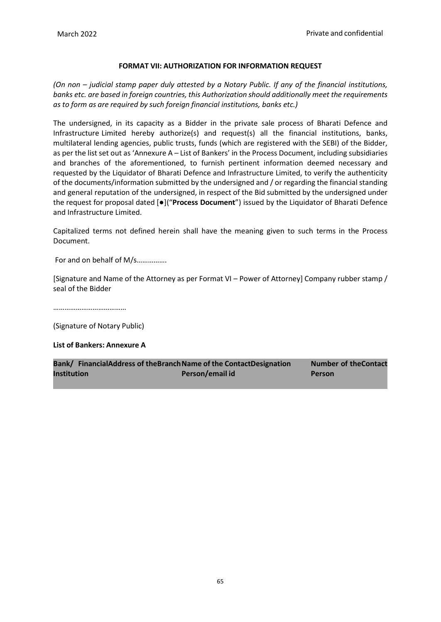### **FORMAT VII: AUTHORIZATION FOR INFORMATION REQUEST**

*(On non – judicial stamp paper duly attested by a Notary Public. If any of the financial institutions, banks etc. are based in foreign countries, this Authorization should additionally meet the requirements as to form as are required by such foreign financial institutions, banks etc.)*

The undersigned, in its capacity as a Bidder in the private sale process of Bharati Defence and Infrastructure Limited hereby authorize(s) and request(s) all the financial institutions, banks, multilateral lending agencies, public trusts, funds (which are registered with the SEBI) of the Bidder, as per the list set out as 'Annexure A – List of Bankers' in the Process Document, including subsidiaries and branches of the aforementioned, to furnish pertinent information deemed necessary and requested by the Liquidator of Bharati Defence and Infrastructure Limited, to verify the authenticity of the documents/information submitted by the undersigned and / or regarding the financial standing and general reputation of the undersigned, in respect of the Bid submitted by the undersigned under the request for proposal dated [●]("**Process Document**") issued by the Liquidator of Bharati Defence and Infrastructure Limited.

Capitalized terms not defined herein shall have the meaning given to such terms in the Process Document.

For and on behalf of M/s…………….

[Signature and Name of the Attorney as per Format VI – Power of Attorney] Company rubber stamp / seal of the Bidder

…………………………………

(Signature of Notary Public)

**List of Bankers: Annexure A**

|                    | Bank/ FinancialAddress of theBranch Name of the ContactDesignation | <b>Number of the Contact</b> |
|--------------------|--------------------------------------------------------------------|------------------------------|
| <b>Institution</b> | Person/email id                                                    | Person                       |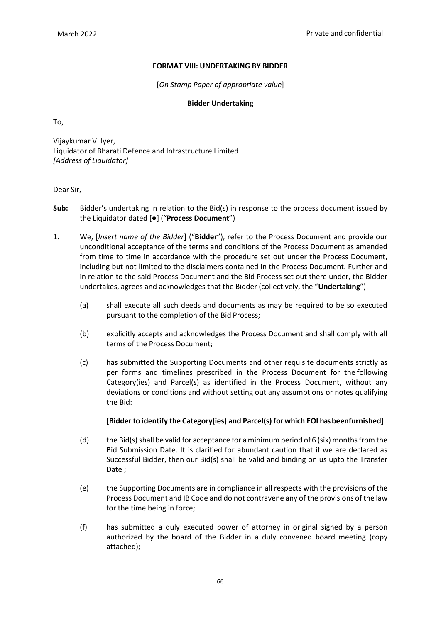# **FORMAT VIII: UNDERTAKING BY BIDDER**

[*On Stamp Paper of appropriate value*]

### **Bidder Undertaking**

To,

Vijaykumar V. Iyer, Liquidator of Bharati Defence and Infrastructure Limited *[Address of Liquidator]*

### Dear Sir,

- **Sub:** Bidder's undertaking in relation to the Bid(s) in response to the process document issued by the Liquidator dated [●] ("**Process Document**")
- 1. We, [*Insert name of the Bidder*] ("**Bidder**"), refer to the Process Document and provide our unconditional acceptance of the terms and conditions of the Process Document as amended from time to time in accordance with the procedure set out under the Process Document, including but not limited to the disclaimers contained in the Process Document. Further and in relation to the said Process Document and the Bid Process set out there under, the Bidder undertakes, agrees and acknowledges that the Bidder (collectively, the "**Undertaking**"):
	- (a) shall execute all such deeds and documents as may be required to be so executed pursuant to the completion of the Bid Process;
	- (b) explicitly accepts and acknowledges the Process Document and shall comply with all terms of the Process Document;
	- (c) has submitted the Supporting Documents and other requisite documents strictly as per forms and timelines prescribed in the Process Document for the following Category(ies) and Parcel(s) as identified in the Process Document, without any deviations or conditions and without setting out any assumptions or notes qualifying the Bid:

### **[Bidder to identify the Category(ies) and Parcel(s) for which EOI has beenfurnished]**

- (d) the Bid(s) shall be valid for acceptance for a minimum period of 6 (six) months from the Bid Submission Date. It is clarified for abundant caution that if we are declared as Successful Bidder, then our Bid(s) shall be valid and binding on us upto the Transfer Date ;
- (e) the Supporting Documents are in compliance in all respects with the provisions of the Process Document and IB Code and do not contravene any of the provisions of the law for the time being in force;
- (f) has submitted a duly executed power of attorney in original signed by a person authorized by the board of the Bidder in a duly convened board meeting (copy attached);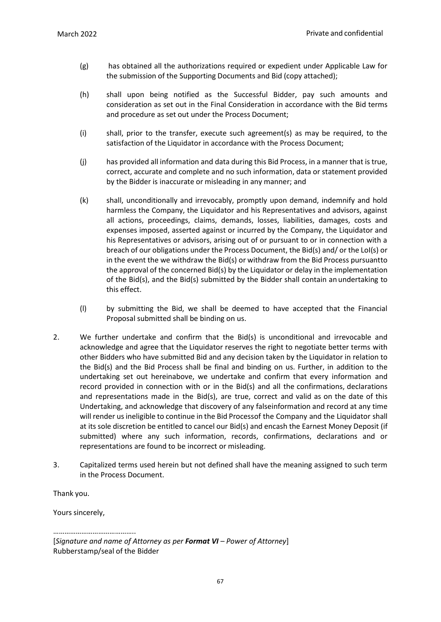- (g) has obtained all the authorizations required or expedient under Applicable Law for the submission of the Supporting Documents and Bid (copy attached);
- (h) shall upon being notified as the Successful Bidder, pay such amounts and consideration as set out in the Final Consideration in accordance with the Bid terms and procedure as set out under the Process Document;
- (i) shall, prior to the transfer, execute such agreement(s) as may be required, to the satisfaction of the Liquidator in accordance with the Process Document;
- (j) has provided all information and data during this Bid Process, in a manner that is true, correct, accurate and complete and no such information, data or statement provided by the Bidder is inaccurate or misleading in any manner; and
- (k) shall, unconditionally and irrevocably, promptly upon demand, indemnify and hold harmless the Company, the Liquidator and his Representatives and advisors, against all actions, proceedings, claims, demands, losses, liabilities, damages, costs and expenses imposed, asserted against or incurred by the Company, the Liquidator and his Representatives or advisors, arising out of or pursuant to or in connection with a breach of our obligations under the Process Document, the Bid(s) and/ or the LoI(s) or in the event the we withdraw the Bid(s) or withdraw from the Bid Process pursuantto the approval of the concerned Bid(s) by the Liquidator or delay in the implementation of the Bid(s), and the Bid(s) submitted by the Bidder shall contain an undertaking to this effect.
- (l) by submitting the Bid, we shall be deemed to have accepted that the Financial Proposal submitted shall be binding on us.
- 2. We further undertake and confirm that the Bid(s) is unconditional and irrevocable and acknowledge and agree that the Liquidator reserves the right to negotiate better terms with other Bidders who have submitted Bid and any decision taken by the Liquidator in relation to the Bid(s) and the Bid Process shall be final and binding on us. Further, in addition to the undertaking set out hereinabove, we undertake and confirm that every information and record provided in connection with or in the Bid(s) and all the confirmations, declarations and representations made in the Bid(s), are true, correct and valid as on the date of this Undertaking, and acknowledge that discovery of any falseinformation and record at any time will render us ineligible to continue in the Bid Processof the Company and the Liquidator shall at its sole discretion be entitled to cancel our Bid(s) and encash the Earnest Money Deposit (if submitted) where any such information, records, confirmations, declarations and or representations are found to be incorrect or misleading.
- 3. Capitalized terms used herein but not defined shall have the meaning assigned to such term in the Process Document.

Thank you.

Yours sincerely,

……………………………………… [*Signature and name of Attorney as per Format VI – Power of Attorney*] Rubberstamp/seal of the Bidder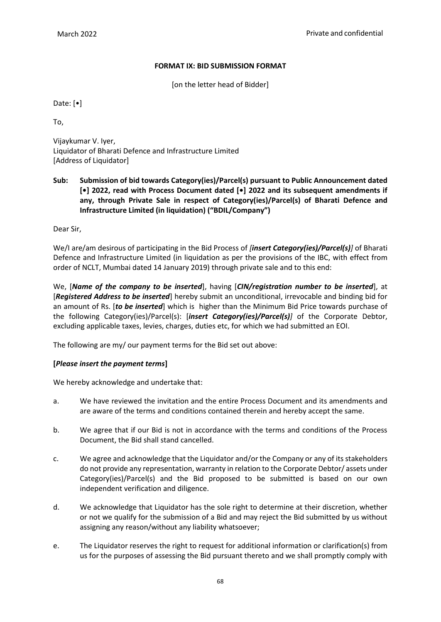#### **FORMAT IX: BID SUBMISSION FORMAT**

[on the letter head of Bidder]

Date: [•]

To,

Vijaykumar V. Iyer, Liquidator of Bharati Defence and Infrastructure Limited [Address of Liquidator]

**Sub: Submission of bid towards Category(ies)/Parcel(s) pursuant to Public Announcement dated [•] 2022, read with Process Document dated [•] 2022 and its subsequent amendments if any, through Private Sale in respect of Category(ies)/Parcel(s) of Bharati Defence and Infrastructure Limited (in liquidation) ("BDIL/Company")**

Dear Sir,

We/I are/am desirous of participating in the Bid Process of *[insert Category(ies)/Parcel(s)]* of Bharati Defence and Infrastructure Limited (in liquidation as per the provisions of the IBC, with effect from order of NCLT, Mumbai dated 14 January 2019) through private sale and to this end:

We, [*Name of the company to be inserted*], having [*CIN/registration number to be inserted*], at [*Registered Address to be inserted*] hereby submit an unconditional, irrevocable and binding bid for an amount of Rs. [*to be inserted*] which is higher than the Minimum Bid Price towards purchase of the following Category(ies)/Parcel(s): [*insert Category(ies)/Parcel(s)]* of the Corporate Debtor, excluding applicable taxes, levies, charges, duties etc, for which we had submitted an EOI.

The following are my/ our payment terms for the Bid set out above:

#### **[***Please insert the payment terms***]**

We hereby acknowledge and undertake that:

- a. We have reviewed the invitation and the entire Process Document and its amendments and are aware of the terms and conditions contained therein and hereby accept the same.
- b. We agree that if our Bid is not in accordance with the terms and conditions of the Process Document, the Bid shall stand cancelled.
- c. We agree and acknowledge that the Liquidator and/or the Company or any of its stakeholders do not provide any representation, warranty in relation to the Corporate Debtor/ assets under Category(ies)/Parcel(s) and the Bid proposed to be submitted is based on our own independent verification and diligence.
- d. We acknowledge that Liquidator has the sole right to determine at their discretion, whether or not we qualify for the submission of a Bid and may reject the Bid submitted by us without assigning any reason/without any liability whatsoever;
- e. The Liquidator reserves the right to request for additional information or clarification(s) from us for the purposes of assessing the Bid pursuant thereto and we shall promptly comply with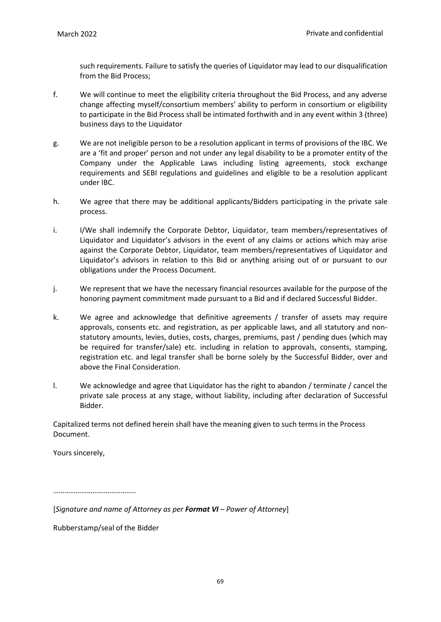such requirements. Failure to satisfy the queries of Liquidator may lead to our disqualification from the Bid Process;

- f. We will continue to meet the eligibility criteria throughout the Bid Process, and any adverse change affecting myself/consortium members' ability to perform in consortium or eligibility to participate in the Bid Process shall be intimated forthwith and in any event within 3 (three) business days to the Liquidator
- g. We are not ineligible person to be a resolution applicant in terms of provisions of the IBC. We are a 'fit and proper' person and not under any legal disability to be a promoter entity of the Company under the Applicable Laws including listing agreements, stock exchange requirements and SEBI regulations and guidelines and eligible to be a resolution applicant under IBC.
- h. We agree that there may be additional applicants/Bidders participating in the private sale process.
- i. I/We shall indemnify the Corporate Debtor, Liquidator, team members/representatives of Liquidator and Liquidator's advisors in the event of any claims or actions which may arise against the Corporate Debtor, Liquidator, team members/representatives of Liquidator and Liquidator's advisors in relation to this Bid or anything arising out of or pursuant to our obligations under the Process Document.
- j. We represent that we have the necessary financial resources available for the purpose of the honoring payment commitment made pursuant to a Bid and if declared Successful Bidder.
- k. We agree and acknowledge that definitive agreements / transfer of assets may require approvals, consents etc. and registration, as per applicable laws, and all statutory and nonstatutory amounts, levies, duties, costs, charges, premiums, past / pending dues (which may be required for transfer/sale) etc. including in relation to approvals, consents, stamping, registration etc. and legal transfer shall be borne solely by the Successful Bidder, over and above the Final Consideration.
- l. We acknowledge and agree that Liquidator has the right to abandon / terminate / cancel the private sale process at any stage, without liability, including after declaration of Successful Bidder.

Capitalized terms not defined herein shall have the meaning given to such terms in the Process Document.

Yours sincerely,

……………………………………..

[*Signature and name of Attorney as per Format VI – Power of Attorney*]

Rubberstamp/seal of the Bidder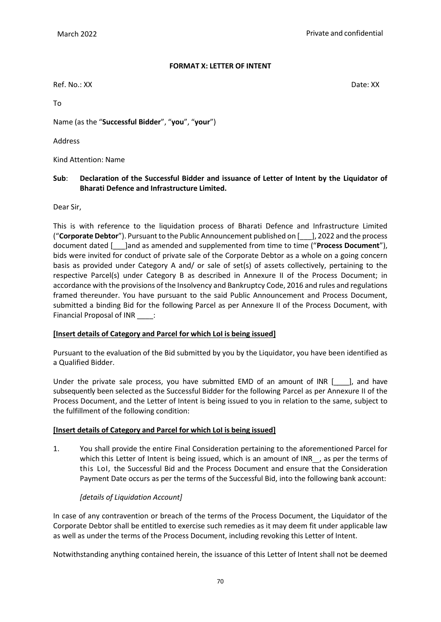#### **FORMAT X: LETTER OF INTENT**

Ref. No.: XX Date: XX

To

Name (as the "**Successful Bidder**", "**you**", "**your**")

Address

Kind Attention: Name

# **Sub**: **Declaration of the Successful Bidder and issuance of Letter of Intent by the Liquidator of Bharati Defence and Infrastructure Limited.**

Dear Sir,

This is with reference to the liquidation process of Bharati Defence and Infrastructure Limited ("**Corporate Debtor**"). Pursuant to the Public Announcement published on [\_\_\_], 2022 and the process document dated [\_\_\_]and as amended and supplemented from time to time ("**Process Document**"), bids were invited for conduct of private sale of the Corporate Debtor as a whole on a going concern basis as provided under Category A and/ or sale of set(s) of assets collectively, pertaining to the respective Parcel(s) under Category B as described in Annexure II of the Process Document; in accordance with the provisions of the Insolvency and Bankruptcy Code, 2016 and rules and regulations framed thereunder. You have pursuant to the said Public Announcement and Process Document, submitted a binding Bid for the following Parcel as per Annexure II of the Process Document, with Financial Proposal of INR \_\_\_\_:

# **[Insert details of Category and Parcel for which LoI is being issued]**

Pursuant to the evaluation of the Bid submitted by you by the Liquidator, you have been identified as a Qualified Bidder.

Under the private sale process, you have submitted EMD of an amount of INR [100], and have subsequently been selected as the Successful Bidder for the following Parcel as per Annexure II of the Process Document, and the Letter of Intent is being issued to you in relation to the same, subject to the fulfillment of the following condition:

# **[Insert details of Category and Parcel for which LoI is being issued]**

1. You shall provide the entire Final Consideration pertaining to the aforementioned Parcel for which this Letter of Intent is being issued, which is an amount of INR\_, as per the terms of this LoI, the Successful Bid and the Process Document and ensure that the Consideration Payment Date occurs as per the terms of the Successful Bid, into the following bank account:

# *[details of Liquidation Account]*

In case of any contravention or breach of the terms of the Process Document, the Liquidator of the Corporate Debtor shall be entitled to exercise such remedies as it may deem fit under applicable law as well as under the terms of the Process Document, including revoking this Letter of Intent.

Notwithstanding anything contained herein, the issuance of this Letter of Intent shall not be deemed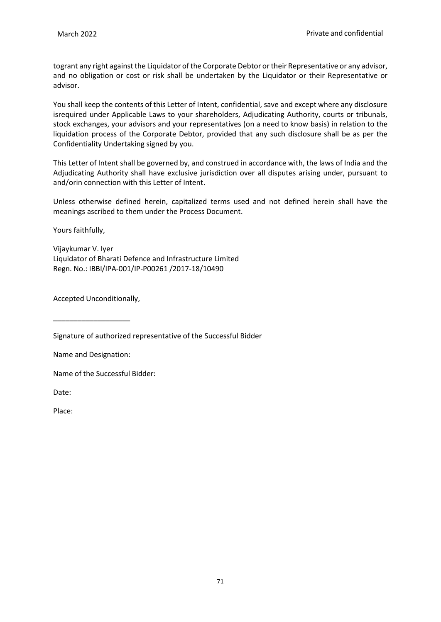togrant any right against the Liquidator of the Corporate Debtor or their Representative or any advisor, and no obligation or cost or risk shall be undertaken by the Liquidator or their Representative or advisor.

You shall keep the contents of this Letter of Intent, confidential, save and except where any disclosure isrequired under Applicable Laws to your shareholders, Adjudicating Authority, courts or tribunals, stock exchanges, your advisors and your representatives (on a need to know basis) in relation to the liquidation process of the Corporate Debtor, provided that any such disclosure shall be as per the Confidentiality Undertaking signed by you.

This Letter of Intent shall be governed by, and construed in accordance with, the laws of India and the Adjudicating Authority shall have exclusive jurisdiction over all disputes arising under, pursuant to and/orin connection with this Letter of Intent.

Unless otherwise defined herein, capitalized terms used and not defined herein shall have the meanings ascribed to them under the Process Document.

Yours faithfully,

Vijaykumar V. Iyer Liquidator of Bharati Defence and Infrastructure Limited Regn. No.: IBBI/IPA-001/IP-P00261 /2017-18/10490

Accepted Unconditionally,

Signature of authorized representative of the Successful Bidder

Name and Designation:

\_\_\_\_\_\_\_\_\_\_\_\_\_\_\_\_\_\_\_

Name of the Successful Bidder:

Date:

Place: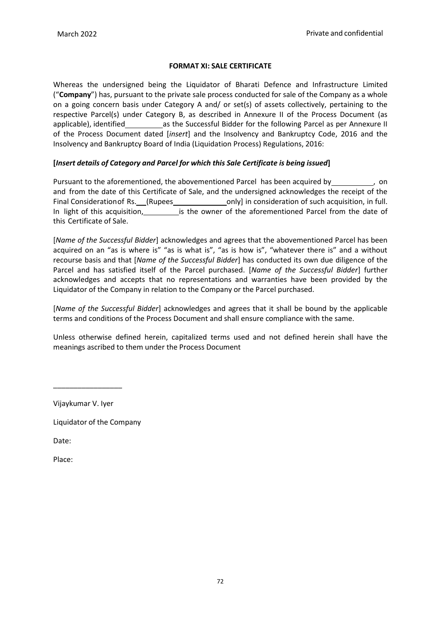#### **FORMAT XI: SALE CERTIFICATE**

Whereas the undersigned being the Liquidator of Bharati Defence and Infrastructure Limited ("**Company**") has, pursuant to the private sale process conducted for sale of the Company as a whole on a going concern basis under Category A and/ or set(s) of assets collectively, pertaining to the respective Parcel(s) under Category B, as described in Annexure II of the Process Document (as applicable), identified as the Successful Bidder for the following Parcel as per Annexure II of the Process Document dated [*insert*] and the Insolvency and Bankruptcy Code, 2016 and the Insolvency and Bankruptcy Board of India (Liquidation Process) Regulations, 2016:

# **[***Insert details of Category and Parcel for which this Sale Certificate is being issued***]**

Pursuant to the aforementioned, the abovementioned Parcel has been acquired by  $\qquad \qquad$ , on and from the date of this Certificate of Sale, and the undersigned acknowledges the receipt of the Final Consideration of Rs. (Rupees only) in consideration of such acquisition, in full. In light of this acquisition, inclusion is the owner of the aforementioned Parcel from the date of this Certificate of Sale.

[*Name of the Successful Bidder*] acknowledges and agrees that the abovementioned Parcel has been acquired on an "as is where is" "as is what is", "as is how is", "whatever there is" and a without recourse basis and that [*Name of the Successful Bidder*] has conducted its own due diligence of the Parcel and has satisfied itself of the Parcel purchased. [*Name of the Successful Bidder*] further acknowledges and accepts that no representations and warranties have been provided by the Liquidator of the Company in relation to the Company or the Parcel purchased.

[*Name of the Successful Bidder*] acknowledges and agrees that it shall be bound by the applicable terms and conditions of the Process Document and shall ensure compliance with the same.

Unless otherwise defined herein, capitalized terms used and not defined herein shall have the meanings ascribed to them under the Process Document

Vijaykumar V. Iyer

\_\_\_\_\_\_\_\_\_\_\_\_\_\_\_\_\_

Liquidator of the Company

Date:

Place: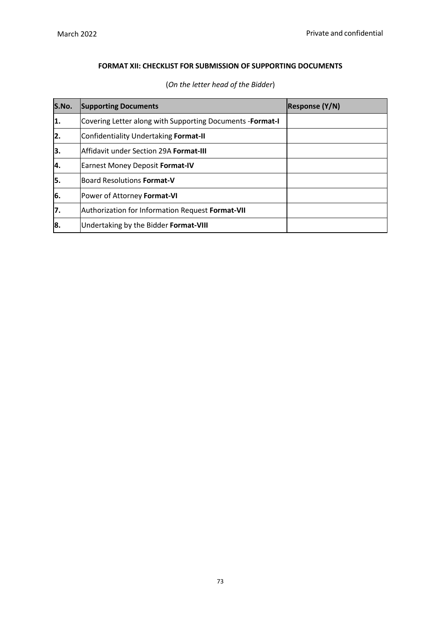# **FORMAT XII: CHECKLIST FOR SUBMISSION OF SUPPORTING DOCUMENTS**

| S.No. | <b>Supporting Documents</b>                                       | <b>Response (Y/N)</b> |
|-------|-------------------------------------------------------------------|-----------------------|
| 1.    | Covering Letter along with Supporting Documents - <b>Format-I</b> |                       |
| 2.    | Confidentiality Undertaking Format-II                             |                       |
| 3.    | lAffidavit under Section 29A <b>Format-III</b>                    |                       |
| 4.    | <b>Earnest Money Deposit Format-IV</b>                            |                       |
| 5.    | Board Resolutions <b>Format-V</b>                                 |                       |
| 6.    | Power of Attorney Format-VI                                       |                       |
| 7.    | Authorization for Information Request Format-VII                  |                       |
| 8.    | Undertaking by the Bidder Format-VIII                             |                       |

(*On the letter head of the Bidder*)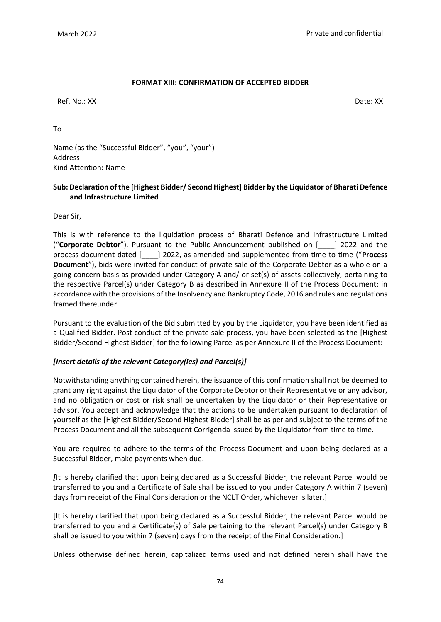#### **FORMAT XIII: CONFIRMATION OF ACCEPTED BIDDER**

Ref. No.: XX Date: XX

To

Name (as the "Successful Bidder", "you", "your") Address Kind Attention: Name

#### **Sub: Declaration of the [Highest Bidder/ Second Highest] Bidder by the Liquidator of Bharati Defence and Infrastructure Limited**

Dear Sir,

This is with reference to the liquidation process of Bharati Defence and Infrastructure Limited ("**Corporate Debtor**"). Pursuant to the Public Announcement published on [\_\_\_\_] 2022 and the process document dated [\_\_\_\_] 2022, as amended and supplemented from time to time ("**Process Document**"), bids were invited for conduct of private sale of the Corporate Debtor as a whole on a going concern basis as provided under Category A and/ or set(s) of assets collectively, pertaining to the respective Parcel(s) under Category B as described in Annexure II of the Process Document; in accordance with the provisions of the Insolvency and Bankruptcy Code, 2016 and rules and regulations framed thereunder.

Pursuant to the evaluation of the Bid submitted by you by the Liquidator, you have been identified as a Qualified Bidder. Post conduct of the private sale process, you have been selected as the [Highest Bidder/Second Highest Bidder] for the following Parcel as per Annexure II of the Process Document:

#### *[Insert details of the relevant Category(ies) and Parcel(s)]*

Notwithstanding anything contained herein, the issuance of this confirmation shall not be deemed to grant any right against the Liquidator of the Corporate Debtor or their Representative or any advisor, and no obligation or cost or risk shall be undertaken by the Liquidator or their Representative or advisor. You accept and acknowledge that the actions to be undertaken pursuant to declaration of yourself as the [Highest Bidder/Second Highest Bidder] shall be as per and subject to the terms of the Process Document and all the subsequent Corrigenda issued by the Liquidator from time to time.

You are required to adhere to the terms of the Process Document and upon being declared as a Successful Bidder, make payments when due.

*[*It is hereby clarified that upon being declared as a Successful Bidder, the relevant Parcel would be transferred to you and a Certificate of Sale shall be issued to you under Category A within 7 (seven) days from receipt of the Final Consideration or the NCLT Order, whichever is later.]

[It is hereby clarified that upon being declared as a Successful Bidder, the relevant Parcel would be transferred to you and a Certificate(s) of Sale pertaining to the relevant Parcel(s) under Category B shall be issued to you within 7 (seven) days from the receipt of the Final Consideration.]

Unless otherwise defined herein, capitalized terms used and not defined herein shall have the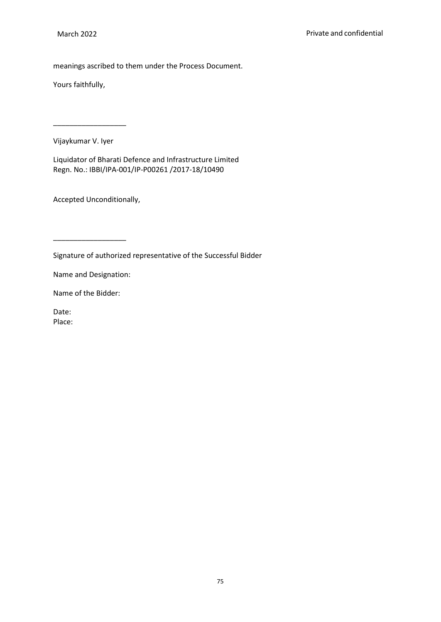meanings ascribed to them under the Process Document.

Yours faithfully,

Vijaykumar V. Iyer

\_\_\_\_\_\_\_\_\_\_\_\_\_\_\_\_\_\_

Liquidator of Bharati Defence and Infrastructure Limited Regn. No.: IBBI/IPA-001/IP-P00261 /2017-18/10490

Accepted Unconditionally,

Signature of authorized representative of the Successful Bidder

Name and Designation:

\_\_\_\_\_\_\_\_\_\_\_\_\_\_\_\_\_\_

Name of the Bidder:

Date: Place: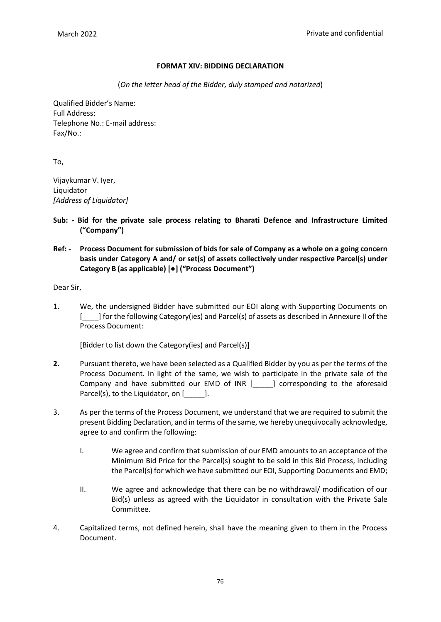#### **FORMAT XIV: BIDDING DECLARATION**

(*On the letter head of the Bidder, duly stamped and notarized*)

Qualified Bidder's Name: Full Address: Telephone No.: E-mail address: Fax/No.:

To,

Vijaykumar V. Iyer, Liquidator *[Address of Liquidator]*

- **Sub: - Bid for the private sale process relating to Bharati Defence and Infrastructure Limited ("Company")**
- **Ref: - Process Document for submission of bids for sale of Company as a whole on a going concern basis under Category A and/ or set(s) of assets collectively under respective Parcel(s) under Category B (as applicable) [●] ("Process Document")**

Dear Sir,

1. We, the undersigned Bidder have submitted our EOI along with Supporting Documents on [\_\_\_\_] for the following Category(ies) and Parcel(s) of assets as described in Annexure II of the Process Document:

[Bidder to list down the Category(ies) and Parcel(s)]

- **2.** Pursuant thereto, we have been selected as a Qualified Bidder by you as per the terms of the Process Document. In light of the same, we wish to participate in the private sale of the Company and have submitted our EMD of INR [\_\_\_\_\_] corresponding to the aforesaid Parcel(s), to the Liquidator, on [169].
- 3. As per the terms of the Process Document, we understand that we are required to submit the present Bidding Declaration, and in terms of the same, we hereby unequivocally acknowledge, agree to and confirm the following:
	- I. We agree and confirm that submission of our EMD amounts to an acceptance of the Minimum Bid Price for the Parcel(s) sought to be sold in this Bid Process, including the Parcel(s) for which we have submitted our EOI, Supporting Documents and EMD;
	- II. We agree and acknowledge that there can be no withdrawal/ modification of our Bid(s) unless as agreed with the Liquidator in consultation with the Private Sale Committee.
- 4. Capitalized terms, not defined herein, shall have the meaning given to them in the Process Document.